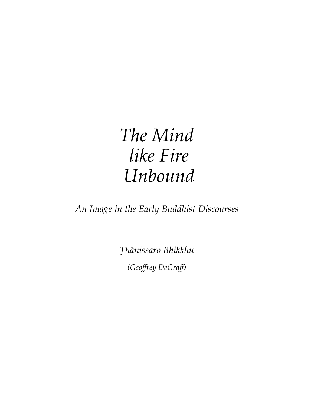## *The Mind like Fire Unbound*

*An Image in the Early Buddhist Discourses*

*≥h›nissaro Bhikkhu (Geoffrey DeGraff)*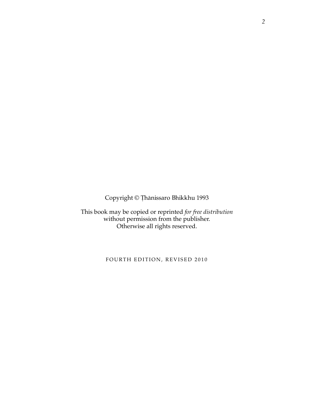Copyright © Țhānissaro Bhikkhu 1993

This book may be copied or reprinted *for free distribution* without permission from the publisher. Otherwise all rights reserved.

FOURTH EDITION, REVISED 2010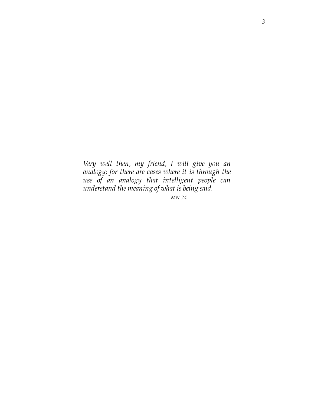*Very well then, my friend, I will give you an analogy; for there are cases where it is through the use of an analogy that intelligent people can understand the meaning of what is being said.*

*MN 24*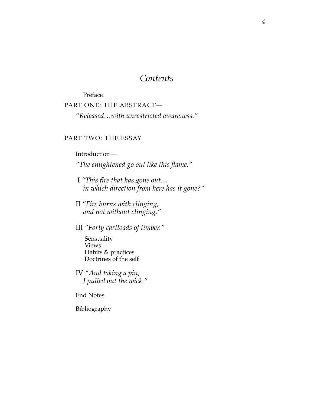### *Contents*

Preface

PART ONE: THE ABSTRACT—

*"Released…with unrestricted awareness."* 

PART TWO: THE ESSAY

Introduction—

*"The enlightened go out like this flame."*

- I *"This fire that has gone out… in which direction from here has it gone?"*
- II *"Fire burns with clinging, and not without clinging."*
- III *"Forty cartloads of timber."*
	- Sensuality Views Habits & practices Doctrines of the self

IV *"And taking a pin, I pulled out the wick."*

End Notes

Bibliography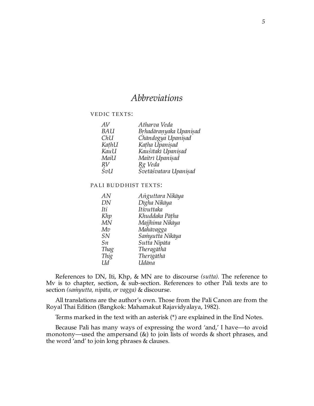## *Abbreviations*

#### VEDIC TEXTS:

| AV    | Atharva Veda           |
|-------|------------------------|
| BAU   | Brhadāraņyaka Upanisad |
| ChU   | Chāndogya Upanisad     |
| KathU | Katha Upanisad         |
| Kau U | Kauśītakī Upanisad     |
| MaiU  | Maitrī Upanisad        |
| RV    | Rg Veda                |
| ŚvU   | Śvetāśvatara Upanisad  |

#### PALI BUDDHIST TEXTS:

| AN         | Anguttara Nikāya |
|------------|------------------|
| DN         | Digha Nikāya     |
| <i>Iti</i> | Itivuttaka       |
| Khp        | Khuddaka Pātha   |
| MN         | Majjhima Nikāya  |
| Mυ         | Mahāvagga        |
| SN         | Samyutta Nikāya  |
| Sn         | Sutta Nipāta     |
| Thag       | Theragāthā       |
| Thig       | Therīgāthā       |
| Ud         | Udāna            |

References to DN, Iti, Khp, & MN are to discourse *(sutta).* The reference to Mv is to chapter, section, & sub-section. References to other Pali texts are to section *(samyutta, nipāta, or vagga)* & discourse.

All translations are the author's own. Those from the Pali Canon are from the Royal Thai Edition (Bangkok: Mahamakut Rajavidyalaya, 1982).

Terms marked in the text with an asterisk (\*) are explained in the End Notes.

Because Pali has many ways of expressing the word 'and,' I have—to avoid monotony—used the ampersand (&) to join lists of words & short phrases, and the word 'and' to join long phrases & clauses.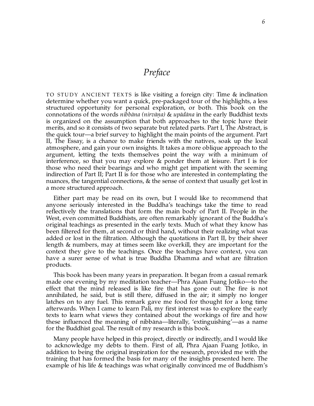## *Preface*

TO STUDY ANCIENT TEXTS is like visiting a foreign city: Time & inclination determine whether you want a quick, pre-packaged tour of the highlights, a less structured opportunity for personal exploration, or both. This book on the connotations of the words *nibbāna* (*nirvāna*) & *upādāna* in the early Buddhist texts is organized on the assumption that both approaches to the topic have their merits, and so it consists of two separate but related parts. Part I, The Abstract, is the quick tour—a brief survey to highlight the main points of the argument. Part II, The Essay, is a chance to make friends with the natives, soak up the local atmosphere, and gain your own insights. It takes a more oblique approach to the argument, letting the texts themselves point the way with a minimum of interference, so that you may explore & ponder them at leisure. Part I is for those who need their bearings and who might get impatient with the seeming indirection of Part II; Part II is for those who are interested in contemplating the nuances, the tangential connections, & the sense of context that usually get lost in a more structured approach.

Either part may be read on its own, but I would like to recommend that anyone seriously interested in the Buddha's teachings take the time to read reflectively the translations that form the main body of Part II. People in the West, even committed Buddhists, are often remarkably ignorant of the Buddha's original teachings as presented in the early texts. Much of what they know has been filtered for them, at second or third hand, without their realizing what was added or lost in the filtration. Although the quotations in Part II, by their sheer length & numbers, may at times seem like overkill, they are important for the context they give to the teachings. Once the teachings have context, you can have a surer sense of what is true Buddha Dhamma and what are filtration products.

This book has been many years in preparation. It began from a casual remark made one evening by my meditation teacher—Phra Ajaan Fuang Jotiko—to the effect that the mind released is like fire that has gone out: The fire is not annihilated, he said, but is still there, diffused in the air; it simply no longer latches on to any fuel. This remark gave me food for thought for a long time afterwards. When I came to learn Pali, my first interest was to explore the early texts to learn what views they contained about the workings of fire and how these influenced the meaning of nibbana—literally, 'extinguishing'—as a name for the Buddhist goal. The result of my research is this book.

Many people have helped in this project, directly or indirectly, and I would like to acknowledge my debts to them. First of all, Phra Ajaan Fuang Jotiko, in addition to being the original inspiration for the research, provided me with the training that has formed the basis for many of the insights presented here. The example of his life & teachings was what originally convinced me of Buddhism's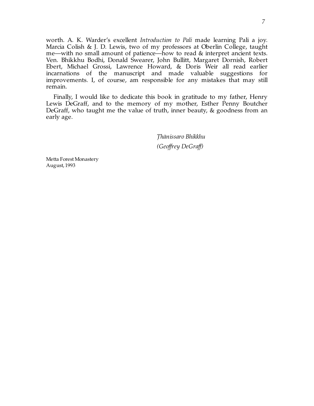worth. A. K. Warder's excellent *Introduction to Pali* made learning Pali a joy. Marcia Colish & J. D. Lewis, two of my professors at Oberlin College, taught me—with no small amount of patience—how to read & interpret ancient texts. Ven. Bhikkhu Bodhi, Donald Swearer, John Bullitt, Margaret Dornish, Robert Ebert, Michael Grossi, Lawrence Howard, & Doris Weir all read earlier incarnations of the manuscript and made valuable suggestions for improvements. I, of course, am responsible for any mistakes that may still remain.

Finally, I would like to dedicate this book in gratitude to my father, Henry Lewis DeGraff, and to the memory of my mother, Esther Penny Boutcher DeGraff, who taught me the value of truth, inner beauty, & goodness from an early age.

> *≥h›nissaro Bhikkhu (Geoffrey DeGraff)*

Metta Forest Monastery August, 1993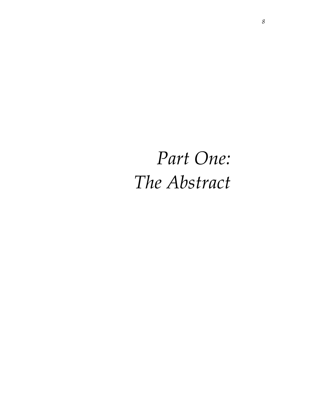# *Part One: The Abstract*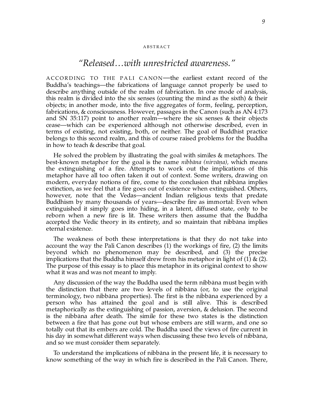#### ABSTRACT

### *"Released…with unrestricted awareness."*

ACCORDING TO THE PALI CANON—the earliest extant record of the Buddha's teachings—the fabrications of language cannot properly be used to describe anything outside of the realm of fabrication. In one mode of analysis, this realm is divided into the six senses (counting the mind as the sixth) & their objects; in another mode, into the five aggregates of form, feeling, perception, fabrications, & consciousness. However, passages in the Canon (such as AN 4:173 and SN 35:117) point to another realm—where the six senses & their objects cease—which can be experienced although not otherwise described, even in terms of existing, not existing, both, or neither. The goal of Buddhist practice belongs to this second realm, and this of course raised problems for the Buddha in how to teach & describe that goal.

He solved the problem by illustrating the goal with similes & metaphors. The best-known metaphor for the goal is the name *nibbāna (nirvāna)*, which means the extinguishing of a fire. Attempts to work out the implications of this metaphor have all too often taken it out of context. Some writers, drawing on modern, everyday notions of fire, come to the conclusion that nibbana implies extinction, as we feel that a fire goes out of existence when extinguished. Others, however, note that the Vedas—ancient Indian religious texts that predate Buddhism by many thousands of years—describe fire as immortal: Even when extinguished it simply goes into hiding, in a latent, diffused state, only to be reborn when a new fire is lit. These writers then assume that the Buddha accepted the Vedic theory in its entirety, and so maintain that nibbana implies eternal existence.

The weakness of both these interpretations is that they do not take into account the way the Pali Canon describes (1) the workings of fire, (2) the limits beyond which no phenomenon may be described, and (3) the precise implications that the Buddha himself drew from his metaphor in light of  $(1)$  &  $(2)$ . The purpose of this essay is to place this metaphor in its original context to show what it was and was not meant to imply.

Any discussion of the way the Buddha used the term nibbana must begin with the distinction that there are two levels of nibbana (or, to use the original terminology, two nibbana properties). The first is the nibbana experienced by a person who has attained the goal and is still alive. This is described metaphorically as the extinguishing of passion, aversion, & delusion. The second is the nibbana after death. The simile for these two states is the distinction between a fire that has gone out but whose embers are still warm, and one so totally out that its embers are cold. The Buddha used the views of fire current in his day in somewhat different ways when discussing these two levels of nibbāna, and so we must consider them separately.

To understand the implications of nibbāna in the present life, it is necessary to know something of the way in which fire is described in the Pali Canon. There,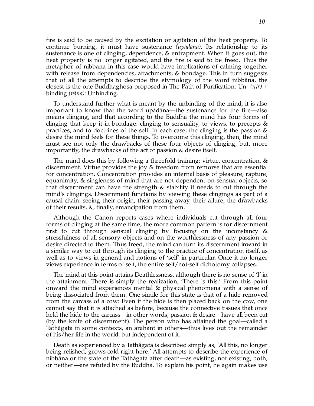fire is said to be caused by the excitation or agitation of the heat property. To continue burning, it must have sustenance *(upādāna)*. Its relationship to its sustenance is one of clinging, dependence, & entrapment. When it goes out, the heat property is no longer agitated, and the fire is said to be freed. Thus the metaphor of nibbana in this case would have implications of calming together with release from dependencies, attachments, & bondage. This in turn suggests that of all the attempts to describe the etymology of the word nibbana, the closest is the one Buddhaghosa proposed in The Path of Purification: Un- *(nir)* + binding *(vāna)*: Unbinding.

To understand further what is meant by the unbinding of the mind, it is also important to know that the word upadana—the sustenance for the fire—also means clinging, and that according to the Buddha the mind has four forms of clinging that keep it in bondage: clinging to sensuality, to views, to precepts  $\&$ practices, and to doctrines of the self. In each case, the clinging is the passion  $\&$ desire the mind feels for these things. To overcome this clinging, then, the mind must see not only the drawbacks of these four objects of clinging, but, more importantly, the drawbacks of the act of passion & desire itself.

The mind does this by following a threefold training: virtue, concentration,  $\&$ discernment. Virtue provides the joy & freedom from remorse that are essential for concentration. Concentration provides an internal basis of pleasure, rapture, equanimity, & singleness of mind that are not dependent on sensual objects, so that discernment can have the strength & stability it needs to cut through the mind's clingings. Discernment functions by viewing these clingings as part of a causal chain: seeing their origin, their passing away, their allure, the drawbacks of their results, &, finally, emancipation from them.

Although the Canon reports cases where individuals cut through all four forms of clinging at the same time, the more common pattern is for discernment first to cut through sensual clinging by focusing on the inconstancy  $\&$ stressfulness of all sensory objects and on the worthlessness of any passion or desire directed to them. Thus freed, the mind can turn its discernment inward in a similar way to cut through its clinging to the practice of concentration itself, as well as to views in general and notions of 'self' in particular. Once it no longer views experience in terms of self, the entire self/not-self dichotomy collapses.

The mind at this point attains Deathlessness, although there is no sense of 'I' in the attainment. There is simply the realization, 'There is this.' From this point onward the mind experiences mental & physical phenomena with a sense of being dissociated from them. One simile for this state is that of a hide removed from the carcass of a cow: Even if the hide is then placed back on the cow, one cannot say that it is attached as before, because the connective tissues that once held the hide to the carcass—in other words, passion & desire—have all been cut (by the knife of discernment). The person who has attained the goal—called a Tath<sub>agata</sub> in some contexts, an arahant in others—thus lives out the remainder of his/her life in the world, but independent of it.

Death as experienced by a Tathāgata is described simply as, 'All this, no longer being relished, grows cold right here.' All attempts to describe the experience of nibbāna or the state of the Tathāgata after death—as existing, not existing, both, or neither—are refuted by the Buddha. To explain his point, he again makes use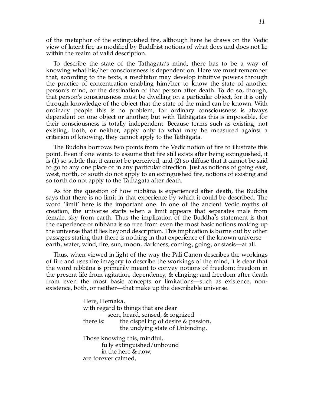of the metaphor of the extinguished fire, although here he draws on the Vedic view of latent fire as modified by Buddhist notions of what does and does not lie within the realm of valid description.

To describe the state of the Tathagata's mind, there has to be a way of knowing what his/her consciousness is dependent on. Here we must remember that, according to the texts, a meditator may develop intuitive powers through the practice of concentration enabling him/her to know the state of another person's mind, or the destination of that person after death. To do so, though, that person's consciousness must be dwelling on a particular object, for it is only through knowledge of the object that the state of the mind can be known. With ordinary people this is no problem, for ordinary consciousness is always dependent on one object or another, but with Tathagatas this is impossible, for their consciousness is totally independent. Because terms such as existing, not existing, both, or neither, apply only to what may be measured against a criterion of knowing, they cannot apply to the Tathagata.

The Buddha borrows two points from the Vedic notion of fire to illustrate this point. Even if one wants to assume that fire still exists after being extinguished, it is (1) so subtle that it cannot be perceived, and (2) so diffuse that it cannot be said to go to any one place or in any particular direction. Just as notions of going east, west, north, or south do not apply to an extinguished fire, notions of existing and so forth do not apply to the Tathagata after death.

As for the question of how nibbana is experienced after death, the Buddha says that there is no limit in that experience by which it could be described. The word 'limit' here is the important one. In one of the ancient Vedic myths of creation, the universe starts when a limit appears that separates male from female, sky from earth. Thus the implication of the Buddha's statement is that the experience of nibbana is so free from even the most basic notions making up the universe that it lies beyond description. This implication is borne out by other passages stating that there is nothing in that experience of the known universe earth, water, wind, fire, sun, moon, darkness, coming, going, or stasis—at all.

Thus, when viewed in light of the way the Pali Canon describes the workings of fire and uses fire imagery to describe the workings of the mind, it is clear that the word nibbana is primarily meant to convey notions of freedom: freedom in the present life from agitation, dependency, & clinging; and freedom after death from even the most basic concepts or limitations—such as existence, nonexistence, both, or neither—that make up the describable universe.

> Here, Hemaka, with regard to things that are dear —seen, heard, sensed, & cognized there is: the dispelling of desire & passion, the undying state of Unbinding. Those knowing this, mindful, fully extinguished/unbound in the here & now, are forever calmed,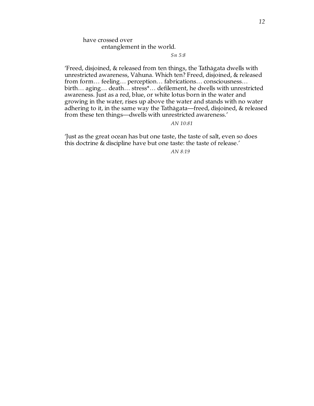*Sn 5:8*

'Freed, disjoined, & released from ten things, the Tathāgata dwells with unrestricted awareness, Vāhuna. Which ten? Freed, disjoined, & released from form… feeling… perception… fabrications… consciousness… birth… aging… death… stress\*… defilement, he dwells with unrestricted awareness. Just as a red, blue, or white lotus born in the water and growing in the water, rises up above the water and stands with no water adhering to it, in the same way the Tathagata—freed, disjoined, & released from these ten things—dwells with unrestricted awareness.'

*AN 10:81*

'Just as the great ocean has but one taste, the taste of salt, even so does this doctrine & discipline have but one taste: the taste of release.'

*AN 8:19*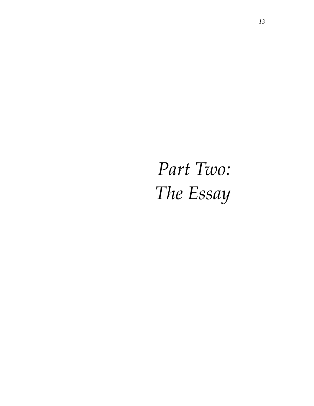# *Part Two: The Essay*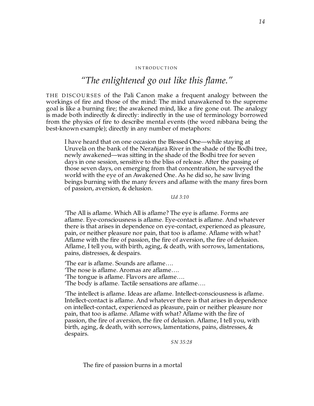#### INTRODUCTION

### *"The enlightened go out like this flame."*

THE DISCOURSES of the Pali Canon make a frequent analogy between the workings of fire and those of the mind: The mind unawakened to the supreme goal is like a burning fire; the awakened mind, like a fire gone out. The analogy is made both indirectly & directly: indirectly in the use of terminology borrowed from the physics of fire to describe mental events (the word nibbana being the best-known example); directly in any number of metaphors:

I have heard that on one occasion the Blessed One—while staying at Uruvela on the bank of the Nerañjara River in the shade of the Bodhi tree, newly awakened—was sitting in the shade of the Bodhi tree for seven days in one session, sensitive to the bliss of release. After the passing of those seven days, on emerging from that concentration, he surveyed the world with the eye of an Awakened One. As he did so, he saw living beings burning with the many fevers and aflame with the many fires born of passion, aversion, & delusion.

*Ud 3:10*

'The All is aflame. Which All is aflame? The eye is aflame. Forms are aflame. Eye-consciousness is aflame. Eye-contact is aflame. And whatever there is that arises in dependence on eye-contact, experienced as pleasure, pain, or neither pleasure nor pain, that too is aflame. Aflame with what? Aflame with the fire of passion, the fire of aversion, the fire of delusion. Aflame, I tell you, with birth, aging, & death, with sorrows, lamentations, pains, distresses, & despairs.

'The ear is aflame. Sounds are aflame…. 'The nose is aflame. Aromas are aflame…. 'The tongue is aflame. Flavors are aflame…. 'The body is aflame. Tactile sensations are aflame….

'The intellect is aflame. Ideas are aflame. Intellect-consciousness is aflame. Intellect-contact is aflame. And whatever there is that arises in dependence on intellect-contact, experienced as pleasure, pain or neither pleasure nor pain, that too is aflame. Aflame with what? Aflame with the fire of passion, the fire of aversion, the fire of delusion. Aflame, I tell you, with birth, aging, & death, with sorrows, lamentations, pains, distresses, & despairs.

*SN 35:28*

The fire of passion burns in a mortal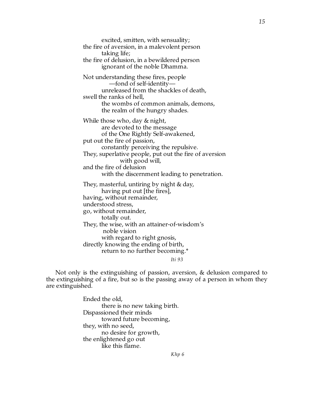excited, smitten, with sensuality; the fire of aversion, in a malevolent person taking life; the fire of delusion, in a bewildered person ignorant of the noble Dhamma. Not understanding these fires, people —fond of self-identity unreleased from the shackles of death, swell the ranks of hell, the wombs of common animals, demons, the realm of the hungry shades. While those who, day & night, are devoted to the message of the One Rightly Self-awakened, put out the fire of passion, constantly perceiving the repulsive. They, superlative people, put out the fire of aversion with good will, and the fire of delusion with the discernment leading to penetration. They, masterful, untiring by night & day, having put out [the fires], having, without remainder, understood stress, go, without remainder, totally out. They, the wise, with an attainer-of-wisdom's noble vision with regard to right gnosis, directly knowing the ending of birth, return to no further becoming.\* *Iti 93*

Not only is the extinguishing of passion, aversion, & delusion compared to the extinguishing of a fire, but so is the passing away of a person in whom they are extinguished.

> Ended the old, there is no new taking birth. Dispassioned their minds toward future becoming, they, with no seed, no desire for growth, the enlightened go out like this flame.

> > *Khp 6*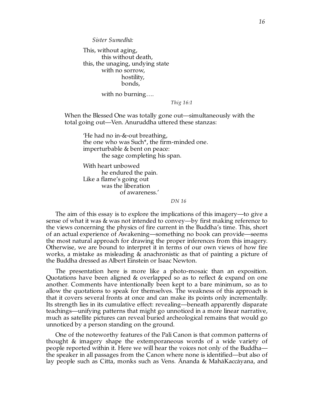Sister Sumedhā:

This, without aging, this without death, this, the unaging, undying state with no sorrow, hostility, bonds,

with no burning….

*Thig 16:1*

When the Blessed One was totally gone out—simultaneously with the total going out—Ven. Anuruddha uttered these stanzas:

'He had no in-&-out breathing, the one who was Such\*, the firm-minded one. imperturbable & bent on peace: the sage completing his span.

With heart unbowed he endured the pain. Like a flame's going out was the liberation of awareness.'

*DN 16*

The aim of this essay is to explore the implications of this imagery—to give a sense of what it was & was not intended to convey—by first making reference to the views concerning the physics of fire current in the Buddha's time. This, short of an actual experience of Awakening—something no book can provide—seems the most natural approach for drawing the proper inferences from this imagery. Otherwise, we are bound to interpret it in terms of our own views of how fire works, a mistake as misleading & anachronistic as that of painting a picture of the Buddha dressed as Albert Einstein or Isaac Newton.

The presentation here is more like a photo-mosaic than an exposition. Quotations have been aligned & overlapped so as to reflect & expand on one another. Comments have intentionally been kept to a bare minimum, so as to allow the quotations to speak for themselves. The weakness of this approach is that it covers several fronts at once and can make its points only incrementally. Its strength lies in its cumulative effect: revealing—beneath apparently disparate teachings—unifying patterns that might go unnoticed in a more linear narrative, much as satellite pictures can reveal buried archeological remains that would go unnoticed by a person standing on the ground.

One of the noteworthy features of the Pali Canon is that common patterns of thought & imagery shape the extemporaneous words of a wide variety of people reported within it. Here we will hear the voices not only of the Buddha the speaker in all passages from the Canon where none is identified—but also of lay people such as Citta, monks such as Vens. Ananda & MahāKaccāyana, and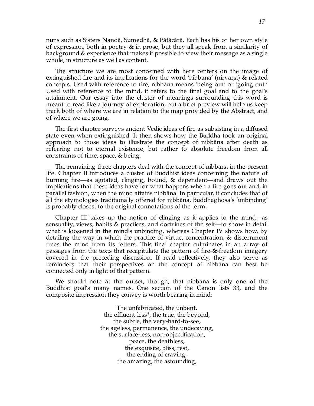nuns such as Sisters Nandā, Sumedhā, & Pāṭācārā. Each has his or her own style of expression, both in poetry & in prose, but they all speak from a similarity of background & experience that makes it possible to view their message as a single whole, in structure as well as content.

The structure we are most concerned with here centers on the image of extinguished fire and its implications for the word 'nibbāna' (nirvāna) & related concepts. Used with reference to fire, nibbana means 'being out' or 'going out.' Used with reference to the mind, it refers to the final goal and to the goal's attainment. Our essay into the cluster of meanings surrounding this word is meant to read like a journey of exploration, but a brief preview will help us keep track both of where we are in relation to the map provided by the Abstract, and of where we are going.

The first chapter surveys ancient Vedic ideas of fire as subsisting in a diffused state even when extinguished. It then shows how the Buddha took an original approach to those ideas to illustrate the concept of nibbana after death as referring not to eternal existence, but rather to absolute freedom from all constraints of time, space, & being.

The remaining three chapters deal with the concept of nibbana in the present life. Chapter II introduces a cluster of Buddhist ideas concerning the nature of burning fire—as agitated, clinging, bound, & dependent—and draws out the implications that these ideas have for what happens when a fire goes out and, in parallel fashion, when the mind attains nibbāna. In particular, it concludes that of all the etymologies traditionally offered for nibbāna, Buddhaghosa's 'unbinding' is probably closest to the original connotations of the term.

Chapter III takes up the notion of clinging as it applies to the mind—as sensuality, views, habits & practices, and doctrines of the self—to show in detail what is loosened in the mind's unbinding, whereas Chapter IV shows how, by detailing the way in which the practice of virtue, concentration, & discernment frees the mind from its fetters. This final chapter culminates in an array of passages from the texts that recapitulate the pattern of fire-&-freedom imagery covered in the preceding discussion. If read reflectively, they also serve as reminders that their perspectives on the concept of nibbana can best be connected only in light of that pattern.

We should note at the outset, though, that nibbana is only one of the Buddhist goal's many names. One section of the Canon lists 33, and the composite impression they convey is worth bearing in mind:

> The unfabricated, the unbent, the effluent-less\*, the true, the beyond, the subtle, the very-hard-to-see, the ageless, permanence, the undecaying, the surface-less, non-objectification, peace, the deathless, the exquisite, bliss, rest, the ending of craving, the amazing, the astounding,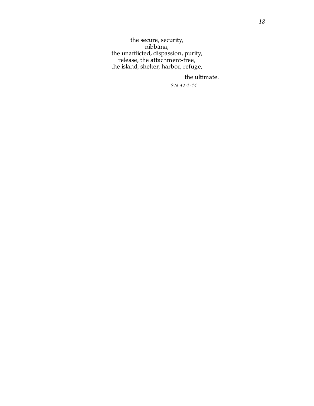the secure, security, nibbāna, the unafflicted, dispassion, purity, release, the attachment-free, the island, shelter, harbor, refuge,

the ultimate.

*SN 42:1-44*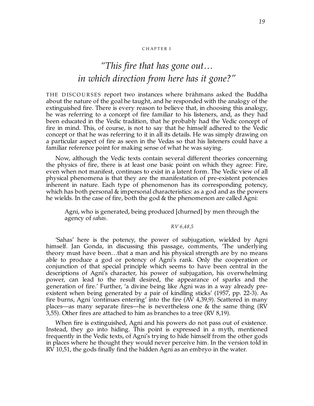#### CHAPTER I

## *"This fire that has gone out… in which direction from here has it gone?"*

THE DISCOURSES report two instances where brāhmans asked the Buddha about the nature of the goal he taught, and he responded with the analogy of the extinguished fire. There is every reason to believe that, in choosing this analogy, he was referring to a concept of fire familiar to his listeners, and, as they had been educated in the Vedic tradition, that he probably had the Vedic concept of fire in mind. This, of course, is not to say that he himself adhered to the Vedic concept or that he was referring to it in all its details. He was simply drawing on a particular aspect of fire as seen in the Vedas so that his listeners could have a familiar reference point for making sense of what he was saying.

Now, although the Vedic texts contain several different theories concerning the physics of fire, there is at least one basic point on which they agree: Fire, even when not manifest, continues to exist in a latent form. The Vedic view of all physical phenomena is that they are the manifestation of pre-existent potencies inherent in nature. Each type of phenomenon has its corresponding potency, which has both personal & impersonal characteristics: as a god and as the powers he wields. In the case of fire, both the god & the phenomenon are called Agni:

Agni, who is generated, being produced [churned] by men through the agency of *sahas.*

#### *RV 6,48,5*

'Sahas' here is the potency, the power of subjugation, wielded by Agni himself. Jan Gonda, in discussing this passage, comments, 'The underlying theory must have been…that a man and his physical strength are by no means able to produce a god or potency of Agni's rank. Only the cooperation or conjunction of that special principle which seems to have been central in the descriptions of Agni's character, his power of subjugation, his overwhelming power, can lead to the result desired, the appearance of sparks and the generation of fire.' Further, 'a divine being like Agni was in a way already preexistent when being generated by a pair of kindling sticks' (1957, pp. 22-3). As fire burns, Agni 'continues entering' into the fire (AV 4,39,9). Scattered in many places—as many separate fires—he is nevertheless one & the same thing (RV 3,55). Other fires are attached to him as branches to a tree (RV 8,19).

When fire is extinguished, Agni and his powers do not pass out of existence. Instead, they go into hiding. This point is expressed in a myth, mentioned frequently in the Vedic texts, of Agni's trying to hide himself from the other gods in places where he thought they would never perceive him. In the version told in RV 10,51, the gods finally find the hidden Agni as an embryo in the water.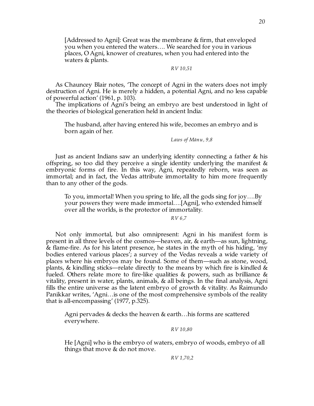[Addressed to Agni]: Great was the membrane & firm, that enveloped you when you entered the waters…. We searched for you in various places, O Agni, knower of creatures, when you had entered into the waters & plants.

#### *RV 10,51*

As Chauncey Blair notes, 'The concept of Agni in the waters does not imply destruction of Agni. He is merely a hidden, a potential Agni, and no less capable of powerful action' (1961, p. 103).

The implications of Agni's being an embryo are best understood in light of the theories of biological generation held in ancient India:

The husband, after having entered his wife, becomes an embryo and is born again of her.

#### Laws of Mānu, 9,8

Just as ancient Indians saw an underlying identity connecting a father & his offspring, so too did they perceive a single identity underlying the manifest & embryonic forms of fire. In this way, Agni, repeatedly reborn, was seen as immortal; and in fact, the Vedas attribute immortality to him more frequently than to any other of the gods.

To you, immortal! When you spring to life, all the gods sing for joy….By your powers they were made immortal….[Agni], who extended himself over all the worlds, is the protector of immortality.

#### *RV 6,7*

Not only immortal, but also omnipresent: Agni in his manifest form is present in all three levels of the cosmos—heaven, air, & earth—as sun, lightning, & flame-fire. As for his latent presence, he states in the myth of his hiding, 'my bodies entered various places'; a survey of the Vedas reveals a wide variety of places where his embryos may be found. Some of them—such as stone, wood, plants, & kindling sticks—relate directly to the means by which fire is kindled  $\&$ fueled. Others relate more to fire-like qualities  $\&$  powers, such as brilliance  $\&$ vitality, present in water, plants, animals, & all beings. In the final analysis, Agni fills the entire universe as the latent embryo of growth & vitality. As Raimundo Panikkar writes, 'Agni…is one of the most comprehensive symbols of the reality that is all-encompassing' (1977, p.325).

Agni pervades & decks the heaven & earth…his forms are scattered everywhere.

#### *RV 10,80*

He [Agni] who is the embryo of waters, embryo of woods, embryo of all things that move & do not move.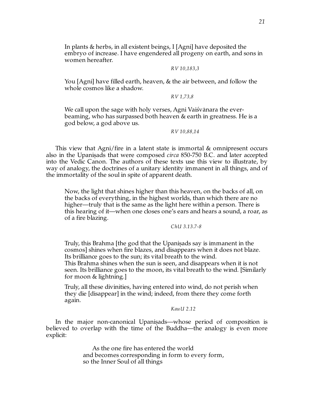In plants & herbs, in all existent beings, I [Agni] have deposited the embryo of increase. I have engendered all progeny on earth, and sons in women hereafter.

#### *RV 10,183,3*

You [Agni] have filled earth, heaven, & the air between, and follow the whole cosmos like a shadow.

#### *RV 1,73,8*

We call upon the sage with holy verses, Agni Vaisvānara the everbeaming, who has surpassed both heaven & earth in greatness. He is a god below, a god above us.

#### *RV 10,88,14*

This view that Agni/fire in a latent state is immortal & omnipresent occurs also in the Upanisads that were composed *circa* 850-750 B.C. and later accepted into the Vedic Canon. The authors of these texts use this view to illustrate, by way of analogy, the doctrines of a unitary identity immanent in all things, and of the immortality of the soul in spite of apparent death.

Now, the light that shines higher than this heaven, on the backs of all, on the backs of everything, in the highest worlds, than which there are no higher—truly that is the same as the light here within a person. There is this hearing of it—when one closes one's ears and hears a sound, a roar, as of a fire blazing.

#### *ChU 3.13.7-8*

Truly, this Brahma [the god that the Upanisads say is immanent in the cosmos] shines when fire blazes, and disappears when it does not blaze. Its brilliance goes to the sun; its vital breath to the wind. This Brahma shines when the sun is seen, and disappears when it is not

seen. Its brilliance goes to the moon, its vital breath to the wind. [Similarly for moon & lightning.]

Truly, all these divinities, having entered into wind, do not perish when they die [disappear] in the wind; indeed, from there they come forth again.

#### *KauU 2.12*

In the major non-canonical Upanisads—whose period of composition is believed to overlap with the time of the Buddha—the analogy is even more explicit:

> As the one fire has entered the world and becomes corresponding in form to every form, so the Inner Soul of all things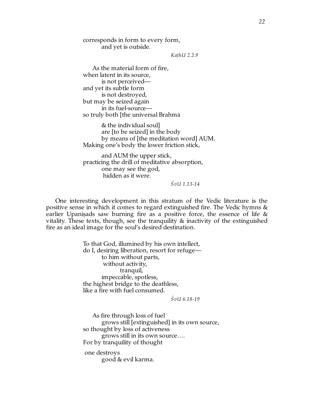corresponds in form to every form, and yet is outside.

*Ka˛hU 2.2.9*

As the material form of fire, when latent in its source, is not perceived and yet its subtle form is not destroyed, but may be seized again in its fuel-source so truly both [the universal Brahma]

& the individual soul] are [to be seized] in the body by means of [the meditation word] AUM. Making one's body the lower friction stick,

and AUM the upper stick, practicing the drill of meditative absorption, one may see the god, hidden as it were.

*⁄vU 1.13-14*

One interesting development in this stratum of the Vedic literature is the positive sense in which it comes to regard extinguished fire. The Vedic hymns  $\&$ earlier Upanisads saw burning fire as a positive force, the essence of life  $\&$ vitality. These texts, though, see the tranquility & inactivity of the extinguished fire as an ideal image for the soul's desired destination.

> To that God, illumined by his own intellect, do I, desiring liberation, resort for refuge to him without parts, without activity, tranquil, impeccable, spotless, the highest bridge to the deathless, like a fire with fuel consumed.

> > *⁄vU 6.18-19*

As fire through loss of fuel grows still [extinguished] in its own source, so thought by loss of activeness grows still in its own source…. For by tranquility of thought

 one destroys good & evil karma.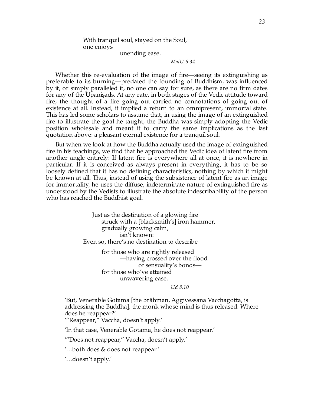With tranquil soul, stayed on the Soul, one enjoys

unending ease.

#### *MaiU 6.34*

Whether this re-evaluation of the image of fire—seeing its extinguishing as preferable to its burning—predated the founding of Buddhism, was influenced by it, or simply paralleled it, no one can say for sure, as there are no firm dates for any of the Upanisads. At any rate, in both stages of the Vedic attitude toward fire, the thought of a fire going out carried no connotations of going out of existence at all. Instead, it implied a return to an omnipresent, immortal state. This has led some scholars to assume that, in using the image of an extinguished fire to illustrate the goal he taught, the Buddha was simply adopting the Vedic position wholesale and meant it to carry the same implications as the last quotation above: a pleasant eternal existence for a tranquil soul.

But when we look at how the Buddha actually used the image of extinguished fire in his teachings, we find that he approached the Vedic idea of latent fire from another angle entirely: If latent fire is everywhere all at once, it is nowhere in particular. If it is conceived as always present in everything, it has to be so loosely defined that it has no defining characteristics, nothing by which it might be known at all. Thus, instead of using the subsistence of latent fire as an image for immortality, he uses the diffuse, indeterminate nature of extinguished fire as understood by the Vedists to illustrate the absolute indescribability of the person who has reached the Buddhist goal.

> Just as the destination of a glowing fire struck with a [blacksmith's] iron hammer, gradually growing calm, isn't known: Even so, there's no destination to describe

> > for those who are rightly released —having crossed over the flood of sensuality's bonds for those who've attained unwavering ease.

> > > *Ud 8:10*

'But, Venerable Gotama [the brāhman, Aggivessana Vacchagotta, is addressing the Buddha], the monk whose mind is thus released: Where does he reappear?'

'"Reappear," Vaccha, doesn't apply.'

'In that case, Venerable Gotama, he does not reappear.'

'"Does not reappear," Vaccha, doesn't apply.'

'…both does & does not reappear.'

'…doesn't apply.'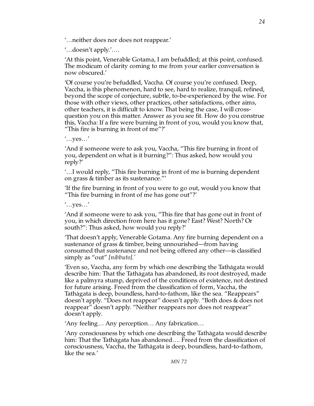'…neither does nor does not reappear.'

'…doesn't apply.'….

'At this point, Venerable Gotama, I am befuddled; at this point, confused. The modicum of clarity coming to me from your earlier conversation is now obscured.'

'Of course you're befuddled, Vaccha. Of course you're confused. Deep, Vaccha, is this phenomenon, hard to see, hard to realize, tranquil, refined, beyond the scope of conjecture, subtle, to-be-experienced by the wise. For those with other views, other practices, other satisfactions, other aims, other teachers, it is difficult to know. That being the case, I will crossquestion you on this matter. Answer as you see fit. How do you construe this, Vaccha: If a fire were burning in front of you, would you know that, "This fire is burning in front of me"?'

'…yes…'

'And if someone were to ask you, Vaccha, "This fire burning in front of you, dependent on what is it burning?": Thus asked, how would you reply?'

'…I would reply, "This fire burning in front of me is burning dependent on grass & timber as its sustenance."'

'If the fire burning in front of you were to go out, would you know that "This fire burning in front of me has gone out"?'

'…yes…'

'And if someone were to ask you, "This fire that has gone out in front of you, in which direction from here has it gone? East? West? North? Or south?": Thus asked, how would you reply?'

'That doesn't apply, Venerable Gotama. Any fire burning dependent on a sustenance of grass & timber, being unnourished—from having consumed that sustenance and not being offered any other—is classified simply as "out" *[nibbuto].'*

'Even so, Vaccha, any form by which one describing the Tathagata would describe him: That the Tathāgata has abandoned, its root destroyed, made like a palmyra stump, deprived of the conditions of existence, not destined for future arising. Freed from the classification of form, Vaccha, the Tathāgata is deep, boundless, hard-to-fathom, like the sea. "Reappears" doesn't apply. "Does not reappear" doesn't apply. "Both does & does not reappear" doesn't apply. "Neither reappears nor does not reappear" doesn't apply.

'Any feeling… Any perception… Any fabrication…

'Any consciousness by which one describing the Tathagata would describe him: That the Tathāgata has abandoned.... Freed from the classification of consciousness, Vaccha, the Tathagata is deep, boundless, hard-to-fathom, like the sea.'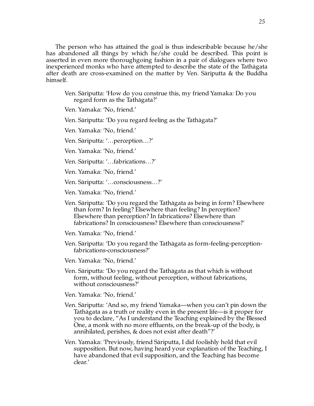The person who has attained the goal is thus indescribable because he/she has abandoned all things by which he/she could be described. This point is asserted in even more thoroughgoing fashion in a pair of dialogues where two inexperienced monks who have attempted to describe the state of the Tathagata after death are cross-examined on the matter by Ven. Sariputta  $\&$  the Buddha himself.

Ven. Sāriputta: 'How do you construe this, my friend Yamaka: Do you regard form as the Tathagata?'

Ven. Yamaka: 'No, friend.'

Ven. Sāriputta: 'Do you regard feeling as the Tathāgata?'

Ven. Yamaka: 'No, friend.'

Ven. Sāriputta: '... perception...?'

Ven. Yamaka: 'No, friend.'

Ven. Sāriputta: '...fabrications...?'

Ven. Yamaka: 'No, friend.'

Ven. Sariputta: '...consciousness...?'

Ven. Yamaka: 'No, friend.'

Ven. Sāriputta: 'Do you regard the Tathāgata as being in form? Elsewhere than form? In feeling? Elsewhere than feeling? In perception? Elsewhere than perception? In fabrications? Elsewhere than fabrications? In consciousness? Elsewhere than consciousness?'

Ven. Yamaka: 'No, friend.'

Ven. Sariputta: 'Do you regard the Tathagata as form-feeling-perceptionfabrications-consciousness?'

Ven. Yamaka: 'No, friend.'

Ven. Sāriputta: 'Do you regard the Tathāgata as that which is without form, without feeling, without perception, without fabrications, without consciousness?'

Ven. Yamaka: 'No, friend.'

- Ven. Sariputta: 'And so, my friend Yamaka—when you can't pin down the Tathāgata as a truth or reality even in the present life—is it proper for you to declare, "As I understand the Teaching explained by the Blessed One, a monk with no more effluents, on the break-up of the body, is annihilated, perishes, & does not exist after death"?'
- Ven. Yamaka: 'Previously, friend Sāriputta, I did foolishly hold that evil supposition. But now, having heard your explanation of the Teaching, I have abandoned that evil supposition, and the Teaching has become clear.'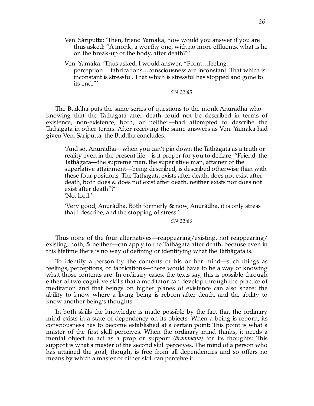Ven. Sāriputta: 'Then, friend Yamaka, how would you answer if you are thus asked: "A monk, a worthy one, with no more effluents, what is he on the break-up of the body, after death?"'

Ven. Yamaka: 'Thus asked, I would answer, "Form…feeling… perception… fabrications…consciousness are inconstant. That which is inconstant is stressful. That which is stressful has stopped and gone to its end."'

*SN 22:85*

The Buddha puts the same series of questions to the monk Anurādha who knowing that the Tathagata after death could not be described in terms of existence, non-existence, both, or neither—had attempted to describe the Tathāgata in other terms. After receiving the same answers as Ven. Yamaka had given Ven. Sariputta, the Buddha concludes:

'And so, Anurādha—when you can't pin down the Tathāgata as a truth or reality even in the present life—is it proper for you to declare, "Friend, the Tathāgata—the supreme man, the superlative man, attainer of the superlative attainment—being described, is described otherwise than with these four positions: The Tath<sub>agata</sub> exists after death, does not exist after death, both does & does not exist after death, neither exists nor does not exist after death"?'

'No, lord.'

'Very good, Anurādha. Both formerly & now, Anurādha, it is only stress that I describe, and the stopping of stress.'

*SN 22:86* 

Thus none of the four alternatives—reappearing/existing, not reappearing/ existing, both, & neither—can apply to the Tathagata after death, because even in this lifetime there is no way of defining or identifying what the Tathagata is.

To identify a person by the contents of his or her mind—such things as feelings, perceptions, or fabrications—there would have to be a way of knowing what those contents are. In ordinary cases, the texts say, this is possible through either of two cognitive skills that a meditator can develop through the practice of meditation and that beings on higher planes of existence can also share: the ability to know where a living being is reborn after death, and the ability to know another being's thoughts.

In both skills the knowledge is made possible by the fact that the ordinary mind exists in a state of dependency on its objects. When a being is reborn, its consciousness has to become established at a certain point: This point is what a master of the first skill perceives. When the ordinary mind thinks, it needs a mental object to act as a prop or support *(arammana)* for its thoughts: This support is what a master of the second skill perceives. The mind of a person who has attained the goal, though, is free from all dependencies and so offers no means by which a master of either skill can perceive it.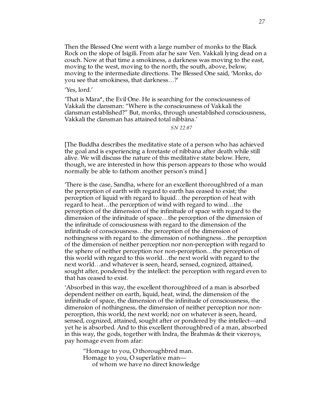Then the Blessed One went with a large number of monks to the Black Rock on the slope of Isigili. From afar he saw Ven. Vakkali lying dead on a couch. Now at that time a smokiness, a darkness was moving to the east, moving to the west, moving to the north, the south, above, below, moving to the intermediate directions. The Blessed One said, 'Monks, do you see that smokiness, that darkness…?'

'Yes, lord.'

 $\hat{\mathcal{L}}$  That is Māra\*, the Evil One. He is searching for the consciousness of Vakkali the clansman: "Where is the consciousness of Vakkali the clansman established?" But, monks, through unestablished consciousness, Vakkali the clansman has attained total nibbāna.'

*SN 22:87*

[The Buddha describes the meditative state of a person who has achieved the goal and is experiencing a foretaste of nibbana after death while still alive. We will discuss the nature of this meditative state below. Here, though, we are interested in how this person appears to those who would normally be able to fathom another person's mind.]

'There is the case, Sandha, where for an excellent thoroughbred of a man the perception of earth with regard to earth has ceased to exist; the perception of liquid with regard to liquid…the perception of heat with regard to heat…the perception of wind with regard to wind…the perception of the dimension of the infinitude of space with regard to the dimension of the infinitude of space…the perception of the dimension of the infinitude of consciousness with regard to the dimension of the infinitude of consciousness…the perception of the dimension of nothingness with regard to the dimension of nothingness…the perception of the dimension of neither perception nor non-perception with regard to the sphere of neither perception nor non-perception…the perception of this world with regard to this world…the next world with regard to the next world…and whatever is seen, heard, sensed, cognized, attained, sought after, pondered by the intellect: the perception with regard even to that has ceased to exist.

'Absorbed in this way, the excellent thoroughbred of a man is absorbed dependent neither on earth, liquid, heat, wind, the dimension of the infinitude of space, the dimension of the infinitude of consciousness, the dimension of nothingness, the dimension of neither perception nor nonperception, this world, the next world; nor on whatever is seen, heard, sensed, cognized, attained, sought after or pondered by the intellect—and yet he is absorbed. And to this excellent thoroughbred of a man, absorbed in this way, the gods, together with Indra, the Brahmas  $\&$  their viceroys, pay homage even from afar:

"Homage to you, O thoroughbred man. Homage to you, O superlative man of whom we have no direct knowledge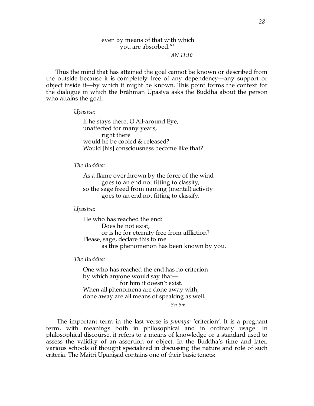#### *AN 11:10*

Thus the mind that has attained the goal cannot be known or described from the outside because it is completely free of any dependency—any support or object inside it—by which it might be known. This point forms the context for the dialogue in which the brāhman Upasiva asks the Buddha about the person who attains the goal.

#### *Upasıva:*

If he stays there, O All-around Eye, unaffected for many years, right there would he be cooled & released? Would [his] consciousness become like that?

#### *The Buddha:*

As a flame overthrown by the force of the wind goes to an end not fitting to classify, so the sage freed from naming (mental) activity goes to an end not fitting to classify.

#### *Upasıva:*

He who has reached the end: Does he not exist, or is he for eternity free from affliction? Please, sage, declare this to me as this phenomenon has been known by you.

#### *The Buddha:*

One who has reached the end has no criterion by which anyone would say that for him it doesn't exist. When all phenomena are done away with, done away are all means of speaking as well.

*Sn 5:6*

The important term in the last verse is *pamana:* 'criterion'. It is a pregnant term, with meanings both in philosophical and in ordinary usage. In philosophical discourse, it refers to a means of knowledge or a standard used to assess the validity of an assertion or object. In the Buddha's time and later, various schools of thought specialized in discussing the nature and role of such criteria. The Maitri Upanisad contains one of their basic tenets: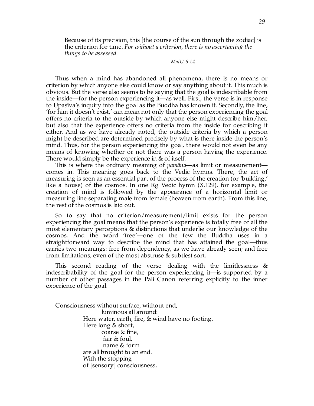Because of its precision, this [the course of the sun through the zodiac] is the criterion for time. *For without a criterion, there is no ascertaining the things to be assessed.*

*MaiU 6.14*

Thus when a mind has abandoned all phenomena, there is no means or criterion by which anyone else could know or say anything about it. This much is obvious. But the verse also seems to be saying that the goal is indescribable from the inside—for the person experiencing it—as well. First, the verse is in response to Upasıva's inquiry into the goal as the Buddha has known it. Secondly, the line, 'for him it doesn't exist,' can mean not only that the person experiencing the goal offers no criteria to the outside by which anyone else might describe him/her, but also that the experience offers no criteria from the inside for describing it either. And as we have already noted, the outside criteria by which a person might be described are determined precisely by what is there inside the person's mind. Thus, for the person experiencing the goal, there would not even be any means of knowing whether or not there was a person having the experience. There would simply be the experience in & of itself.

This is where the ordinary meaning of *pamāna*—as limit or measurement comes in. This meaning goes back to the Vedic hymns. There, the act of measuring is seen as an essential part of the process of the creation (or 'building,' like a house) of the cosmos. In one  $Rg$  Vedic hymn  $(X.129)$ , for example, the creation of mind is followed by the appearance of a horizontal limit or measuring line separating male from female (heaven from earth). From this line, the rest of the cosmos is laid out.

So to say that no criterion/measurement/limit exists for the person experiencing the goal means that the person's experience is totally free of all the most elementary perceptions & distinctions that underlie our knowledge of the cosmos. And the word 'free'—one of the few the Buddha uses in a straightforward way to describe the mind that has attained the goal—thus carries two meanings: free from dependency, as we have already seen; and free from limitations, even of the most abstruse & subtlest sort.

This second reading of the verse—dealing with the limitlessness  $\&$ indescribability of the goal for the person experiencing it—is supported by a number of other passages in the Pali Canon referring explicitly to the inner experience of the goal.

Consciousness without surface, without end, luminous all around: Here water, earth, fire, & wind have no footing. Here long & short, coarse & fine, fair & foul, name & form are all brought to an end. With the stopping of [sensory] consciousness,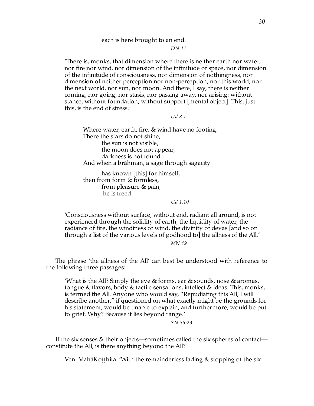#### each is here brought to an end.

*DN 11*

'There is, monks, that dimension where there is neither earth nor water, nor fire nor wind, nor dimension of the infinitude of space, nor dimension of the infinitude of consciousness, nor dimension of nothingness, nor dimension of neither perception nor non-perception, nor this world, nor the next world, nor sun, nor moon. And there, I say, there is neither coming, nor going, nor stasis, nor passing away, nor arising: without stance, without foundation, without support [mental object]. This, just this, is the end of stress.'

*Ud 8:1*

Where water, earth, fire, & wind have no footing: There the stars do not shine, the sun is not visible, the moon does not appear, darkness is not found. And when a brāhman, a sage through sagacity

has known [this] for himself, then from form & formless, from pleasure & pain, he is freed.

*Ud 1:10*

'Consciousness without surface, without end, radiant all around, is not experienced through the solidity of earth, the liquidity of water, the radiance of fire, the windiness of wind, the divinity of devas [and so on through a list of the various levels of godhood to] the allness of the All.'

*MN 49*

The phrase 'the allness of the All' can best be understood with reference to the following three passages:

'What is the All? Simply the eye & forms, ear & sounds, nose & aromas, tongue & flavors, body & tactile sensations, intellect & ideas. This, monks, is termed the All. Anyone who would say, "Repudiating this All, I will describe another," if questioned on what exactly might be the grounds for his statement, would be unable to explain, and furthermore, would be put to grief. Why? Because it lies beyond range.'

*SN 35:23*

If the six senses & their objects—sometimes called the six spheres of contact constitute the All, is there anything beyond the All?

Ven. Mah $\bar{a}$ Kotthita: 'With the remainderless fading & stopping of the six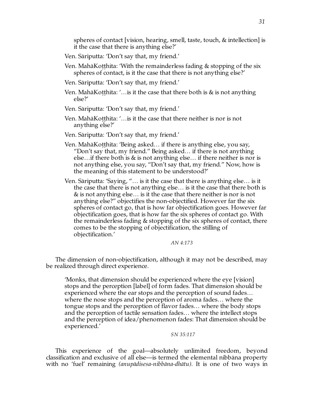spheres of contact [vision, hearing, smell, taste, touch, & intellection] is it the case that there is anything else?'

- Ven. Sariputta: 'Don't say that, my friend.'
- Ven. Mah $\bar{a}$ Kotthita: 'With the remainderless fading & stopping of the six spheres of contact, is it the case that there is not anything else?'
- Ven. Sariputta: 'Don't say that, my friend.'
- Ven. Mah $\bar{a}$ Kotthita: '... is it the case that there both is  $\&$  is not anything else?'

Ven. Sariputta: 'Don't say that, my friend.'

Ven. MahāKotthita: '... is it the case that there neither is nor is not anything else?'

Ven. Sariputta: 'Don't say that, my friend.'

- Ven. Mahā Kotthita: 'Being asked... if there is anything else, you say, "Don't say that, my friend." Being asked… if there is not anything else... if there both is  $\&$  is not anything else... if there neither is nor is not anything else, you say, "Don't say that, my friend." Now, how is the meaning of this statement to be understood?'
- Ven. Sariputta: 'Saying, "... is it the case that there is anything else... is it the case that there is not anything else… is it the case that there both is & is not anything else… is it the case that there neither is nor is not anything else?" objectifies the non-objectified. However far the six spheres of contact go, that is how far objectification goes. However far objectification goes, that is how far the six spheres of contact go. With the remainderless fading & stopping of the six spheres of contact, there comes to be the stopping of objectification, the stilling of objectification.'

*AN 4:173*

The dimension of non-objectification, although it may not be described, may be realized through direct experience.

'Monks, that dimension should be experienced where the eye [vision] stops and the perception [label] of form fades. That dimension should be experienced where the ear stops and the perception of sound fades… where the nose stops and the perception of aroma fades… where the tongue stops and the perception of flavor fades… where the body stops and the perception of tactile sensation fades… where the intellect stops and the perception of idea/phenomenon fades: That dimension should be experienced.'

*SN 35:117*

This experience of the goal—absolutely unlimited freedom, beyond classification and exclusive of all else—is termed the elemental nibbāna property with no 'fuel' remaining *(anupadisesa-nibbana-dhatu)*. It is one of two ways in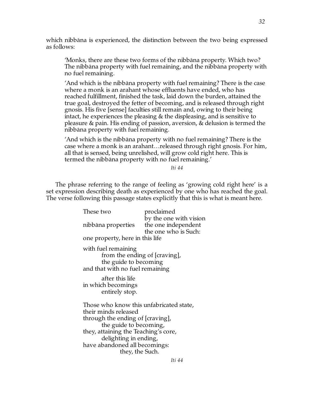which nibbāna is experienced, the distinction between the two being expressed as follows:

'Monks, there are these two forms of the nibbana property. Which two? The nibbana property with fuel remaining, and the nibbana property with no fuel remaining.

'And which is the nibbana property with fuel remaining? There is the case where a monk is an arahant whose effluents have ended, who has reached fulfillment, finished the task, laid down the burden, attained the true goal, destroyed the fetter of becoming, and is released through right gnosis. His five [sense] faculties still remain and, owing to their being intact, he experiences the pleasing & the displeasing, and is sensitive to pleasure & pain. His ending of passion, aversion, & delusion is termed the nibbana property with fuel remaining.

'And which is the nibbana property with no fuel remaining? There is the case where a monk is an arahant…released through right gnosis. For him, all that is sensed, being unrelished, will grow cold right here. This is termed the nibbana property with no fuel remaining.

*Iti 44*

The phrase referring to the range of feeling as 'growing cold right here' is a set expression describing death as experienced by one who has reached the goal. The verse following this passage states explicitly that this is what is meant here.

| These two                                                                                                                                                                                                                                          | proclaimed                                                            |  |
|----------------------------------------------------------------------------------------------------------------------------------------------------------------------------------------------------------------------------------------------------|-----------------------------------------------------------------------|--|
| nibbāna properties<br>one property, here in this life                                                                                                                                                                                              | by the one with vision<br>the one independent<br>the one who is Such: |  |
| with fuel remaining<br>from the ending of [craving],<br>the guide to becoming<br>and that with no fuel remaining                                                                                                                                   |                                                                       |  |
| after this life<br>in which becomings<br>entirely stop.                                                                                                                                                                                            |                                                                       |  |
| Those who know this unfabricated state,<br>their minds released<br>through the ending of [craving],<br>the guide to becoming,<br>they, attaining the Teaching's core,<br>delighting in ending,<br>have abandoned all becomings:<br>they, the Such. |                                                                       |  |

*32*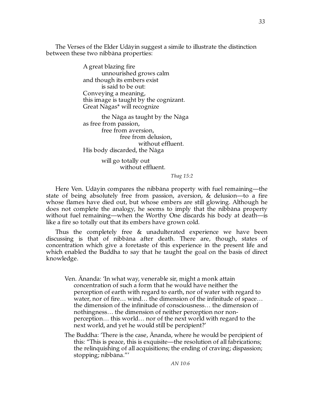The Verses of the Elder Udayin suggest a simile to illustrate the distinction between these two nibbana properties:

> A great blazing fire unnourished grows calm and though its embers exist is said to be out: Conveying a meaning, this image is taught by the cognizant. Great Nāgas\* will recognize

the Nāga as taught by the Nāga as free from passion, free from aversion, free from delusion, without effluent. His body discarded, the Naga

> will go totally out without effluent.

> > *Thag 15:2*

Here Ven. Udayin compares the nibbana property with fuel remaining—the state of being absolutely free from passion, aversion, & delusion—to a fire whose flames have died out, but whose embers are still glowing. Although he does not complete the analogy, he seems to imply that the nibbana property without fuel remaining—when the Worthy One discards his body at death—is like a fire so totally out that its embers have grown cold.

Thus the completely free & unadulterated experience we have been discussing is that of nibbana after death. There are, though, states of concentration which give a foretaste of this experience in the present life and which enabled the Buddha to say that he taught the goal on the basis of direct knowledge.

- Ven. Ananda: 'In what way, venerable sir, might a monk attain concentration of such a form that he would have neither the perception of earth with regard to earth, nor of water with regard to water, nor of fire… wind… the dimension of the infinitude of space… the dimension of the infinitude of consciousness… the dimension of nothingness… the dimension of neither perception nor nonperception… this world… nor of the next world with regard to the next world, and yet he would still be percipient?'
- The Buddha: 'There is the case, Ananda, where he would be percipient of this: "This is peace, this is exquisite—the resolution of all fabrications; the relinquishing of all acquisitions; the ending of craving; dispassion; stopping; nibbāna."'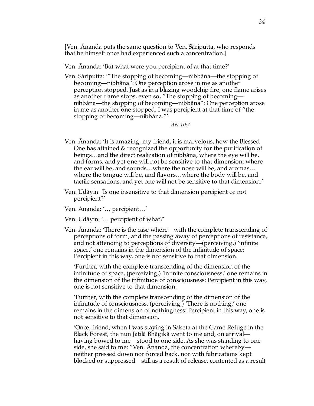[Ven. Ananda puts the same question to Ven. Sariputta, who responds that he himself once had experienced such a concentration.]

Ven. Ananda: 'But what were you percipient of at that time?'

Ven. Sāriputta: "The stopping of becoming—nibbāna—the stopping of becoming—nibbāna": One perception arose in me as another perception stopped. Just as in a blazing woodchip fire, one flame arises as another flame stops, even so, "The stopping of becoming nibbāna—the stopping of becoming—nibbāna": One perception arose in me as another one stopped. I was percipient at that time of "the stopping of becoming—nibbana."'

*AN 10:7*

- Ven. Ananda: 'It is amazing, my friend, it is marvelous, how the Blessed One has attained & recognized the opportunity for the purification of beings...and the direct realization of nibbana, where the eye will be, and forms, and yet one will not be sensitive to that dimension; where the ear will be, and sounds…where the nose will be, and aromas… where the tongue will be, and flavors…where the body will be, and tactile sensations, and yet one will not be sensitive to that dimension.'
- Ven. Udayin: 'Is one insensitive to that dimension percipient or not percipient?'
- Ven. Ananda: '... percipient...'
- Ven. Udāyin: '... percipient of what?'
- Ven. Ananda: 'There is the case where—with the complete transcending of perceptions of form, and the passing away of perceptions of resistance, and not attending to perceptions of diversity—(perceiving,) 'infinite space,' one remains in the dimension of the infinitude of space: Percipient in this way, one is not sensitive to that dimension.

'Further, with the complete transcending of the dimension of the infinitude of space, (perceiving,) 'infinite consciousness,' one remains in the dimension of the infinitude of consciousness: Percipient in this way, one is not sensitive to that dimension.

'Further, with the complete transcending of the dimension of the infinitude of consciousness, (perceiving,) 'There is nothing,' one remains in the dimension of nothingness: Percipient in this way, one is not sensitive to that dimension.

'Once, friend, when I was staying in Saketa at the Game Refuge in the Black Forest, the nun Jaṭilā Bhāgikā went to me and, on arrival having bowed to me—stood to one side. As she was standing to one side, she said to me: "Ven. Ananda, the concentration whereby neither pressed down nor forced back, nor with fabrications kept blocked or suppressed—still as a result of release, contented as a result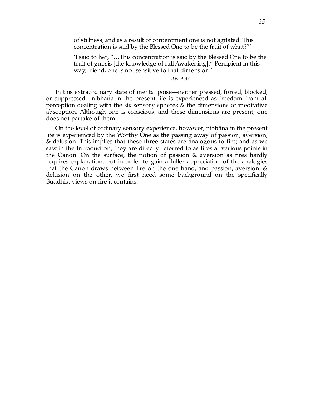of stillness, and as a result of contentment one is not agitated: This concentration is said by the Blessed One to be the fruit of what?"'

'I said to her, "…This concentration is said by the Blessed One to be the fruit of gnosis [the knowledge of full Awakening]." Percipient in this way, friend, one is not sensitive to that dimension.'

#### *AN 9:37*

In this extraordinary state of mental poise—neither pressed, forced, blocked, or suppressed—nibbāna in the present life is experienced as freedom from all perception dealing with the six sensory spheres & the dimensions of meditative absorption. Although one is conscious, and these dimensions are present, one does not partake of them.

On the level of ordinary sensory experience, however, nibbana in the present life is experienced by the Worthy One as the passing away of passion, aversion, & delusion. This implies that these three states are analogous to fire; and as we saw in the Introduction, they are directly referred to as fires at various points in the Canon. On the surface, the notion of passion & aversion as fires hardly requires explanation, but in order to gain a fuller appreciation of the analogies that the Canon draws between fire on the one hand, and passion, aversion,  $\&$ delusion on the other, we first need some background on the specifically Buddhist views on fire it contains.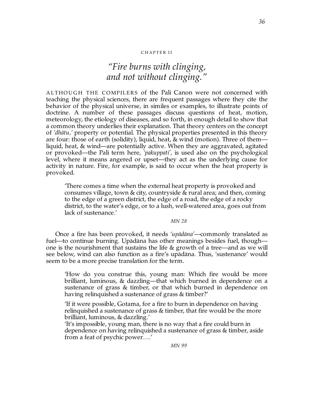#### CHAPTER II

## *"Fire burns with clinging, and not without clinging."*

ALTHOUGH THE COMPILER S of the Pali Canon were not concerned with teaching the physical sciences, there are frequent passages where they cite the behavior of the physical universe, in similes or examples, to illustrate points of doctrine. A number of these passages discuss questions of heat, motion, meteorology, the etiology of diseases, and so forth, in enough detail to show that a common theory underlies their explanation. That theory centers on the concept of *'dhātu*,' property or potential. The physical properties presented in this theory are four: those of earth (solidity), liquid, heat, & wind (motion). Three of them liquid, heat, & wind—are potentially active. When they are aggravated, agitated or provoked—the Pali term here, *'pakuppati',* is used also on the psychological level, where it means angered or upset—they act as the underlying cause for activity in nature. Fire, for example, is said to occur when the heat property is provoked.

'There comes a time when the external heat property is provoked and consumes village, town & city, countryside & rural area; and then, coming to the edge of a green district, the edge of a road, the edge of a rocky district, to the water's edge, or to a lush, well-watered area, goes out from lack of sustenance.'

*MN 28*

Once a fire has been provoked, it needs 'upadana'—commonly translated as fuel—to continue burning. Upādāna has other meanings besides fuel, though one is the nourishment that sustains the life  $\&$  growth of a tree—and as we will see below, wind can also function as a fire's upadana. Thus, 'sustenance' would seem to be a more precise translation for the term.

'How do you construe this, young man: Which fire would be more brilliant, luminous, & dazzling—that which burned in dependence on a sustenance of grass & timber, or that which burned in dependence on having relinquished a sustenance of grass & timber?'

'If it were possible, Gotama, for a fire to burn in dependence on having relinquished a sustenance of grass & timber, that fire would be the more brilliant, luminous, & dazzling.'

'It's impossible, young man, there is no way that a fire could burn in dependence on having relinquished a sustenance of grass & timber, aside from a feat of psychic power….'

*MN 99*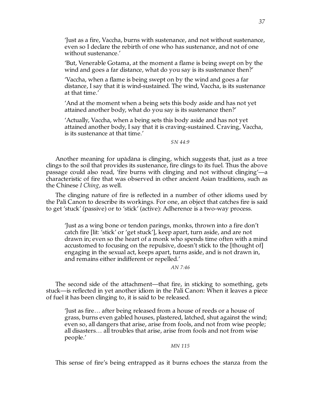'Just as a fire, Vaccha, burns with sustenance, and not without sustenance, even so I declare the rebirth of one who has sustenance, and not of one without sustenance.'

'But, Venerable Gotama, at the moment a flame is being swept on by the wind and goes a far distance, what do you say is its sustenance then?'

'Vaccha, when a flame is being swept on by the wind and goes a far distance, I say that it is wind-sustained. The wind, Vaccha, is its sustenance at that time.'

'And at the moment when a being sets this body aside and has not yet attained another body, what do you say is its sustenance then?'

'Actually, Vaccha, when a being sets this body aside and has not yet attained another body, I say that it is craving-sustained. Craving, Vaccha, is its sustenance at that time.'

*SN 44:9*

Another meaning for upadana is clinging, which suggests that, just as a tree clings to the soil that provides its sustenance, fire clings to its fuel. Thus the above passage could also read, 'fire burns with clinging and not without clinging'—a characteristic of fire that was observed in other ancient Asian traditions, such as the Chinese *I Ching,* as well.

The clinging nature of fire is reflected in a number of other idioms used by the Pali Canon to describe its workings. For one, an object that catches fire is said to get 'stuck' (passive) or to 'stick' (active): Adherence is a two-way process.

'Just as a wing bone or tendon parings, monks, thrown into a fire don't catch fire [lit: 'stick' or 'get stuck'], keep apart, turn aside, and are not drawn in; even so the heart of a monk who spends time often with a mind accustomed to focusing on the repulsive, doesn't stick to the [thought of] engaging in the sexual act, keeps apart, turns aside, and is not drawn in, and remains either indifferent or repelled.'

*AN 7:46*

The second side of the attachment—that fire, in sticking to something, gets stuck—is reflected in yet another idiom in the Pali Canon: When it leaves a piece of fuel it has been clinging to, it is said to be released.

'Just as fire… after being released from a house of reeds or a house of grass, burns even gabled houses, plastered, latched, shut against the wind; even so, all dangers that arise, arise from fools, and not from wise people; all disasters… all troubles that arise, arise from fools and not from wise people.'

*MN 115*

This sense of fire's being entrapped as it burns echoes the stanza from the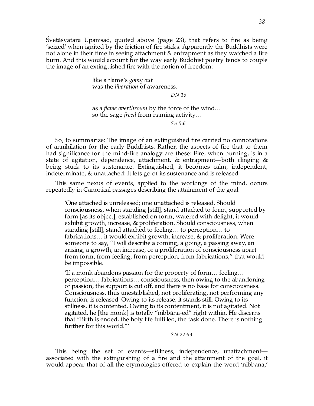Śvetāśvatara Upaniṣad, quoted above (page 23), that refers to fire as being 'seized' when ignited by the friction of fire sticks. Apparently the Buddhists were not alone in their time in seeing attachment & entrapment as they watched a fire burn. And this would account for the way early Buddhist poetry tends to couple the image of an extinguished fire with the notion of freedom:

> like a flame's *going out* was the *liberation* of awareness.

> > *DN 16*

as a *flame overthrown* by the force of the wind… so the sage *freed* from naming activity…

*Sn 5:6*

So, to summarize: The image of an extinguished fire carried no connotations of annihilation for the early Buddhists. Rather, the aspects of fire that to them had significance for the mind-fire analogy are these: Fire, when burning, is in a state of agitation, dependence, attachment, & entrapment—both clinging & being stuck to its sustenance. Extinguished, it becomes calm, independent, indeterminate, & unattached: It lets go of its sustenance and is released.

This same nexus of events, applied to the workings of the mind, occurs repeatedly in Canonical passages describing the attainment of the goal:

'One attached is unreleased; one unattached is released. Should consciousness, when standing [still], stand attached to form, supported by form [as its object], established on form, watered with delight, it would exhibit growth, increase, & proliferation. Should consciousness, when standing [still], stand attached to feeling… to perception… to fabrications… it would exhibit growth, increase, & proliferation. Were someone to say, "I will describe a coming, a going, a passing away, an arising, a growth, an increase, or a proliferation of consciousness apart from form, from feeling, from perception, from fabrications," that would be impossible.

'If a monk abandons passion for the property of form… feeling… perception… fabrications… consciousness, then owing to the abandoning of passion, the support is cut off, and there is no base for consciousness. Consciousness, thus unestablished, not proliferating, not performing any function, is released. Owing to its release, it stands still. Owing to its stillness, it is contented. Owing to its contentment, it is not agitated. Not agitated, he [the monk] is totally "nibbāna-ed" right within. He discerns that "Birth is ended, the holy life fulfilled, the task done. There is nothing further for this world."'

*SN 22:53*

This being the set of events—stillness, independence, unattachment associated with the extinguishing of a fire and the attainment of the goal, it would appear that of all the etymologies offered to explain the word 'nibbana,'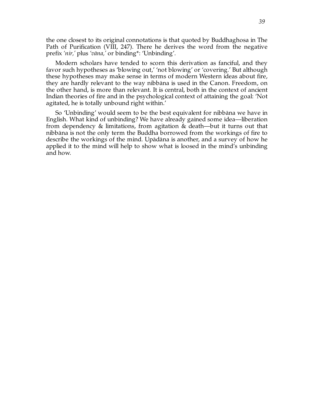the one closest to its original connotations is that quoted by Buddhaghosa in The Path of Purification (VIII, 247). There he derives the word from the negative prefix 'nir,' plus 'vāna,' or binding\*: 'Unbinding'.

Modern scholars have tended to scorn this derivation as fanciful, and they favor such hypotheses as 'blowing out,' 'not blowing' or 'covering.' But although these hypotheses may make sense in terms of modern Western ideas about fire, they are hardly relevant to the way nibbana is used in the Canon. Freedom, on the other hand, is more than relevant. It is central, both in the context of ancient Indian theories of fire and in the psychological context of attaining the goal: 'Not agitated, he is totally unbound right within.'

So 'Unbinding' would seem to be the best equivalent for nibbana we have in English. What kind of unbinding? We have already gained some idea—liberation from dependency & limitations, from agitation & death—but it turns out that nibbana is not the only term the Buddha borrowed from the workings of fire to describe the workings of the mind. Upadana is another, and a survey of how he applied it to the mind will help to show what is loosed in the mind's unbinding and how.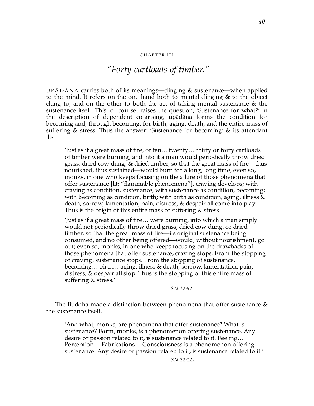### CHAPTER III

# *"Forty cartloads of timber."*

UPĀDĀNA carries both of its meanings—clinging  $&$  sustenance—when applied to the mind. It refers on the one hand both to mental clinging & to the object clung to, and on the other to both the act of taking mental sustenance & the sustenance itself. This, of course, raises the question, 'Sustenance for what?' In the description of dependent co-arising, upadana forms the condition for becoming and, through becoming, for birth, aging, death, and the entire mass of suffering & stress. Thus the answer: 'Sustenance for becoming' & its attendant ills.

'Just as if a great mass of fire, of ten… twenty… thirty or forty cartloads of timber were burning, and into it a man would periodically throw dried grass, dried cow dung, & dried timber, so that the great mass of fire—thus nourished, thus sustained—would burn for a long, long time; even so, monks, in one who keeps focusing on the allure of those phenomena that offer sustenance [lit: "flammable phenomena"], craving develops; with craving as condition, sustenance; with sustenance as condition, becoming; with becoming as condition, birth; with birth as condition, aging, illness  $\&$ death, sorrow, lamentation, pain, distress, & despair all come into play. Thus is the origin of this entire mass of suffering & stress.

'Just as if a great mass of fire… were burning, into which a man simply would not periodically throw dried grass, dried cow dung, or dried timber, so that the great mass of fire—its original sustenance being consumed, and no other being offered—would, without nourishment, go out; even so, monks, in one who keeps focusing on the drawbacks of those phenomena that offer sustenance, craving stops. From the stopping of craving, sustenance stops. From the stopping of sustenance, becoming… birth… aging, illness & death, sorrow, lamentation, pain, distress, & despair all stop. Thus is the stopping of this entire mass of suffering & stress.'

### *SN 12:52*

The Buddha made a distinction between phenomena that offer sustenance  $\&$ the sustenance itself.

'And what, monks, are phenomena that offer sustenance? What is sustenance? Form, monks, is a phenomenon offering sustenance. Any desire or passion related to it, is sustenance related to it. Feeling… Perception… Fabrications… Consciousness is a phenomenon offering sustenance. Any desire or passion related to it, is sustenance related to it.'

*SN 22:121*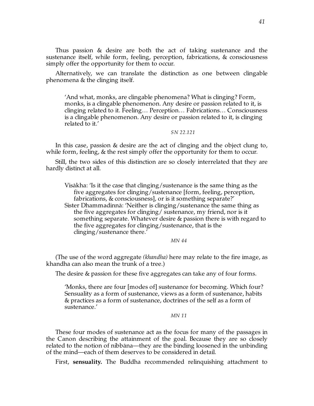Thus passion & desire are both the act of taking sustenance and the sustenance itself, while form, feeling, perception, fabrications, & consciousness simply offer the opportunity for them to occur.

Alternatively, we can translate the distinction as one between clingable phenomena & the clinging itself.

'And what, monks, are clingable phenomena? What is clinging? Form, monks, is a clingable phenomenon. Any desire or passion related to it, is clinging related to it. Feeling… Perception… Fabrications… Consciousness is a clingable phenomenon. Any desire or passion related to it, is clinging related to it.'

## *SN 22.121*

In this case, passion & desire are the act of clinging and the object clung to, while form, feeling, & the rest simply offer the opportunity for them to occur.

Still, the two sides of this distinction are so closely interrelated that they are hardly distinct at all.

Visākha: 'Is it the case that clinging/sustenance is the same thing as the five aggregates for clinging/sustenance [form, feeling, perception, fabrications, & consciousness], or is it something separate?' Sister Dhammadinnā: 'Neither is clinging/sustenance the same thing as the five aggregates for clinging/ sustenance, my friend, nor is it something separate. Whatever desire & passion there is with regard to the five aggregates for clinging/sustenance, that is the clinging/sustenance there.'

### *MN 44*

(The use of the word aggregate *(khandha)* here may relate to the fire image, as khandha can also mean the trunk of a tree.)

The desire & passion for these five aggregates can take any of four forms.

'Monks, there are four [modes of] sustenance for becoming. Which four? Sensuality as a form of sustenance, views as a form of sustenance, habits & practices as a form of sustenance, doctrines of the self as a form of sustenance.'

### *MN 11*

These four modes of sustenance act as the focus for many of the passages in the Canon describing the attainment of the goal. Because they are so closely related to the notion of nibbana—they are the binding loosened in the unbinding of the mind—each of them deserves to be considered in detail.

First, **sensuality.** The Buddha recommended relinquishing attachment to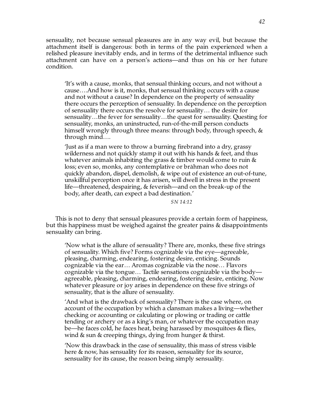sensuality, not because sensual pleasures are in any way evil, but because the attachment itself is dangerous: both in terms of the pain experienced when a relished pleasure inevitably ends, and in terms of the detrimental influence such attachment can have on a person's actions—and thus on his or her future condition.

'It's with a cause, monks, that sensual thinking occurs, and not without a cause….And how is it, monks, that sensual thinking occurs with a cause and not without a cause? In dependence on the property of sensuality there occurs the perception of sensuality. In dependence on the perception of sensuality there occurs the resolve for sensuality… the desire for sensuality…the fever for sensuality…the quest for sensuality. Questing for sensuality, monks, an uninstructed, run-of-the-mill person conducts himself wrongly through three means: through body, through speech, & through mind….

'Just as if a man were to throw a burning firebrand into a dry, grassy wilderness and not quickly stamp it out with his hands & feet, and thus whatever animals inhabiting the grass & timber would come to ruin & loss; even so, monks, any contemplative or brāhman who does not quickly abandon, dispel, demolish, & wipe out of existence an out-of-tune, unskillful perception once it has arisen, will dwell in stress in the present life—threatened, despairing, & feverish—and on the break-up of the body, after death, can expect a bad destination.'

*SN 14:12*

This is not to deny that sensual pleasures provide a certain form of happiness, but this happiness must be weighed against the greater pains & disappointments sensuality can bring.

'Now what is the allure of sensuality? There are, monks, these five strings of sensuality. Which five? Forms cognizable via the eye—agreeable, pleasing, charming, endearing, fostering desire, enticing. Sounds cognizable via the ear… Aromas cognizable via the nose… Flavors cognizable via the tongue… Tactile sensations cognizable via the body agreeable, pleasing, charming, endearing, fostering desire, enticing. Now whatever pleasure or joy arises in dependence on these five strings of sensuality, that is the allure of sensuality.

'And what is the drawback of sensuality? There is the case where, on account of the occupation by which a clansman makes a living—whether checking or accounting or calculating or plowing or trading or cattle tending or archery or as a king's man, or whatever the occupation may be—he faces cold, he faces heat, being harassed by mosquitoes & flies, wind & sun & creeping things, dying from hunger & thirst.

'Now this drawback in the case of sensuality, this mass of stress visible here & now, has sensuality for its reason, sensuality for its source, sensuality for its cause, the reason being simply sensuality.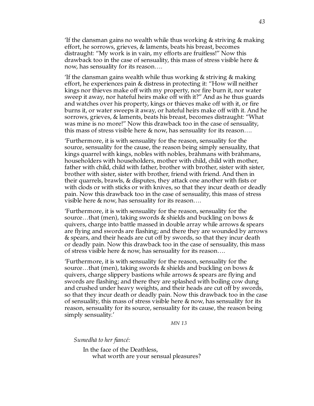'If the clansman gains no wealth while thus working & striving & making effort, he sorrows, grieves, & laments, beats his breast, becomes distraught: "My work is in vain, my efforts are fruitless!" Now this drawback too in the case of sensuality, this mass of stress visible here  $\&$ now, has sensuality for its reason….

'If the clansman gains wealth while thus working & striving & making effort, he experiences pain & distress in protecting it: "How will neither kings nor thieves make off with my property, nor fire burn it, nor water sweep it away, nor hateful heirs make off with it?" And as he thus guards and watches over his property, kings or thieves make off with it, or fire burns it, or water sweeps it away, or hateful heirs make off with it. And he sorrows, grieves, & laments, beats his breast, becomes distraught: "What was mine is no more!" Now this drawback too in the case of sensuality, this mass of stress visible here & now, has sensuality for its reason….

'Furthermore, it is with sensuality for the reason, sensuality for the source, sensuality for the cause, the reason being simply sensuality, that kings quarrel with kings, nobles with nobles, brāhmans with brāhmans, householders with householders, mother with child, child with mother, father with child, child with father, brother with brother, sister with sister, brother with sister, sister with brother, friend with friend. And then in their quarrels, brawls, & disputes, they attack one another with fists or with clods or with sticks or with knives, so that they incur death or deadly pain. Now this drawback too in the case of sensuality, this mass of stress visible here & now, has sensuality for its reason….

'Furthermore, it is with sensuality for the reason, sensuality for the source…that (men), taking swords & shields and buckling on bows & quivers, charge into battle massed in double array while arrows & spears are flying and swords are flashing; and there they are wounded by arrows & spears, and their heads are cut off by swords, so that they incur death or deadly pain. Now this drawback too in the case of sensuality, this mass of stress visible here & now, has sensuality for its reason….

'Furthermore, it is with sensuality for the reason, sensuality for the source…that (men), taking swords & shields and buckling on bows & quivers, charge slippery bastions while arrows & spears are flying and swords are flashing; and there they are splashed with boiling cow dung and crushed under heavy weights, and their heads are cut off by swords, so that they incur death or deadly pain. Now this drawback too in the case of sensuality, this mass of stress visible here & now, has sensuality for its reason, sensuality for its source, sensuality for its cause, the reason being simply sensuality.'

*MN 13*

Sumedhā to her fiancé:

In the face of the Deathless, what worth are your sensual pleasures?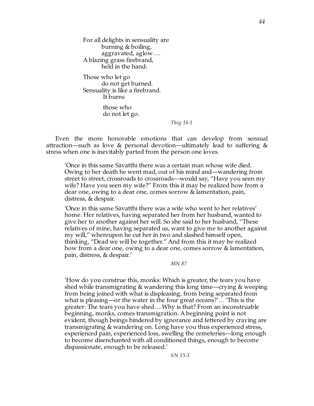For all delights in sensuality are burning & boiling, aggravated, aglow…. A blazing grass firebrand, held in the hand:

Those who let go do not get burned. Sensuality is like a firebrand. It burns

> those who do not let go.

> > *Thig 16:1*

Even the more honorable emotions that can develop from sensual attraction—such as love & personal devotion—ultimately lead to suffering & stress when one is inevitably parted from the person one loves.

'Once in this same Sāvatthī there was a certain man whose wife died. Owing to her death he went mad, out of his mind and—wandering from street to street, crossroads to crossroads—would say, "Have you seen my wife? Have you seen my wife?" From this it may be realized how from a dear one, owing to a dear one, comes sorrow & lamentation, pain, distress, & despair.

'Once in this same Savatthi there was a wife who went to her relatives' home. Her relatives, having separated her from her husband, wanted to give her to another against her will. So she said to her husband, "These relatives of mine, having separated us, want to give me to another against my will," whereupon he cut her in two and slashed himself open, thinking, "Dead we will be together." And from this it may be realized how from a dear one, owing to a dear one, comes sorrow & lamentation, pain, distress, & despair.'

*MN 87*

'How do you construe this, monks: Which is greater, the tears you have shed while transmigrating & wandering this long time—crying & weeping from being joined with what is displeasing, from being separated from what is pleasing—or the water in the four great oceans?'… 'This is the greater: The tears you have shed….Why is that? From an inconstruable beginning, monks, comes transmigration. A beginning point is not evident, though beings hindered by ignorance and fettered by craving are transmigrating & wandering on. Long have you thus experienced stress, experienced pain, experienced loss, swelling the cemeteries—long enough to become disenchanted with all conditioned things, enough to become dispassionate, enough to be released.'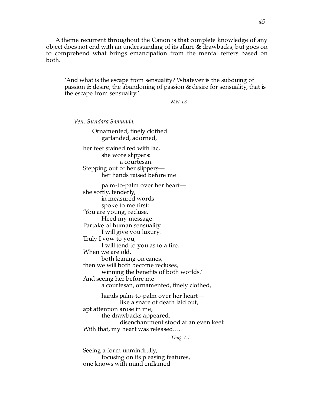A theme recurrent throughout the Canon is that complete knowledge of any object does not end with an understanding of its allure & drawbacks, but goes on to comprehend what brings emancipation from the mental fetters based on both.

'And what is the escape from sensuality? Whatever is the subduing of passion & desire, the abandoning of passion & desire for sensuality, that is the escape from sensuality.'

*MN 13*

*Ven. Sundara Samudda:* Ornamented, finely clothed garlanded, adorned, her feet stained red with lac, she wore slippers: a courtesan. Stepping out of her slippers her hands raised before me palm-to-palm over her heart she softly, tenderly, in measured words spoke to me first: 'You are young, recluse. Heed my message: Partake of human sensuality. I will give you luxury. Truly I vow to you, I will tend to you as to a fire. When we are old, both leaning on canes, then we will both become recluses, winning the benefits of both worlds.' And seeing her before me a courtesan, ornamented, finely clothed, hands palm-to-palm over her heart like a snare of death laid out, apt attention arose in me, the drawbacks appeared, disenchantment stood at an even keel: With that, my heart was released.... *Thag 7:1*

Seeing a form unmindfully, focusing on its pleasing features, one knows with mind enflamed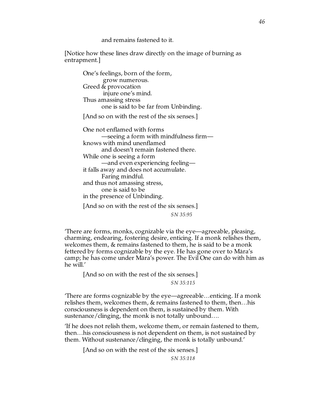and remains fastened to it.

[Notice how these lines draw directly on the image of burning as entrapment.]

One's feelings, born of the form, grow numerous. Greed & provocation injure one's mind. Thus amassing stress one is said to be far from Unbinding. [And so on with the rest of the six senses.] One not enflamed with forms —seeing a form with mindfulness firm knows with mind unenflamed and doesn't remain fastened there. While one is seeing a form —and even experiencing feeling it falls away and does not accumulate. Faring mindful. and thus not amassing stress, one is said to be in the presence of Unbinding. [And so on with the rest of the six senses.]

*SN 35:95*

'There are forms, monks, cognizable via the eye—agreeable, pleasing, charming, endearing, fostering desire, enticing. If a monk relishes them, welcomes them, & remains fastened to them, he is said to be a monk fettered by forms cognizable by the eye. He has gone over to Māra's camp; he has come under Māra's power. The Evil One can do with him as he will.'

[And so on with the rest of the six senses.]

*SN 35:115*

'There are forms cognizable by the eye—agreeable…enticing. If a monk relishes them, welcomes them, & remains fastened to them, then…his consciousness is dependent on them, is sustained by them. With sustenance/clinging, the monk is not totally unbound....

'If he does not relish them, welcome them, or remain fastened to them, then…his consciousness is not dependent on them, is not sustained by them. Without sustenance/clinging, the monk is totally unbound.'

[And so on with the rest of the six senses.]

*SN 35:118*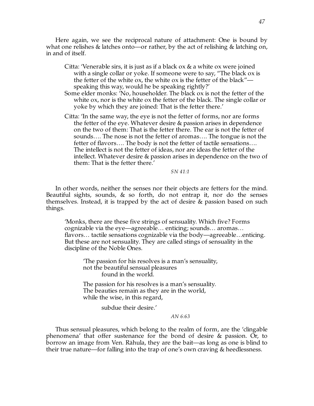Here again, we see the reciprocal nature of attachment: One is bound by what one relishes & latches onto—or rather, by the act of relishing & latching on, in and of itself.

- Citta: 'Venerable sirs, it is just as if a black ox & a white ox were joined with a single collar or yoke. If someone were to say, "The black ox is the fetter of the white ox, the white ox is the fetter of the black" speaking this way, would he be speaking rightly?'
- Some elder monks: 'No, householder. The black ox is not the fetter of the white ox, nor is the white ox the fetter of the black. The single collar or yoke by which they are joined: That is the fetter there.'
- Citta: 'In the same way, the eye is not the fetter of forms, nor are forms the fetter of the eye. Whatever desire & passion arises in dependence on the two of them: That is the fetter there. The ear is not the fetter of sounds…. The nose is not the fetter of aromas…. The tongue is not the fetter of flavors…. The body is not the fetter of tactile sensations…. The intellect is not the fetter of ideas, nor are ideas the fetter of the intellect. Whatever desire & passion arises in dependence on the two of them: That is the fetter there.'

*SN 41:1*

In other words, neither the senses nor their objects are fetters for the mind. Beautiful sights, sounds,  $\&$  so forth, do not entrap it, nor do the senses themselves. Instead, it is trapped by the act of desire & passion based on such things.

'Monks, there are these five strings of sensuality. Which five? Forms cognizable via the eye—agreeable… enticing; sounds… aromas… flavors... tactile sensations cognizable via the body—agreeable...enticing. But these are not sensuality. They are called stings of sensuality in the discipline of the Noble Ones.

'The passion for his resolves is a man's sensuality, not the beautiful sensual pleasures found in the world.

The passion for his resolves is a man's sensuality. The beauties remain as they are in the world, while the wise, in this regard,

subdue their desire.'

*AN 6:63*

Thus sensual pleasures, which belong to the realm of form, are the 'clingable phenomena' that offer sustenance for the bond of desire & passion. Or, to borrow an image from Ven. Rāhula, they are the bait—as long as one is blind to their true nature—for falling into the trap of one's own craving & heedlessness.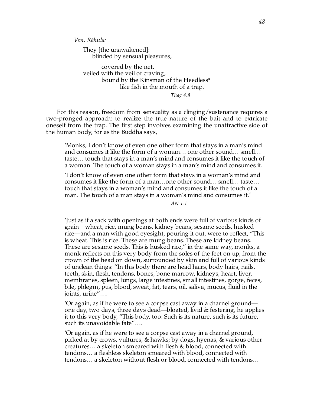*Ven. R›hula:*

They [the unawakened]: blinded by sensual pleasures,

covered by the net, veiled with the veil of craving, bound by the Kinsman of the Heedless\* like fish in the mouth of a trap.

*Thag 4:8*

 For this reason, freedom from sensuality as a clinging/sustenance requires a two-pronged approach: to realize the true nature of the bait and to extricate oneself from the trap. The first step involves examining the unattractive side of the human body, for as the Buddha says,

'Monks, I don't know of even one other form that stays in a man's mind and consumes it like the form of a woman… one other sound… smell… taste… touch that stays in a man's mind and consumes it like the touch of a woman. The touch of a woman stays in a man's mind and consumes it.

'I don't know of even one other form that stays in a woman's mind and consumes it like the form of a man…one other sound… smell… taste… touch that stays in a woman's mind and consumes it like the touch of a man. The touch of a man stays in a woman's mind and consumes it.'

*AN 1:1*

'Just as if a sack with openings at both ends were full of various kinds of grain—wheat, rice, mung beans, kidney beans, sesame seeds, husked rice—and a man with good eyesight, pouring it out, were to reflect, "This is wheat. This is rice. These are mung beans. These are kidney beans. These are sesame seeds. This is husked rice," in the same way, monks, a monk reflects on this very body from the soles of the feet on up, from the crown of the head on down, surrounded by skin and full of various kinds of unclean things: "In this body there are head hairs, body hairs, nails, teeth, skin, flesh, tendons, bones, bone marrow, kidneys, heart, liver, membranes, spleen, lungs, large intestines, small intestines, gorge, feces, bile, phlegm, pus, blood, sweat, fat, tears, oil, saliva, mucus, fluid in the joints, urine"….

'Or again, as if he were to see a corpse cast away in a charnel ground one day, two days, three days dead—bloated, livid & festering, he applies it to this very body, "This body, too: Such is its nature, such is its future, such its unavoidable fate"….

'Or again, as if he were to see a corpse cast away in a charnel ground, picked at by crows, vultures, & hawks; by dogs, hyenas, & various other creatures… a skeleton smeared with flesh & blood, connected with tendons… a fleshless skeleton smeared with blood, connected with tendons… a skeleton without flesh or blood, connected with tendons…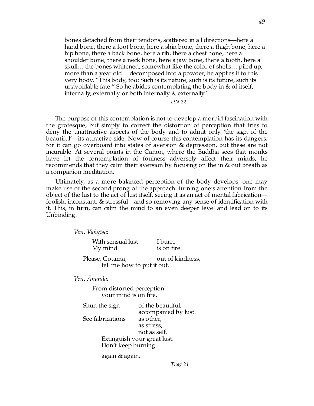bones detached from their tendons, scattered in all directions—here a hand bone, there a foot bone, here a shin bone, there a thigh bone, here a hip bone, there a back bone, here a rib, there a chest bone, here a shoulder bone, there a neck bone, here a jaw bone, there a tooth, here a skull… the bones whitened, somewhat like the color of shells… piled up, more than a year old… decomposed into a powder, he applies it to this very body, "This body, too: Such is its nature, such is its future, such its unavoidable fate." So he abides contemplating the body in & of itself, internally, externally or both internally & externally.'

### *DN 22*

The purpose of this contemplation is not to develop a morbid fascination with the grotesque, but simply to correct the distortion of perception that tries to deny the unattractive aspects of the body and to admit only 'the sign of the beautiful'—its attractive side. Now of course this contemplation has its dangers, for it can go overboard into states of aversion & depression, but these are not incurable. At several points in the Canon, where the Buddha sees that monks have let the contemplation of foulness adversely affect their minds, he recommends that they calm their aversion by focusing on the in & out breath as a companion meditation.

Ultimately, as a more balanced perception of the body develops, one may make use of the second prong of the approach: turning one's attention from the object of the lust to the act of lust itself, seeing it as an act of mental fabrication foolish, inconstant, & stressful—and so removing any sense of identification with it. This, in turn, can calm the mind to an even deeper level and lead on to its Unbinding.

*Ven. Vangisa:* 

| With sensual lust<br>My mind | I burn.<br>is on fire. |
|------------------------------|------------------------|
|                              |                        |

Please, Gotama, but of kindness, tell me how to put it out.

*Ven. finanda:* 

From distorted perception your mind is on fire.

Shun the sign of the beautiful, accompanied by lust. See fabrications as other, as stress, not as self. Extinguish your great lust. Don't keep burning again & again.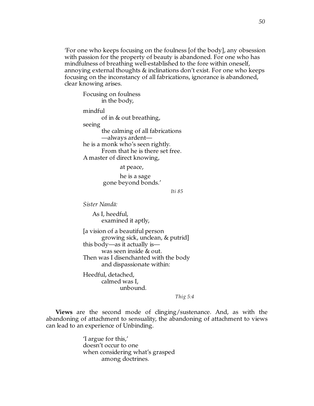'For one who keeps focusing on the foulness [of the body], any obsession with passion for the property of beauty is abandoned. For one who has mindfulness of breathing well-established to the fore within oneself, annoying external thoughts & inclinations don't exist. For one who keeps focusing on the inconstancy of all fabrications, ignorance is abandoned, clear knowing arises.

Focusing on foulness in the body, mindful of in & out breathing, seeing the calming of all fabrications —always ardent he is a monk who's seen rightly. From that he is there set free. A master of direct knowing, at peace,

he is a sage

gone beyond bonds.'

*Iti 85*

*Sister Nandā:* 

As I, heedful, examined it aptly,

[a vision of a beautiful person growing sick, unclean, & putrid] this body—as it actually is was seen inside & out. Then was I disenchanted with the body and dispassionate within:

Heedful, detached, calmed was I, unbound.

*Thig 5:4*

**Views** are the second mode of clinging/sustenance. And, as with the abandoning of attachment to sensuality, the abandoning of attachment to views can lead to an experience of Unbinding.

> 'I argue for this,' doesn't occur to one when considering what's grasped among doctrines.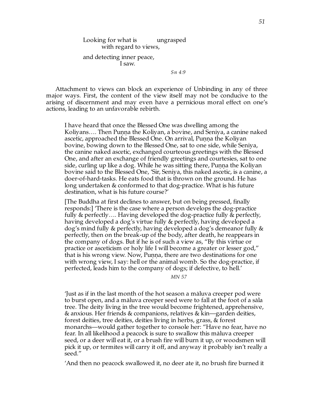# Looking for what is ungrasped with regard to views, and detecting inner peace, I saw. *Sn 4:9*

Attachment to views can block an experience of Unbinding in any of three major ways. First, the content of the view itself may not be conducive to the arising of discernment and may even have a pernicious moral effect on one's actions, leading to an unfavorable rebirth.

I have heard that once the Blessed One was dwelling among the Koliyans…. Then Puṇṇa the Koliyan, a bovine, and Seniya, a canine naked ascetic, approached the Blessed One. On arrival, Punna the Koliyan bovine, bowing down to the Blessed One, sat to one side, while Seniya, the canine naked ascetic, exchanged courteous greetings with the Blessed One, and after an exchange of friendly greetings and courtesies, sat to one side, curling up like a dog. While he was sitting there, Punna the Koliyan bovine said to the Blessed One, 'Sir, Seniya, this naked ascetic, is a canine, a doer-of-hard-tasks. He eats food that is thrown on the ground. He has long undertaken & conformed to that dog-practice. What is his future destination, what is his future course?'

[The Buddha at first declines to answer, but on being pressed, finally responds:] 'There is the case where a person develops the dog-practice fully & perfectly…. Having developed the dog-practice fully & perfectly, having developed a dog's virtue fully & perfectly, having developed a dog's mind fully & perfectly, having developed a dog's demeanor fully & perfectly, then on the break-up of the body, after death, he reappears in the company of dogs. But if he is of such a view as, "By this virtue or practice or asceticism or holy life I will become a greater or lesser god," that is his wrong view. Now, Punna, there are two destinations for one with wrong view, I say: hell or the animal womb. So the dog-practice, if perfected, leads him to the company of dogs; if defective, to hell.'

*MN 57*

Just as if in the last month of the hot season a maluva creeper pod were to burst open, and a maluva creeper seed were to fall at the foot of a sala tree. The deity living in the tree would become frightened, apprehensive, & anxious. Her friends & companions, relatives & kin—garden deities, forest deities, tree deities, deities living in herbs, grass, & forest monarchs—would gather together to console her: "Have no fear, have no fear. In all likelihood a peacock is sure to swallow this maluva creeper seed, or a deer will eat it, or a brush fire will burn it up, or woodsmen will pick it up, or termites will carry it off, and anyway it probably isn't really a seed."

'And then no peacock swallowed it, no deer ate it, no brush fire burned it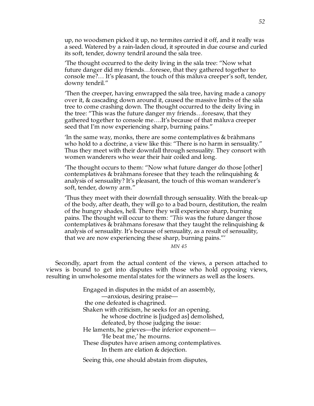up, no woodsmen picked it up, no termites carried it off, and it really was a seed. Watered by a rain-laden cloud, it sprouted in due course and curled its soft, tender, downy tendril around the sala tree.

The thought occurred to the deity living in the sala tree: "Now what future danger did my friends…foresee, that they gathered together to console me?... It's pleasant, the touch of this maluva creeper's soft, tender, downy tendril."

Then the creeper, having enwrapped the sala tree, having made a canopy over it, & cascading down around it, caused the massive limbs of the sala tree to come crashing down. The thought occurred to the deity living in the tree: "This was the future danger my friends…foresaw, that they gathered together to console me....It's because of that maluva creeper seed that I'm now experiencing sharp, burning pains."

In the same way, monks, there are some contemplatives  $\&$  brahmans who hold to a doctrine, a view like this: "There is no harm in sensuality." Thus they meet with their downfall through sensuality. They consort with women wanderers who wear their hair coiled and long.

'The thought occurs to them: "Now what future danger do those [other] contemplatives & brāhmans foresee that they teach the relinquishing  $\&$ analysis of sensuality? It's pleasant, the touch of this woman wanderer's soft, tender, downy arm."

'Thus they meet with their downfall through sensuality. With the break-up of the body, after death, they will go to a bad bourn, destitution, the realm of the hungry shades, hell. There they will experience sharp, burning pains. The thought will occur to them: *"This* was the future danger those contemplatives & brāhmans foresaw that they taught the relinquishing  $\&$ analysis of sensuality. It's because of sensuality, as a result of sensuality, that we are now experiencing these sharp, burning pains."'

*MN 45*

Secondly, apart from the actual content of the views, a person attached to views is bound to get into disputes with those who hold opposing views, resulting in unwholesome mental states for the winners as well as the losers.

> Engaged in disputes in the midst of an assembly, —anxious, desiring praise the one defeated is chagrined. Shaken with criticism, he seeks for an opening. he whose doctrine is [judged as] demolished, defeated, by those judging the issue: He laments, he grieves—the inferior exponent— 'He beat me,' he mourns. These disputes have arisen among contemplatives. In them are elation & dejection.

Seeing this, one should abstain from disputes,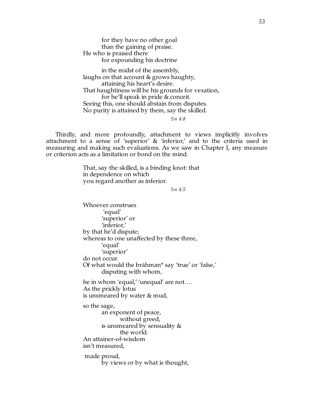for they have no other goal than the gaining of praise. He who is praised there for expounding his doctrine in the midst of the assembly,

laughs on that account & grows haughty, attaining his heart's desire. That haughtiness will be his grounds for vexation, for he'll speak in pride & conceit. Seeing this, one should abstain from disputes. No purity is attained by them, say the skilled.

*Sn 4:8*

Thirdly, and more profoundly, attachment to views implicitly involves attachment to a sense of 'superior' & 'inferior,' and to the criteria used in measuring and making such evaluations. As we saw in Chapter I, any measure or criterion acts as a limitation or bond on the mind.

> That, say the skilled, is a binding knot: that in dependence on which you regard another as inferior.

> > *Sn 4:5*

Whoever construes 'equal' 'superior' or 'inferior,' by that he'd dispute; whereas to one unaffected by these three, 'equal' 'superior' do not occur. Of what would the brāhman\* say 'true' or 'false,' disputing with whom, he in whom 'equal,' 'unequal' are not…. As the prickly lotus is unsmeared by water & mud, so the sage, an exponent of peace, without greed, is unsmeared by sensuality & the world. An attainer-of-wisdom isn't measured, made proud, by views or by what is thought,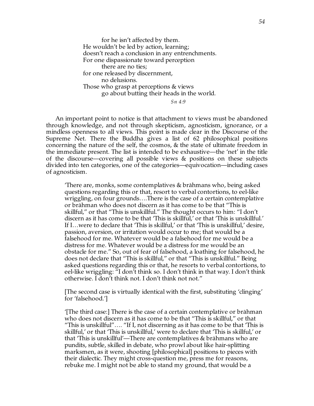for he isn't affected by them. He wouldn't be led by action, learning; doesn't reach a conclusion in any entrenchments. For one dispassionate toward perception there are no ties; for one released by discernment, no delusions. Those who grasp at perceptions & views go about butting their heads in the world. *Sn 4:9*

An important point to notice is that attachment to views must be abandoned through knowledge, and not through skepticism, agnosticism, ignorance, or a mindless openness to all views. This point is made clear in the Discourse of the Supreme Net. There the Buddha gives a list of 62 philosophical positions concerning the nature of the self, the cosmos, & the state of ultimate freedom in the immediate present. The list is intended to be exhaustive—the 'net' in the title of the discourse—covering all possible views & positions on these subjects divided into ten categories, one of the categories—equivocation—including cases of agnosticism.

There are, monks, some contemplatives  $\&$  brāhmans who, being asked questions regarding this or that, resort to verbal contortions, to eel-like wriggling, on four grounds….There is the case of a certain contemplative or brāhman who does not discern as it has come to be that "This is skillful," or that "This is unskillful." The thought occurs to him: "I don't discern as it has come to be that 'This is skillful,' or that 'This is unskillful.' If I…were to declare that 'This is skillful,' or that 'This is unskillful,' desire, passion, aversion, or irritation would occur to me; that would be a falsehood for me. Whatever would be a falsehood for me would be a distress for me. Whatever would be a distress for me would be an obstacle for me." So, out of fear of falsehood, a loathing for falsehood, he does not declare that "This is skillful," or that "This is unskillful." Being asked questions regarding this or that, he resorts to verbal contortions, to eel-like wriggling: "I don't think so. I don't think in that way. I don't think otherwise. I don't think not. I don't think not not."

[The second case is virtually identical with the first, substituting 'clinging' for 'falsehood.']

'[The third case:] There is the case of a certain contemplative or brāhman who does not discern as it has come to be that "This is skillful," or that "This is unskillful"…. "If I, not discerning as it has come to be that 'This is skillful,' or that 'This is unskillful,' were to declare that 'This is skillful,' or that 'This is unskillful'—There are contemplatives & brāhmans who are pundits, subtle, skilled in debate, who prowl about like hair-splitting marksmen, as it were, shooting [philosophical] positions to pieces with their dialectic. They might cross-question me, press me for reasons, rebuke me. I might not be able to stand my ground, that would be a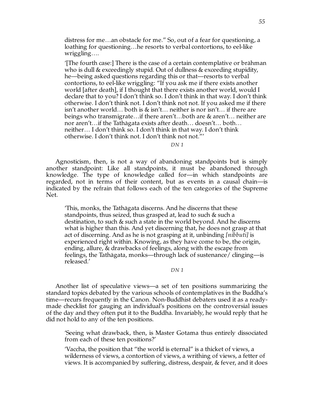distress for me…an obstacle for me." So, out of a fear for questioning, a loathing for questioning…he resorts to verbal contortions, to eel-like wriggling….

'[The fourth case:] There is the case of a certain contemplative or brāhman who is dull & exceedingly stupid. Out of dullness & exceeding stupidity, he—being asked questions regarding this or that—resorts to verbal contortions, to eel-like wriggling: "If you ask me if there exists another world [after death], if I thought that there exists another world, would I declare that to you? I don't think so. I don't think in that way. I don't think otherwise. I don't think not. I don't think not not. If you asked me if there isn't another world… both is & isn't… neither is nor isn't… if there are beings who transmigrate…if there aren't…both are & aren't… neither are nor aren't…if the Tathāgata exists after death… doesn't… both… neither… I don't think so. I don't think in that way. I don't think otherwise. I don't think not. I don't think not not."'

*DN 1*

Agnosticism, then, is not a way of abandoning standpoints but is simply another standpoint: Like all standpoints, it must be abandoned through knowledge. The type of knowledge called for—in which standpoints are regarded, not in terms of their content, but as events in a causal chain—is indicated by the refrain that follows each of the ten categories of the Supreme Net.

'This, monks, the Tathāgata discerns. And he discerns that these standpoints, thus seized, thus grasped at, lead to such & such a destination, to such & such a state in the world beyond. And he discerns what is higher than this. And yet discerning that, he does not grasp at that act of discerning. And as he is not grasping at it, unbinding *[nibbuti]* is experienced right within. Knowing, as they have come to be, the origin, ending, allure, & drawbacks of feelings, along with the escape from feelings, the Tathagata, monks—through lack of sustenance/ clinging—is released.'

### *DN 1*

Another list of speculative views—a set of ten positions summarizing the standard topics debated by the various schools of contemplatives in the Buddha's time—recurs frequently in the Canon. Non-Buddhist debaters used it as a readymade checklist for gauging an individual's positions on the controversial issues of the day and they often put it to the Buddha. Invariably, he would reply that he did not hold to any of the ten positions.

'Seeing what drawback, then, is Master Gotama thus entirely dissociated from each of these ten positions?'

'Vaccha, the position that "the world is eternal" is a thicket of views, a wilderness of views, a contortion of views, a writhing of views, a fetter of views. It is accompanied by suffering, distress, despair, & fever, and it does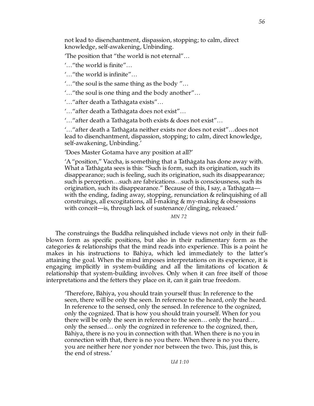not lead to disenchantment, dispassion, stopping; to calm, direct knowledge, self-awakening, Unbinding.

'The position that "the world is not eternal"…

'…"the world is finite"…

'…"the world is infinite"…

'…"the soul is the same thing as the body "…

'…"the soul is one thing and the body another"…

"..." after death a Tathagata exists"...

'..."after death a Tathāgata does not exist"...

 $\cdot$ …"after death a Tathāgata both exists & does not exist"…

"..."after death a Tathāgata neither exists nor does not exist"...does not lead to disenchantment, dispassion, stopping; to calm, direct knowledge, self-awakening, Unbinding.'

'Does Master Gotama have any position at all?'

'A "position," Vaccha, is something that a Tathāgata has done away with. What a Tathagata sees is this: "Such is form, such its origination, such its disappearance; such is feeling, such its origination, such its disappearance; such is perception…such are fabrications…such is consciousness, such its origination, such its disappearance." Because of this, I say, a Tathāgata with the ending, fading away, stopping, renunciation & relinquishing of all construings, all excogitations, all I-making & my-making & obsessions with conceit—is, through lack of sustenance/clinging, released.'

*MN 72*

The construings the Buddha relinquished include views not only in their fullblown form as specific positions, but also in their rudimentary form as the categories & relationships that the mind reads into experience. This is a point he makes in his instructions to Bāhiya, which led immediately to the latter's attaining the goal. When the mind imposes interpretations on its experience, it is engaging implicitly in system-building and all the limitations of location  $\&$ relationship that system-building involves. Only when it can free itself of those interpretations and the fetters they place on it, can it gain true freedom.

'Therefore, Bahiya, you should train yourself thus: In reference to the seen, there will be only the seen. In reference to the heard, only the heard. In reference to the sensed, only the sensed. In reference to the cognized, only the cognized. That is how you should train yourself. When for you there will be only the seen in reference to the seen… only the heard… only the sensed… only the cognized in reference to the cognized, then, Bahiya, there is no you in connection with that. When there is no you in connection with that, there is no you there. When there is no you there, you are neither here nor yonder nor between the two. This, just this, is the end of stress.'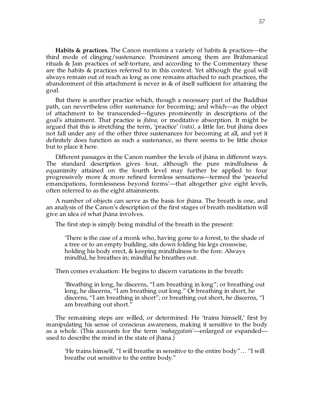**Habits & practices.** The Canon mentions a variety of habits & practices—the third mode of clinging/sustenance. Prominent among them are Brāhmanical rituals & Jain practices of self-torture, and according to the Commentary these are the habits & practices referred to in this context. Yet although the goal will always remain out of reach as long as one remains attached to such practices, the abandonment of this attachment is never in & of itself sufficient for attaining the goal.

But there is another practice which, though a necessary part of the Buddhist path, can nevertheless offer sustenance for becoming; and which—as the object of attachment to be transcended—figures prominently in descriptions of the goal's attainment. That practice is *jhāna*, or meditative absorption. It might be argued that this is stretching the term, 'practice' *(vata)*, a little far, but jhāna does not fall under any of the other three sustenances for becoming at all, and yet it definitely does function as such a sustenance, so there seems to be little choice but to place it here.

Different passages in the Canon number the levels of jhāna in different ways. The standard description gives four, although the pure mindfulness  $\&$ equanimity attained on the fourth level may further be applied to four progressively more & more refined formless sensations—termed the 'peaceful emancipations, formlessness beyond forms'—that altogether give eight levels, often referred to as the eight attainments.

A number of objects can serve as the basis for jhāna. The breath is one, and an analysis of the Canon's description of the first stages of breath meditation will give an idea of what jhāna involves.

The first step is simply being mindful of the breath in the present:

'There is the case of a monk who, having gone to a forest, to the shade of a tree or to an empty building, sits down folding his legs crosswise, holding his body erect, & keeping mindfulness to the fore. Always mindful, he breathes in; mindful he breathes out.

Then comes evaluation: He begins to discern variations in the breath:

'Breathing in long, he discerns, "I am breathing in long"; or breathing out long, he discerns, "I am breathing out long." Or breathing in short, he discerns, "I am breathing in short"; or breathing out short, he discerns, "I am breathing out short."

The remaining steps are willed, or determined: He 'trains himself,' first by manipulating his sense of conscious awareness, making it sensitive to the body as a whole. (This accounts for the term *'mahaggatam'*—enlarged or expanded used to describe the mind in the state of jhāna.)

'He trains himself, "I will breathe in sensitive to the entire body"… "I will breathe out sensitive to the entire body."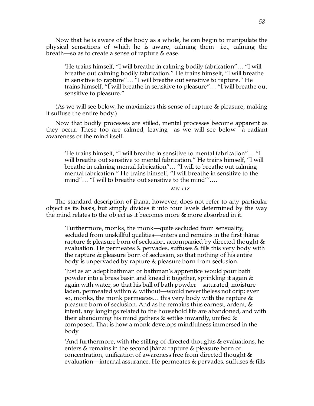Now that he is aware of the body as a whole, he can begin to manipulate the physical sensations of which he is aware, calming them—i.e., calming the breath—so as to create a sense of rapture & ease.

'He trains himself, "I will breathe in calming bodily fabrication"… "I will breathe out calming bodily fabrication." He trains himself, "I will breathe in sensitive to rapture"… "I will breathe out sensitive to rapture." He trains himself, "I will breathe in sensitive to pleasure"… "I will breathe out sensitive to pleasure."

(As we will see below, he maximizes this sense of rapture & pleasure, making it suffuse the entire body.)

Now that bodily processes are stilled, mental processes become apparent as they occur. These too are calmed, leaving—as we will see below—a radiant awareness of the mind itself.

'He trains himself, "I will breathe in sensitive to mental fabrication"… "I will breathe out sensitive to mental fabrication." He trains himself, "I will breathe in calming mental fabrication"… "I will to breathe out calming mental fabrication." He trains himself, "I will breathe in sensitive to the mind"… "I will to breathe out sensitive to the mind"'….

### *MN 118*

The standard description of jhāna, however, does not refer to any particular object as its basis, but simply divides it into four levels determined by the way the mind relates to the object as it becomes more & more absorbed in it.

'Furthermore, monks, the monk—quite secluded from sensuality, secluded from unskillful qualities—enters and remains in the first jhāna: rapture & pleasure born of seclusion, accompanied by directed thought & evaluation. He permeates & pervades, suffuses & fills this very body with the rapture & pleasure born of seclusion, so that nothing of his entire body is unpervaded by rapture & pleasure born from seclusion.

'Just as an adept bathman or bathman's apprentice would pour bath powder into a brass basin and knead it together, sprinkling it again & again with water, so that his ball of bath powder—saturated, moistureladen, permeated within & without—would nevertheless not drip; even so, monks, the monk permeates… this very body with the rapture & pleasure born of seclusion. And as he remains thus earnest, ardent,  $\&$ intent, any longings related to the household life are abandoned, and with their abandoning his mind gathers & settles inwardly, unified & composed. That is how a monk develops mindfulness immersed in the body.

'And furthermore, with the stilling of directed thoughts & evaluations, he enters  $\&$  remains in the second jhana: rapture  $\&$  pleasure born of concentration, unification of awareness free from directed thought & evaluation—internal assurance. He permeates & pervades, suffuses & fills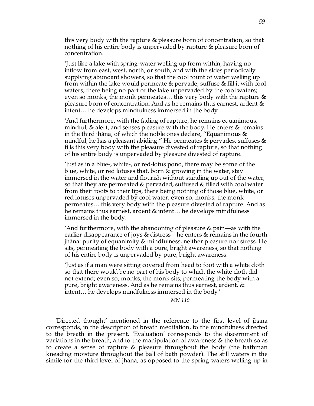this very body with the rapture & pleasure born of concentration, so that nothing of his entire body is unpervaded by rapture & pleasure born of concentration.

'Just like a lake with spring-water welling up from within, having no inflow from east, west, north, or south, and with the skies periodically supplying abundant showers, so that the cool fount of water welling up from within the lake would permeate & pervade, suffuse & fill it with cool waters, there being no part of the lake unpervaded by the cool waters; even so monks, the monk permeates... this very body with the rapture  $\&$ pleasure born of concentration. And as he remains thus earnest, ardent & intent… he develops mindfulness immersed in the body.

'And furthermore, with the fading of rapture, he remains equanimous, mindful, & alert, and senses pleasure with the body. He enters & remains in the third jhāna, of which the noble ones declare, "Equanimous  $\&$ mindful, he has a pleasant abiding." He permeates & pervades, suffuses & fills this very body with the pleasure divested of rapture, so that nothing of his entire body is unpervaded by pleasure divested of rapture.

'Just as in a blue-, white-, or red-lotus pond, there may be some of the blue, white, or red lotuses that, born & growing in the water, stay immersed in the water and flourish without standing up out of the water, so that they are permeated & pervaded, suffused & filled with cool water from their roots to their tips, there being nothing of those blue, white, or red lotuses unpervaded by cool water; even so, monks, the monk permeates… this very body with the pleasure divested of rapture. And as he remains thus earnest, ardent & intent… he develops mindfulness immersed in the body.

'And furthermore, with the abandoning of pleasure & pain—as with the earlier disappearance of joys & distress—he enters & remains in the fourth jhāna: purity of equanimity  $\&$  mindfulness, neither pleasure nor stress. He sits, permeating the body with a pure, bright awareness, so that nothing of his entire body is unpervaded by pure, bright awareness.

'Just as if a man were sitting covered from head to foot with a white cloth so that there would be no part of his body to which the white cloth did not extend; even so, monks, the monk sits, permeating the body with a pure, bright awareness. And as he remains thus earnest, ardent, & intent… he develops mindfulness immersed in the body.'

*MN 119*

'Directed thought' mentioned in the reference to the first level of jhana corresponds, in the description of breath meditation, to the mindfulness directed to the breath in the present. 'Evaluation' corresponds to the discernment of variations in the breath, and to the manipulation of awareness & the breath so as to create a sense of rapture & pleasure throughout the body (the bathman kneading moisture throughout the ball of bath powder). The still waters in the simile for the third level of jhāna, as opposed to the spring waters welling up in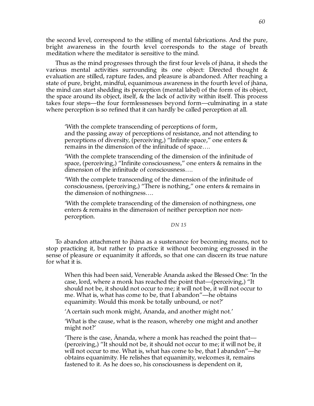the second level, correspond to the stilling of mental fabrications. And the pure, bright awareness in the fourth level corresponds to the stage of breath meditation where the meditator is sensitive to the mind.

Thus as the mind progresses through the first four levels of jhana, it sheds the various mental activities surrounding its one object: Directed thought & evaluation are stilled, rapture fades, and pleasure is abandoned. After reaching a state of pure, bright, mindful, equanimous awareness in the fourth level of jhāna, the mind can start shedding its perception (mental label) of the form of its object, the space around its object, itself,  $\&$  the lack of activity within itself. This process takes four steps—the four formlessnesses beyond form—culminating in a state where perception is so refined that it can hardly be called perception at all.

'With the complete transcending of perceptions of form, and the passing away of perceptions of resistance, and not attending to perceptions of diversity, (perceiving,) "Infinite space," one enters & remains in the dimension of the infinitude of space….

'With the complete transcending of the dimension of the infinitude of space, (perceiving,) "Infinite consciousness," one enters & remains in the dimension of the infinitude of consciousness….

'With the complete transcending of the dimension of the infinitude of consciousness, (perceiving,) "There is nothing," one enters & remains in the dimension of nothingness….

'With the complete transcending of the dimension of nothingness, one enters & remains in the dimension of neither perception nor nonperception.

*DN 15*

To abandon attachment to jhāna as a sustenance for becoming means, not to stop practicing it, but rather to practice it without becoming engrossed in the sense of pleasure or equanimity it affords, so that one can discern its true nature for what it is.

When this had been said, Venerable Ananda asked the Blessed One: 'In the case, lord, where a monk has reached the point that—(perceiving,) "It should not be, it should not occur to me; it will not be, it will not occur to me. What is, what has come to be, that I abandon"—he obtains equanimity. Would this monk be totally unbound, or not?'

'A certain such monk might, Ananda, and another might not.'

'What is the cause, what is the reason, whereby one might and another might not?'

There is the case, Ananda, where a monk has reached the point that— (perceiving,) "It should not be, it should not occur to me; it will not be, it will not occur to me. What is, what has come to be, that I abandon"—he obtains equanimity. He relishes that equanimity, welcomes it, remains fastened to it. As he does so, his consciousness is dependent on it,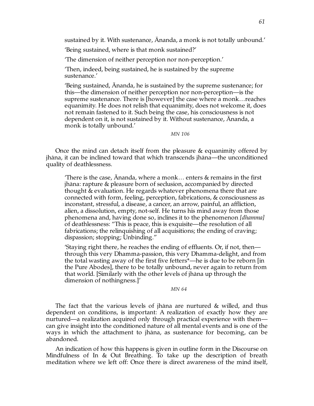sustained by it. With sustenance, finanda, a monk is not totally unbound.'

'Being sustained, where is that monk sustained?'

'The dimension of neither perception nor non-perception.'

'Then, indeed, being sustained, he is sustained by the supreme sustenance.'

'Being sustained, Ananda, he is sustained by the supreme sustenance; for this—the dimension of neither perception nor non-perception—is the supreme sustenance. There is [however] the case where a monk…reaches equanimity. He does not relish that equanimity, does not welcome it, does not remain fastened to it. Such being the case, his consciousness is not dependent on it, is not sustained by it. Without sustenance, Ananda, a monk is totally unbound.'

*MN 106*

Once the mind can detach itself from the pleasure & equanimity offered by jhāna, it can be inclined toward that which transcends jhāna—the unconditioned quality of deathlessness.

There is the case,  $\bar{A}$ nanda, where a monk... enters & remains in the first jhāna: rapture & pleasure born of seclusion, accompanied by directed thought & evaluation. He regards whatever phenomena there that are connected with form, feeling, perception, fabrications, & consciousness as inconstant, stressful, a disease, a cancer, an arrow, painful, an affliction, alien, a dissolution, empty, not-self. He turns his mind away from those phenomena and, having done so, inclines it to the phenomenon *[dhamma]* of deathlessness: "This is peace, this is exquisite—the resolution of all fabrications; the relinquishing of all acquisitions; the ending of craving; dispassion; stopping; Unbinding."

'Staying right there, he reaches the ending of effluents. Or, if not, then through this very Dhamma-passion, this very Dhamma-delight, and from the total wasting away of the first five fetters\*—he is due to be reborn [in the Pure Abodes], there to be totally unbound, never again to return from that world. [Similarly with the other levels of jhāna up through the dimension of nothingness.]'

### *MN 64*

The fact that the various levels of jhāna are nurtured  $\&$  willed, and thus dependent on conditions, is important: A realization of exactly how they are nurtured—a realization acquired only through practical experience with them can give insight into the conditioned nature of all mental events and is one of the ways in which the attachment to jhāna, as sustenance for becoming, can be abandoned.

An indication of how this happens is given in outline form in the Discourse on Mindfulness of In & Out Breathing. To take up the description of breath meditation where we left off: Once there is direct awareness of the mind itself,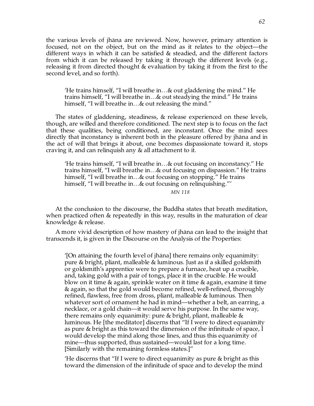the various levels of jhana are reviewed. Now, however, primary attention is focused, not on the object, but on the mind as it relates to the object—the different ways in which it can be satisfied & steadied, and the different factors from which it can be released by taking it through the different levels (e.g., releasing it from directed thought & evaluation by taking it from the first to the second level, and so forth).

'He trains himself, "I will breathe in…& out gladdening the mind." He trains himself, "I will breathe in…& out steadying the mind." He trains himself, "I will breathe in...& out releasing the mind."

The states of gladdening, steadiness, & release experienced on these levels, though, are willed and therefore conditioned. The next step is to focus on the fact that these qualities, being conditioned, are inconstant. Once the mind sees directly that inconstancy is inherent both in the pleasure offered by jhana and in the act of will that brings it about, one becomes dispassionate toward it, stops craving it, and can relinquish any & all attachment to it.

'He trains himself, "I will breathe in…& out focusing on inconstancy." He trains himself, "I will breathe in…& out focusing on dispassion." He trains himself, "I will breathe in…& out focusing on stopping." He trains himself, "I will breathe in...& out focusing on relinquishing."

*MN 118*

At the conclusion to the discourse, the Buddha states that breath meditation, when practiced often & repeatedly in this way, results in the maturation of clear knowledge & release.

A more vivid description of how mastery of jhāna can lead to the insight that transcends it, is given in the Discourse on the Analysis of the Properties:

'[On attaining the fourth level of jhana] there remains only equanimity: pure & bright, pliant, malleable & luminous. Just as if a skilled goldsmith or goldsmith's apprentice were to prepare a furnace, heat up a crucible, and, taking gold with a pair of tongs, place it in the crucible. He would blow on it time & again, sprinkle water on it time & again, examine it time & again, so that the gold would become refined, well-refined, thoroughly refined, flawless, free from dross, pliant, malleable & luminous. Then whatever sort of ornament he had in mind—whether a belt, an earring, a necklace, or a gold chain—it would serve his purpose. In the same way, there remains only equanimity: pure & bright, pliant, malleable  $\&$ luminous. He [the meditator] discerns that "If I were to direct equanimity as pure & bright as this toward the dimension of the infinitude of space, I would develop the mind along those lines, and thus this equanimity of mine—thus supported, thus sustained—would last for a long time. [Similarly with the remaining formless states.]"

'He discerns that "If I were to direct equanimity as pure & bright as this toward the dimension of the infinitude of space and to develop the mind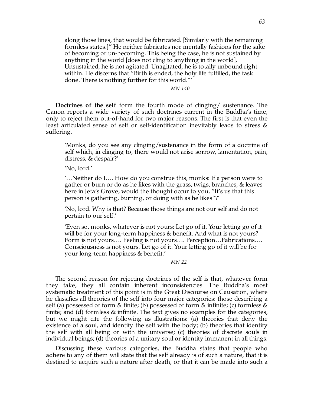along those lines, that would be fabricated. [Similarly with the remaining formless states.]" He neither fabricates nor mentally fashions for the sake of becoming or un-becoming. This being the case, he is not sustained by anything in the world [does not cling to anything in the world]. Unsustained, he is not agitated. Unagitated, he is totally unbound right within. He discerns that "Birth is ended, the holy life fulfilled, the task done. There is nothing further for this world."'

*MN 140*

**Doctrines of the self** form the fourth mode of clinging/ sustenance. The Canon reports a wide variety of such doctrines current in the Buddha's time, only to reject them out-of-hand for two major reasons. The first is that even the least articulated sense of self or self-identification inevitably leads to stress & suffering.

'Monks, do you see any clinging/sustenance in the form of a doctrine of self which, in clinging to, there would not arise sorrow, lamentation, pain, distress, & despair?'

'No, lord.'

'…Neither do I…. How do you construe this, monks: If a person were to gather or burn or do as he likes with the grass, twigs, branches, & leaves here in Jeta's Grove, would the thought occur to you, "It's us that this person is gathering, burning, or doing with as he likes"?'

'No, lord. Why is that? Because those things are not our self and do not pertain to our self.'

'Even so, monks, whatever is not yours: Let go of it. Your letting go of it will be for your long-term happiness & benefit. And what is not yours? Form is not yours…. Feeling is not yours…. Perception…Fabrications…. Consciousness is not yours. Let go of it. Your letting go of it will be for your long-term happiness & benefit.'

### *MN 22*

The second reason for rejecting doctrines of the self is that, whatever form they take, they all contain inherent inconsistencies. The Buddha's most systematic treatment of this point is in the Great Discourse on Causation, where he classifies all theories of the self into four major categories: those describing a self (a) possessed of form & finite; (b) possessed of form & infinite; (c) formless & finite; and (d) formless & infinite. The text gives no examples for the categories, but we might cite the following as illustrations: (a) theories that deny the existence of a soul, and identify the self with the body; (b) theories that identify the self with all being or with the universe; (c) theories of discrete souls in individual beings; (d) theories of a unitary soul or identity immanent in all things.

Discussing these various categories, the Buddha states that people who adhere to any of them will state that the self already is of such a nature, that it is destined to acquire such a nature after death, or that it can be made into such a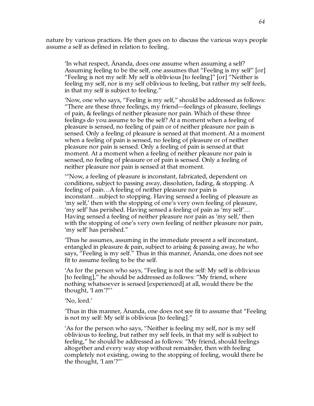nature by various practices. He then goes on to discuss the various ways people assume a self as defined in relation to feeling.

'In what respect, Ananda, does one assume when assuming a self? Assuming feeling to be the self, one assumes that "Feeling is my self" [or] "Feeling is not my self: My self is oblivious [to feeling]" [or] "Neither is feeling my self, nor is my self oblivious to feeling, but rather my self feels, in that my self is subject to feeling."

'Now, one who says, "Feeling is my self," should be addressed as follows: "There are these three feelings, my friend—feelings of pleasure, feelings of pain, & feelings of neither pleasure nor pain. Which of these three feelings do you assume to be the self? At a moment when a feeling of pleasure is sensed, no feeling of pain or of neither pleasure nor pain is sensed. Only a feeling of pleasure is sensed at that moment. At a moment when a feeling of pain is sensed, no feeling of pleasure or of neither pleasure nor pain is sensed. Only a feeling of pain is sensed at that moment. At a moment when a feeling of neither pleasure nor pain is sensed, no feeling of pleasure or of pain is sensed. Only a feeling of neither pleasure nor pain is sensed at that moment.

'"Now, a feeling of pleasure is inconstant, fabricated, dependent on conditions, subject to passing away, dissolution, fading, & stopping. A feeling of pain…A feeling of neither pleasure nor pain is inconstant…subject to stopping. Having sensed a feeling of pleasure as 'my self,' then with the stopping of one's very own feeling of pleasure, 'my self' has perished. Having sensed a feeling of pain as 'my self'… Having sensed a feeling of neither pleasure nor pain as 'my self,' then with the stopping of one's very own feeling of neither pleasure nor pain, 'my self' has perished."

'Thus he assumes, assuming in the immediate present a self inconstant, entangled in pleasure & pain, subject to arising & passing away, he who says, "Feeling is my self." Thus in this manner, Ananda, one does not see fit to assume feeling to be the self.

'As for the person who says, "Feeling is not the self: My self is oblivious [to feeling]," he should be addressed as follows: "My friend, where nothing whatsoever is sensed [experienced] at all, would there be the thought, 'I am'?"'

'No, lord.'

Thus in this manner, Ananda, one does not see fit to assume that "Feeling" is not my self: My self is oblivious [to feeling]."

'As for the person who says, "Neither is feeling my self, nor is my self oblivious to feeling, but rather my self feels, in that my self is subject to feeling," he should be addressed as follows: "My friend, should feelings altogether and every way stop without remainder, then with feeling completely not existing, owing to the stopping of feeling, would there be the thought, 'I am'?"'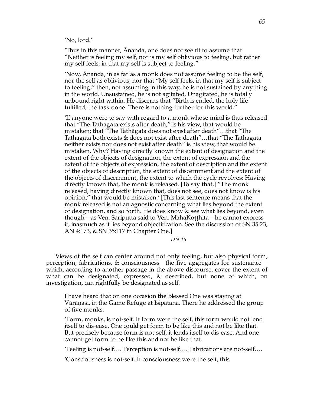'No, lord.'

Thus in this manner,  $\bar{A}$ nanda, one does not see fit to assume that "Neither is feeling my self, nor is my self oblivious to feeling, but rather my self feels, in that my self is subject to feeling."

'Now, Ananda, in as far as a monk does not assume feeling to be the self, nor the self as oblivious, nor that "My self feels, in that my self is subject to feeling," then, not assuming in this way, he is not sustained by anything in the world. Unsustained, he is not agitated. Unagitated, he is totally unbound right within. He discerns that "Birth is ended, the holy life fulfilled, the task done. There is nothing further for this world."

'If anyone were to say with regard to a monk whose mind is thus released that "The Tathāgata exists after death," is his view, that would be mistaken; that "The Tathāgata does not exist after death"...that "The Tathāgata both exists & does not exist after death"...that "The Tathāgata neither exists nor does not exist after death" is his view, that would be mistaken. Why? Having directly known the extent of designation and the extent of the objects of designation, the extent of expression and the extent of the objects of expression, the extent of description and the extent of the objects of description, the extent of discernment and the extent of the objects of discernment, the extent to which the cycle revolves: Having directly known that, the monk is released. [To say that,] "The monk released, having directly known that, does not see, does not know is his opinion," that would be mistaken.' [This last sentence means that the monk released is not an agnostic concerning what lies beyond the extent of designation, and so forth. He does know & see what lies beyond, even though—as Ven. Sāriputta said to Ven. MahaKotthita—he cannot express it, inasmuch as it lies beyond objectification. See the discussion of SN 35:23, AN 4:173, & SN 35:117 in Chapter One.]

### *DN 15*

Views of the self can center around not only feeling, but also physical form, perception, fabrications, & consciousness—the five aggregates for sustenance which, according to another passage in the above discourse, cover the extent of what can be designated, expressed, & described, but none of which, on investigation, can rightfully be designated as self.

I have heard that on one occasion the Blessed One was staying at Vārānasi, in the Game Refuge at Isipatana. There he addressed the group of five monks:

'Form, monks, is not-self. If form were the self, this form would not lend itself to dis-ease. One could get form to be like this and not be like that. But precisely because form is not-self, it lends itself to dis-ease. And one cannot get form to be like this and not be like that.

'Feeling is not-self…. Perception is not-self…. Fabrications are not-self….

'Consciousness is not-self. If consciousness were the self, this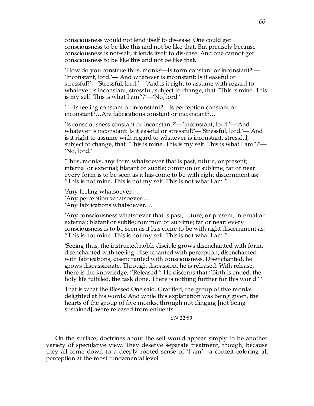consciousness would not lend itself to dis-ease. One could get consciousness to be like this and not be like that. But precisely because consciousness is not-self, it lends itself to dis-ease. And one cannot get consciousness to be like this and not be like that.

'How do you construe thus, monks—Is form constant or inconstant?'— 'Inconstant, lord.'—'And whatever is inconstant: Is it easeful or stressful?'—'Stressful, lord.'—'And is it right to assume with regard to whatever is inconstant, stressful, subject to change, that "This is mine. This is my self. This is what I am"?'—'No, lord.'

'….Is feeling constant or inconstant?…Is perception constant or inconstant?…Are fabrications constant or inconstant?…

'Is consciousness constant or inconstant?'—'Inconstant, lord.'—'And whatever is inconstant: Is it easeful or stressful?'—'Stressful, lord.'—'And is it right to assume with regard to whatever is inconstant, stressful, subject to change, that "This is mine. This is my self. This is what I am"?'— 'No, lord.'

'Thus, monks, any form whatsoever that is past, future, or present; internal or external; blatant or subtle; common or sublime; far or near: every form is to be seen as it has come to be with right discernment as: "This is not mine. This is not my self. This is not what I am."

'Any feeling whatsoever.… 'Any perception whatsoever.… 'Any fabrications whatsoever.…

'Any consciousness whatsoever that is past, future, or present; internal or external; blatant or subtle; common or sublime; far or near: every consciousness is to be seen as it has come to be with right discernment as: "This is not mine. This is not my self. This is not what I am."

'Seeing thus, the instructed noble disciple grows disenchanted with form, disenchanted with feeling, disenchanted with perception, disenchanted with fabrications, disenchanted with consciousness. Disenchanted, he grows dispassionate. Through dispassion, he is released. With release, there is the knowledge, "Released." He discerns that "Birth is ended, the holy life fulfilled, the task done. There is nothing further for this world."'

That is what the Blessed One said. Gratified, the group of five monks delighted at his words. And while this explanation was being given, the hearts of the group of five monks, through not clinging [not being sustained], were released from effluents.

*SN 22:59*

On the surface, doctrines about the self would appear simply to be another variety of speculative view. They deserve separate treatment, though, because they all come down to a deeply rooted sense of 'I am'—a conceit coloring all perception at the most fundamental level.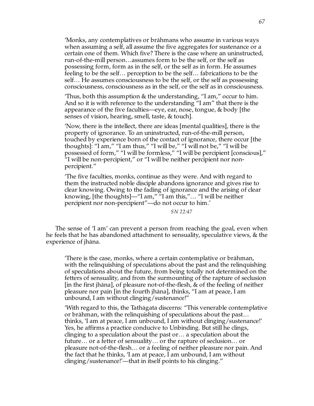'Monks, any contemplatives or brāhmans who assume in various ways when assuming a self, all assume the five aggregates for sustenance or a certain one of them. Which five? There is the case where an uninstructed, run-of-the-mill person…assumes form to be the self, or the self as possessing form, form as in the self, or the self as in form. He assumes feeling to be the self… perception to be the self… fabrications to be the self… He assumes consciousness to be the self, or the self as possessing consciousness, consciousness as in the self, or the self as in consciousness.

'Thus, both this assumption & the understanding, "I am," occur to him. And so it is with reference to the understanding "I am" that there is the appearance of the five faculties—eye, ear, nose, tongue, & body [the senses of vision, hearing, smell, taste, & touch].

'Now, there is the intellect, there are ideas [mental qualities], there is the property of ignorance. To an uninstructed, run-of-the-mill person, touched by experience born of the contact of ignorance, there occur [the thoughts]: "I am," "I am thus," "I will be," "I will not be," "I will be possessed of form," "I will be formless," "I will be percipient [conscious]," "I will be non-percipient," or "I will be neither percipient nor nonpercipient."

'The five faculties, monks, continue as they were. And with regard to them the instructed noble disciple abandons ignorance and gives rise to clear knowing. Owing to the fading of ignorance and the arising of clear knowing, [the thoughts]—"I am," "I am this,"… "I will be neither percipient nor non-percipient"—do not occur to him.'

*SN 22:47*

The sense of 'I am' can prevent a person from reaching the goal, even when he feels that he has abandoned attachment to sensuality, speculative views, & the experience of jhāna.

'There is the case, monks, where a certain contemplative or brāhman, with the relinquishing of speculations about the past and the relinquishing of speculations about the future, from being totally not determined on the fetters of sensuality, and from the surmounting of the rapture of seclusion [in the first jhana], of pleasure not-of-the-flesh,  $\&$  of the feeling of neither pleasure nor pain [in the fourth jhāna], thinks, "I am at peace, I am unbound, I am without clinging/sustenance!"

'With regard to this, the Tathāgata discerns: "This venerable contemplative or brāhman, with the relinquishing of speculations about the past... thinks, 'I am at peace, I am unbound, I am without clinging/sustenance!' Yes, he affirms a practice conducive to Unbinding. But still he clings, clinging to a speculation about the past or… a speculation about the future… or a fetter of sensuality… or the rapture of seclusion… or pleasure not-of-the-flesh… or a feeling of neither pleasure nor pain. And the fact that he thinks, 'I am at peace, I am unbound, I am without clinging/sustenance!'—that in itself points to his clinging."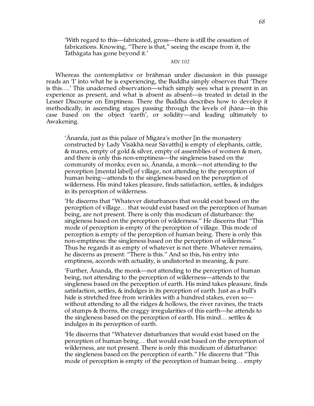'With regard to this—fabricated, gross—there is still the cessation of fabrications. Knowing, "There is that," seeing the escape from it, the Tathāgata has gone beyond it.'

#### *MN 102*

Whereas the contemplative or brahman under discussion in this passage reads an 'I' into what he is experiencing, the Buddha simply observes that 'There is this….' This unadorned observation—which simply sees what is present in an experience as present, and what is absent as absent—is treated in detail in the Lesser Discourse on Emptiness. There the Buddha describes how to develop it methodically, in ascending stages passing through the levels of jhāna—in this case based on the object 'earth', or solidity—and leading ultimately to Awakening.

'Ananda, just as this palace of Migara's mother  $\lim_{h \to 0}$  the monastery constructed by Lady Visākhā near Sāvatthi] is empty of elephants, cattle, & mares, empty of gold & silver, empty of assemblies of women & men, and there is only this non-emptiness—the singleness based on the community of monks; even so, finanda, a monk—not attending to the perception [mental label] of village, not attending to the perception of human being—attends to the singleness based on the perception of wilderness. His mind takes pleasure, finds satisfaction, settles, & indulges in its perception of wilderness.

'He discerns that "Whatever disturbances that would exist based on the perception of village… that would exist based on the perception of human being, are not present. There is only this modicum of disturbance: the singleness based on the perception of wilderness." He discerns that "This mode of perception is empty of the perception of village. This mode of perception is empty of the perception of human being. There is only this non-emptiness: the singleness based on the perception of wilderness." Thus he regards it as empty of whatever is not there. Whatever remains, he discerns as present: "There is this." And so this, his entry into emptiness, accords with actuality, is undistorted in meaning, & pure.

'Further, finanda, the monk—not attending to the perception of human being, not attending to the perception of wilderness—attends to the singleness based on the perception of earth. His mind takes pleasure, finds satisfaction, settles, & indulges in its perception of earth. Just as a bull's hide is stretched free from wrinkles with a hundred stakes, even so without attending to all the ridges & hollows, the river ravines, the tracts of stumps & thorns, the craggy irregularities of this earth—he attends to the singleness based on the perception of earth. His mind… settles & indulges in its perception of earth.

'He discerns that "Whatever disturbances that would exist based on the perception of human being… that would exist based on the perception of wilderness, are not present. There is only this modicum of disturbance: the singleness based on the perception of earth." He discerns that "This mode of perception is empty of the perception of human being… empty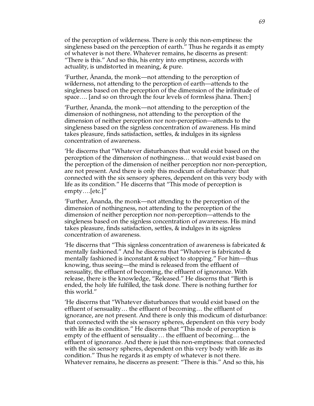of the perception of wilderness. There is only this non-emptiness: the singleness based on the perception of earth." Thus he regards it as empty of whatever is not there. Whatever remains, he discerns as present: "There is this." And so this, his entry into emptiness, accords with actuality, is undistorted in meaning, & pure.

'Further, Ananda, the monk—not attending to the perception of wilderness, not attending to the perception of earth—attends to the singleness based on the perception of the dimension of the infinitude of space.... [and so on through the four levels of formless jhāna. Then:]

'Further, finanda, the monk—not attending to the perception of the dimension of nothingness, not attending to the perception of the dimension of neither perception nor non-perception—attends to the singleness based on the signless concentration of awareness. His mind takes pleasure, finds satisfaction, settles, & indulges in its signless concentration of awareness.

'He discerns that "Whatever disturbances that would exist based on the perception of the dimension of nothingness… that would exist based on the perception of the dimension of neither perception nor non-perception, are not present. And there is only this modicum of disturbance: that connected with the six sensory spheres, dependent on this very body with life as its condition." He discerns that "This mode of perception is empty….[etc.]"

'Further, finanda, the monk—not attending to the perception of the dimension of nothingness, not attending to the perception of the dimension of neither perception nor non-perception—attends to the singleness based on the signless concentration of awareness. His mind takes pleasure, finds satisfaction, settles, & indulges in its signless concentration of awareness.

'He discerns that "This signless concentration of awareness is fabricated & mentally fashioned." And he discerns that "Whatever is fabricated & mentally fashioned is inconstant & subject to stopping." For him—thus knowing, thus seeing—the mind is released from the effluent of sensuality, the effluent of becoming, the effluent of ignorance. With release, there is the knowledge, "Released." He discerns that "Birth is ended, the holy life fulfilled, the task done. There is nothing further for this world."

'He discerns that "Whatever disturbances that would exist based on the effluent of sensuality… the effluent of becoming… the effluent of ignorance, are not present. And there is only this modicum of disturbance: that connected with the six sensory spheres, dependent on this very body with life as its condition." He discerns that "This mode of perception is empty of the effluent of sensuality… the effluent of becoming… the effluent of ignorance. And there is just this non-emptiness: that connected with the six sensory spheres, dependent on this very body with life as its condition." Thus he regards it as empty of whatever is not there. Whatever remains, he discerns as present: "There is this." And so this, his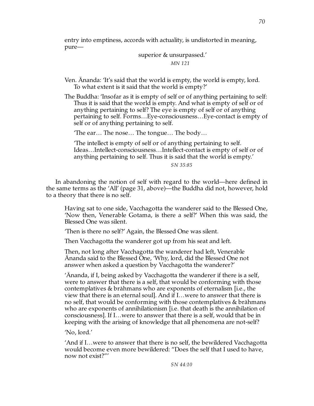entry into emptiness, accords with actuality, is undistorted in meaning, pure—

> superior & unsurpassed.' *MN 121*

Ven. Ananda: 'It's said that the world is empty, the world is empty, lord. To what extent is it said that the world is empty?'

The Buddha: 'Insofar as it is empty of self or of anything pertaining to self: Thus it is said that the world is empty. And what is empty of self or of anything pertaining to self? The eye is empty of self or of anything pertaining to self. Forms…Eye-consciousness…Eye-contact is empty of self or of anything pertaining to self.

'The ear… The nose… The tongue… The body…

'The intellect is empty of self or of anything pertaining to self. Ideas…Intellect-consciousness…Intellect-contact is empty of self or of anything pertaining to self. Thus it is said that the world is empty.'

*SN 35:85*

In abandoning the notion of self with regard to the world—here defined in the same terms as the 'All' (page 31, above)—the Buddha did not, however, hold to a theory that there is no self.

Having sat to one side, Vacchagotta the wanderer said to the Blessed One, 'Now then, Venerable Gotama, is there a self?' When this was said, the Blessed One was silent.

'Then is there no self?' Again, the Blessed One was silent.

Then Vacchagotta the wanderer got up from his seat and left.

Then, not long after Vacchagotta the wanderer had left, Venerable Ananda said to the Blessed One, 'Why, lord, did the Blessed One not answer when asked a question by Vacchagotta the wanderer?'

'finanda, if I, being asked by Vacchagotta the wanderer if there is a self, were to answer that there is a self, that would be conforming with those contemplatives  $\&$  brāhmans who are exponents of eternalism [i.e., the view that there is an eternal soul]. And if I…were to answer that there is no self, that would be conforming with those contemplatives & brāhmans who are exponents of annihilationism [i.e. that death is the annihilation of consciousness]. If I…were to answer that there is a self, would that be in keeping with the arising of knowledge that all phenomena are not-self?

'No, lord.'

'And if I…were to answer that there is no self, the bewildered Vacchagotta would become even more bewildered: "Does the self that I used to have, now not exist?"'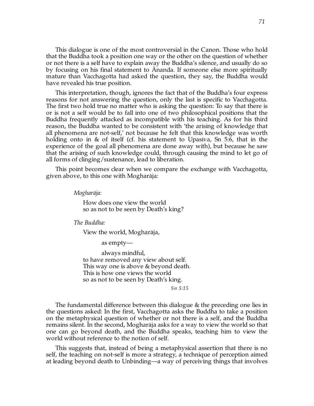This dialogue is one of the most controversial in the Canon. Those who hold that the Buddha took a position one way or the other on the question of whether or not there is a self have to explain away the Buddha's silence, and usually do so by focusing on his final statement to Ananda. If someone else more spiritually mature than Vacchagotta had asked the question, they say, the Buddha would have revealed his true position.

This interpretation, though, ignores the fact that of the Buddha's four express reasons for not answering the question, only the last is specific to Vacchagotta. The first two hold true no matter who is asking the question: To say that there is or is not a self would be to fall into one of two philosophical positions that the Buddha frequently attacked as incompatible with his teaching. As for his third reason, the Buddha wanted to be consistent with 'the arising of knowledge that all phenomena are not-self,' not because he felt that this knowledge was worth holding onto in & of itself (cf. his statement to Upasıva, Sn 5:6, that in the experience of the goal all phenomena are done away with), but because he saw that the arising of such knowledge could, through causing the mind to let go of all forms of clinging/sustenance, lead to liberation.

This point becomes clear when we compare the exchange with Vacchagotta, given above, to this one with Mogharāja:

*Mogharāja*:

How does one view the world so as not to be seen by Death's king?

*The Buddha:*

View the world, Mogharaja,

as empty—

always mindful, to have removed any view about self. This way one is above & beyond death. This is how one views the world so as not to be seen by Death's king.

*Sn 5:15*

The fundamental difference between this dialogue & the preceding one lies in the questions asked: In the first, Vacchagotta asks the Buddha to take a position on the metaphysical question of whether or not there is a self, and the Buddha remains silent. In the second, Mogharaja asks for a way to view the world so that one can go beyond death, and the Buddha speaks, teaching him to view the world without reference to the notion of self.

This suggests that, instead of being a metaphysical assertion that there is no self, the teaching on not-self is more a strategy, a technique of perception aimed at leading beyond death to Unbinding—a way of perceiving things that involves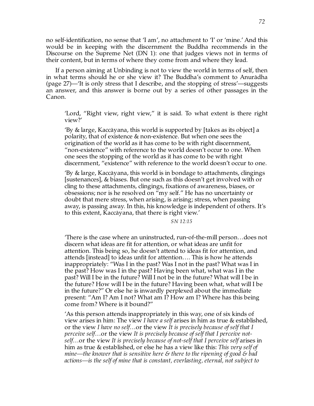no self-identification, no sense that 'I am', no attachment to 'I' or 'mine.' And this would be in keeping with the discernment the Buddha recommends in the Discourse on the Supreme Net (DN 1): one that judges views not in terms of their content, but in terms of where they come from and where they lead.

If a person aiming at Unbinding is not to view the world in terms of self, then in what terms should he or she view it? The Buddha's comment to Anurādha (page 27)—'It is only stress that I describe, and the stopping of stress'—suggests an answer, and this answer is borne out by a series of other passages in the Canon.

'Lord, "Right view, right view," it is said. To what extent is there right view?'

'By & large, Kaccāyana, this world is supported by [takes as its object] a polarity, that of existence & non-existence. But when one sees the origination of the world as it has come to be with right discernment, "non-existence" with reference to the world doesn't occur to one. When one sees the stopping of the world as it has come to be with right discernment, "existence" with reference to the world doesn't occur to one.

'By  $\&$  large, Kaccāyana, this world is in bondage to attachments, clingings [sustenances], & biases. But one such as this doesn't get involved with or cling to these attachments, clingings, fixations of awareness, biases, or obsessions; nor is he resolved on "my self." He has no uncertainty or doubt that mere stress, when arising, is arising; stress, when passing away, is passing away. In this, his knowledge is independent of others. It's to this extent, Kaccāyana, that there is right view.'

*SN 12:15*

'There is the case where an uninstructed, run-of-the-mill person…does not discern what ideas are fit for attention, or what ideas are unfit for attention. This being so, he doesn't attend to ideas fit for attention, and attends [instead] to ideas unfit for attention…. This is how he attends inappropriately: "Was I in the past? Was I not in the past? What was I in the past? How was I in the past? Having been what, what was I in the past? Will I be in the future? Will I not be in the future? What will I be in the future? How will I be in the future? Having been what, what will I be in the future?" Or else he is inwardly perplexed about the immediate present: "Am I? Am I not? What am I? How am I? Where has this being come from? Where is it bound?"

'As this person attends inappropriately in this way, one of six kinds of view arises in him: The view *I have a self* arises in him as true & established, or the view *I have no self*…or the view *It is precisely because of self that I perceive self*…or the view *It is precisely because of self that I perceive notself*…or the view *It is precisely because of not-self that I perceive self* arises in him as true & established, or else he has a view like this: *This very self of mine—the knower that is sensitive here & there to the ripening of good & bad actions—is the self of mine that is constant, everlasting, eternal, not subject to*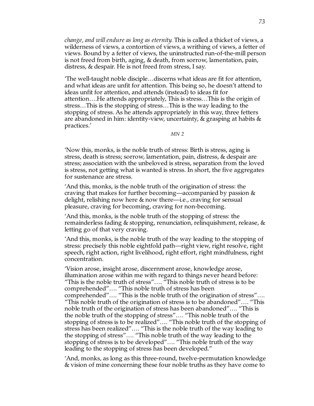*change, and will endure as long as eternity.* This is called a thicket of views, a wilderness of views, a contortion of views, a writhing of views, a fetter of views. Bound by a fetter of views, the uninstructed run-of-the-mill person is not freed from birth, aging, & death, from sorrow, lamentation, pain, distress, & despair. He is not freed from stress, I say.

'The well-taught noble disciple…discerns what ideas are fit for attention, and what ideas are unfit for attention. This being so, he doesn't attend to ideas unfit for attention, and attends (instead) to ideas fit for attention….He attends appropriately, This is stress…This is the origin of stress…This is the stopping of stress…This is the way leading to the stopping of stress. As he attends appropriately in this way, three fetters are abandoned in him: identity-view, uncertainty,  $\&$  grasping at habits  $\&$ practices.'

*MN 2*

'Now this, monks, is the noble truth of stress: Birth is stress, aging is stress, death is stress; sorrow, lamentation, pain, distress, & despair are stress; association with the unbeloved is stress, separation from the loved is stress, not getting what is wanted is stress. In short, the five aggregates for sustenance are stress.

'And this, monks, is the noble truth of the origination of stress: the craving that makes for further becoming—accompanied by passion  $&$ delight, relishing now here & now there—i.e., craving for sensual pleasure, craving for becoming, craving for non-becoming.

'And this, monks, is the noble truth of the stopping of stress: the remainderless fading & stopping, renunciation, relinquishment, release, & letting go of that very craving.

'And this, monks, is the noble truth of the way leading to the stopping of stress: precisely this noble eightfold path—right view, right resolve, right speech, right action, right livelihood, right effort, right mindfulness, right concentration.

'Vision arose, insight arose, discernment arose, knowledge arose, illumination arose within me with regard to things never heard before: "This is the noble truth of stress"…. "This noble truth of stress is to be comprehended"…. "This noble truth of stress has been comprehended"…. "This is the noble truth of the origination of stress"…. "This noble truth of the origination of stress is to be abandoned"…. "This noble truth of the origination of stress has been abandoned"…. "This is the noble truth of the stopping of stress"…. "This noble truth of the stopping of stress is to be realized"…. "This noble truth of the stopping of stress has been realized"…. "This is the noble truth of the way leading to the stopping of stress"…. "This noble truth of the way leading to the stopping of stress is to be developed"…. "This noble truth of the way leading to the stopping of stress has been developed."

'And, monks, as long as this three-round, twelve-permutation knowledge & vision of mine concerning these four noble truths as they have come to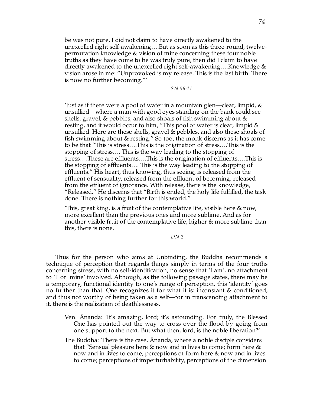be was not pure, I did not claim to have directly awakened to the unexcelled right self-awakening….But as soon as this three-round, twelvepermutation knowledge & vision of mine concerning these four noble truths as they have come to be was truly pure, then did I claim to have directly awakened to the unexcelled right self-awakening….Knowledge & vision arose in me: "Unprovoked is my release. This is the last birth. There is now no further becoming."'

*SN 56:11*

'Just as if there were a pool of water in a mountain glen—clear, limpid, & unsullied—where a man with good eyes standing on the bank could see shells, gravel, & pebbles, and also shoals of fish swimming about  $\&$ resting, and it would occur to him, "This pool of water is clear, limpid & unsullied. Here are these shells, gravel & pebbles, and also these shoals of fish swimming about & resting." So too, the monk discerns as it has come to be that "This is stress….This is the origination of stress….This is the stopping of stress…. This is the way leading to the stopping of stress….These are effluents….This is the origination of effluents….This is the stopping of effluents…. This is the way leading to the stopping of effluents." His heart, thus knowing, thus seeing, is released from the effluent of sensuality, released from the effluent of becoming, released from the effluent of ignorance. With release, there is the knowledge, "Released." He discerns that "Birth is ended, the holy life fulfilled, the task done. There is nothing further for this world."

'This, great king, is a fruit of the contemplative life, visible here & now, more excellent than the previous ones and more sublime. And as for another visible fruit of the contemplative life, higher & more sublime than this, there is none.'

*DN 2*

Thus for the person who aims at Unbinding, the Buddha recommends a technique of perception that regards things simply in terms of the four truths concerning stress, with no self-identification, no sense that 'I am', no attachment to 'I' or 'mine' involved. Although, as the following passage states, there may be a temporary, functional identity to one's range of perception, this 'identity' goes no further than that. One recognizes it for what it is: inconstant & conditioned, and thus not worthy of being taken as a self—for in transcending attachment to it, there is the realization of deathlessness.

- Ven. Ananda: 'It's amazing, lord; it's astounding. For truly, the Blessed One has pointed out the way to cross over the flood by going from one support to the next. But what then, lord, is the noble liberation?'
- The Buddha: 'There is the case, Ananda, where a noble disciple considers that "Sensual pleasure here & now and in lives to come; form here & now and in lives to come; perceptions of form here & now and in lives to come; perceptions of imperturbability, perceptions of the dimension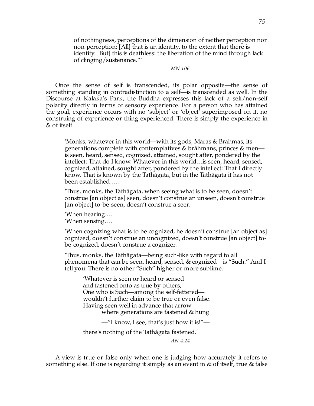of nothingness, perceptions of the dimension of neither perception nor non-perception: [All] that is an identity, to the extent that there is identity. [But] this is deathless: the liberation of the mind through lack of clinging/sustenance."'

*MN 106*

Once the sense of self is transcended, its polar opposite—the sense of something standing in contradistinction to a self—is transcended as well. In the Discourse at Kālaka's Park, the Buddha expresses this lack of a self/non-self polarity directly in terms of sensory experience. For a person who has attained the goal, experience occurs with no 'subject' or 'object' superimposed on it, no construing of experience or thing experienced. There is simply the experience in & of itself.

'Monks, whatever in this world—with its gods, Māras & Brahmās, its generations complete with contemplatives & brāhmans, princes & men is seen, heard, sensed, cognized, attained, sought after, pondered by the intellect: That do I know. Whatever in this world…is seen, heard, sensed, cognized, attained, sought after, pondered by the intellect: That I directly know. That is known by the Tathāgata, but in the Tathāgata it has not been established ….

'Thus, monks, the Tathāgata, when seeing what is to be seen, doesn't construe [an object as] seen, doesn't construe an unseen, doesn't construe [an object] to-be-seen, doesn't construe a seer.

'When hearing.… 'When sensing.…

'When cognizing what is to be cognized, he doesn't construe [an object as] cognized, doesn't construe an uncognized, doesn't construe [an object] tobe-cognized, doesn't construe a cognizer.

'Thus, monks, the Tathāgata—being such-like with regard to all phenomena that can be seen, heard, sensed, & cognized—is "Such." And I tell you: There is no other "Such" higher or more sublime.

'Whatever is seen or heard or sensed and fastened onto as true by others, One who is Such—among the self-fettered wouldn't further claim to be true or even false. Having seen well in advance that arrow where generations are fastened & hung

—"I know, I see, that's just how it is!"—

there's nothing of the Tathagata fastened.'

*AN 4:24*

A view is true or false only when one is judging how accurately it refers to something else. If one is regarding it simply as an event in & of itself, true & false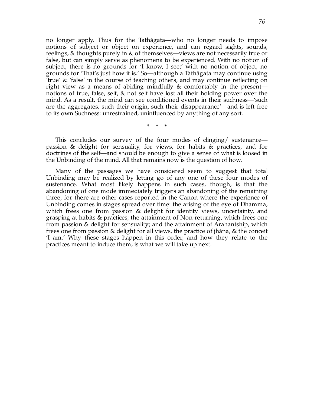no longer apply. Thus for the Tathagata—who no longer needs to impose notions of subject or object on experience, and can regard sights, sounds, feelings, & thoughts purely in & of themselves—views are not necessarily true or false, but can simply serve as phenomena to be experienced. With no notion of subject, there is no grounds for 'I know, I see;' with no notion of object, no grounds for 'That's just how it is.' So—although a Tathagata may continue using 'true' & 'false' in the course of teaching others, and may continue reflecting on right view as a means of abiding mindfully & comfortably in the present notions of true, false, self, & not self have lost all their holding power over the mind. As a result, the mind can see conditioned events in their suchness—'such are the aggregates, such their origin, such their disappearance'—and is left free to its own Suchness: unrestrained, uninfluenced by anything of any sort.

\* \* \*

This concludes our survey of the four modes of clinging/ sustenance passion & delight for sensuality, for views, for habits & practices, and for doctrines of the self—and should be enough to give a sense of what is loosed in the Unbinding of the mind. All that remains now is the question of how.

Many of the passages we have considered seem to suggest that total Unbinding may be realized by letting go of any one of these four modes of sustenance. What most likely happens in such cases, though, is that the abandoning of one mode immediately triggers an abandoning of the remaining three, for there are other cases reported in the Canon where the experience of Unbinding comes in stages spread over time: the arising of the eye of Dhamma, which frees one from passion & delight for identity views, uncertainty, and grasping at habits & practices; the attainment of Non-returning, which frees one from passion & delight for sensuality; and the attainment of Arahantship, which frees one from passion & delight for all views, the practice of jhana,  $\&$  the conceit 'I am.' Why these stages happen in this order, and how they relate to the practices meant to induce them, is what we will take up next.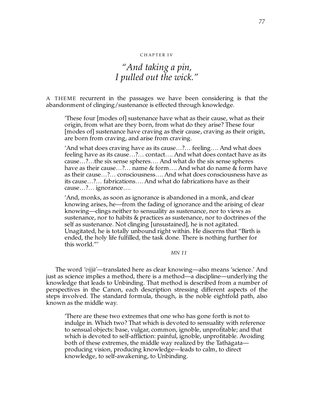## CHAPTER IV

# *"And taking a pin, I pulled out the wick."*

A THEME recurrent in the passages we have been considering is that the abandonment of clinging/sustenance is effected through knowledge.

'These four [modes of] sustenance have what as their cause, what as their origin, from what are they born, from what do they arise? These four [modes of] sustenance have craving as their cause, craving as their origin, are born from craving, and arise from craving.

'And what does craving have as its cause…?… feeling…. And what does feeling have as its cause…?… contact…. And what does contact have as its cause…?…the six sense spheres…. And what do the six sense spheres have as their cause...?... name & form.... And what do name  $\&$  form have as their cause…?… consciousness…. And what does consciousness have as its cause…?… fabrications…. And what do fabrications have as their cause…?… ignorance….

'And, monks, as soon as ignorance is abandoned in a monk, and clear knowing arises, he—from the fading of ignorance and the arising of clear knowing—clings neither to sensuality as sustenance, nor to views as sustenance, nor to habits & practices as sustenance, nor to doctrines of the self as sustenance. Not clinging [unsustained], he is not agitated. Unagitated, he is totally unbound right within. He discerns that "Birth is ended, the holy life fulfilled, the task done. There is nothing further for this world."'

*MN 11*

The word *'vijjā'*—translated here as clear knowing—also means 'science.' And just as science implies a method, there is a method—a discipline—underlying the knowledge that leads to Unbinding. That method is described from a number of perspectives in the Canon, each description stressing different aspects of the steps involved. The standard formula, though, is the noble eightfold path, also known as the middle way.

'There are these two extremes that one who has gone forth is not to indulge in. Which two? That which is devoted to sensuality with reference to sensual objects: base, vulgar, common, ignoble, unprofitable; and that which is devoted to self-affliction: painful, ignoble, unprofitable. Avoiding both of these extremes, the middle way realized by the Tathāgata producing vision, producing knowledge—leads to calm, to direct knowledge, to self-awakening, to Unbinding.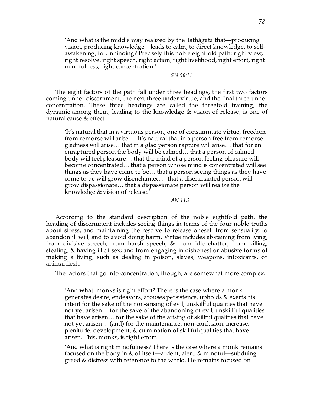'And what is the middle way realized by the Tath $\bar{a}$ gata that—producing vision, producing knowledge—leads to calm, to direct knowledge, to selfawakening, to Unbinding? Precisely this noble eightfold path: right view, right resolve, right speech, right action, right livelihood, right effort, right mindfulness, right concentration.'

### *SN 56:11*

The eight factors of the path fall under three headings, the first two factors coming under discernment, the next three under virtue, and the final three under concentration. These three headings are called the threefold training; the dynamic among them, leading to the knowledge & vision of release, is one of natural cause & effect.

'It's natural that in a virtuous person, one of consummate virtue, freedom from remorse will arise…. It's natural that in a person free from remorse gladness will arise… that in a glad person rapture will arise… that for an enraptured person the body will be calmed… that a person of calmed body will feel pleasure… that the mind of a person feeling pleasure will become concentrated… that a person whose mind is concentrated will see things as they have come to be… that a person seeing things as they have come to be will grow disenchanted… that a disenchanted person will grow dispassionate… that a dispassionate person will realize the knowledge & vision of release.'

# *AN 11:2*

According to the standard description of the noble eightfold path, the heading of discernment includes seeing things in terms of the four noble truths about stress, and maintaining the resolve to release oneself from sensuality, to abandon ill will, and to avoid doing harm. Virtue includes abstaining from lying, from divisive speech, from harsh speech,  $\&$  from idle chatter; from killing, stealing, & having illicit sex; and from engaging in dishonest or abusive forms of making a living, such as dealing in poison, slaves, weapons, intoxicants, or animal flesh.

The factors that go into concentration, though, are somewhat more complex.

'And what, monks is right effort? There is the case where a monk generates desire, endeavors, arouses persistence, upholds & exerts his intent for the sake of the non-arising of evil, unskillful qualities that have not yet arisen… for the sake of the abandoning of evil, unskillful qualities that have arisen… for the sake of the arising of skillful qualities that have not yet arisen… (and) for the maintenance, non-confusion, increase, plenitude, development, & culmination of skillful qualities that have arisen. This, monks, is right effort.

'And what is right mindfulness? There is the case where a monk remains focused on the body in & of itself—ardent, alert, & mindful—subduing greed & distress with reference to the world. He remains focused on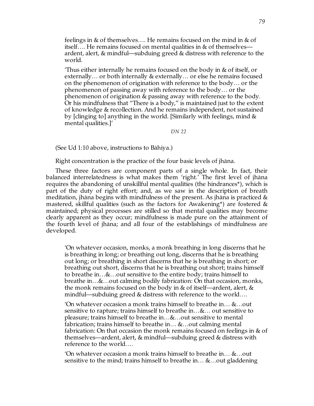feelings in & of themselves…. He remains focused on the mind in & of itself…. He remains focused on mental qualities in & of themselves ardent, alert, & mindful—subduing greed & distress with reference to the world.

'Thus either internally he remains focused on the body in & of itself, or externally… or both internally & externally… or else he remains focused on the phenomenon of origination with reference to the body… or the phenomenon of passing away with reference to the body… or the phenomenon of origination & passing away with reference to the body. Or his mindfulness that "There is a body," is maintained just to the extent of knowledge & recollection. And he remains independent, not sustained by [clinging to] anything in the world. [Similarly with feelings, mind & mental qualities.]'

*DN 22*

(See Ud 1:10 above, instructions to Bahiya.)

Right concentration is the practice of the four basic levels of jhana.

These three factors are component parts of a single whole. In fact, their balanced interrelatedness is what makes them 'right.' The first level of jhāna requires the abandoning of unskillful mental qualities (the hindrances\*), which is part of the duty of right effort; and, as we saw in the description of breath meditation, jhāna begins with mindfulness of the present. As jhāna is practiced  $\&$ mastered, skillful qualities (such as the factors for Awakening\*) are fostered & maintained; physical processes are stilled so that mental qualities may become clearly apparent as they occur; mindfulness is made pure on the attainment of the fourth level of jhana; and all four of the establishings of mindfulness are developed.

'On whatever occasion, monks, a monk breathing in long discerns that he is breathing in long; or breathing out long, discerns that he is breathing out long; or breathing in short discerns that he is breathing in short; or breathing out short, discerns that he is breathing out short; trains himself to breathe in…&…out sensitive to the entire body; trains himself to breathe in…&…out calming bodily fabrication: On that occasion, monks, the monk remains focused on the body in & of itself—ardent, alert, & mindful—subduing greed & distress with reference to the world….

'On whatever occasion a monk trains himself to breathe in… &…out sensitive to rapture; trains himself to breathe in…&… out sensitive to pleasure; trains himself to breathe in…&…out sensitive to mental fabrication; trains himself to breathe in... &...out calming mental fabrication: On that occasion the monk remains focused on feelings in & of themselves—ardent, alert, & mindful—subduing greed & distress with reference to the world….

'On whatever occasion a monk trains himself to breathe in… &…out sensitive to the mind; trains himself to breathe in… &…out gladdening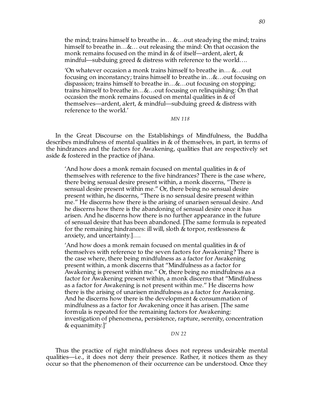the mind; trains himself to breathe in… &…out steadying the mind; trains himself to breathe in…&… out releasing the mind: On that occasion the monk remains focused on the mind in & of itself—ardent, alert, & mindful—subduing greed & distress with reference to the world….

'On whatever occasion a monk trains himself to breathe in… &…out focusing on inconstancy; trains himself to breathe in…&…out focusing on dispassion; trains himself to breathe in…&…out focusing on stopping; trains himself to breathe in…&…out focusing on relinquishing: On that occasion the monk remains focused on mental qualities in & of themselves—ardent, alert, & mindful—subduing greed & distress with reference to the world.'

*MN 118*

In the Great Discourse on the Establishings of Mindfulness, the Buddha describes mindfulness of mental qualities in & of themselves, in part, in terms of the hindrances and the factors for Awakening, qualities that are respectively set aside  $&$  fostered in the practice of jhana.

'And how does a monk remain focused on mental qualities in  $\&$  of themselves with reference to the five hindrances? There is the case where, there being sensual desire present within, a monk discerns, "There is sensual desire present within me." Or, there being no sensual desire present within, he discerns, "There is no sensual desire present within me." He discerns how there is the arising of unarisen sensual desire. And he discerns how there is the abandoning of sensual desire once it has arisen. And he discerns how there is no further appearance in the future of sensual desire that has been abandoned. [The same formula is repeated for the remaining hindrances: ill will, sloth & torpor, restlessness & anxiety, and uncertainty.]….

'And how does a monk remain focused on mental qualities in  $\&$  of themselves with reference to the seven factors for Awakening? There is the case where, there being mindfulness as a factor for Awakening present within, a monk discerns that "Mindfulness as a factor for Awakening is present within me." Or, there being no mindfulness as a factor for Awakening present within, a monk discerns that "Mindfulness as a factor for Awakening is not present within me." He discerns how there is the arising of unarisen mindfulness as a factor for Awakening. And he discerns how there is the development & consummation of mindfulness as a factor for Awakening once it has arisen. [The same formula is repeated for the remaining factors for Awakening: investigation of phenomena, persistence, rapture, serenity, concentration & equanimity.]'

*DN 22*

Thus the practice of right mindfulness does not repress undesirable mental qualities—i.e., it does not deny their presence. Rather, it notices them as they occur so that the phenomenon of their occurrence can be understood. Once they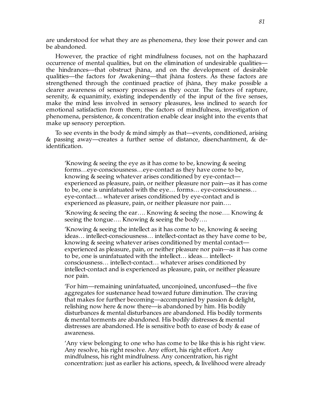are understood for what they are as phenomena, they lose their power and can be abandoned.

However, the practice of right mindfulness focuses, not on the haphazard occurrence of mental qualities, but on the elimination of undesirable qualities the hindrances—that obstruct jhāna, and on the development of desirable qualities—the factors for Awakening—that jhāna fosters. As these factors are strengthened through the continued practice of jhana, they make possible a clearer awareness of sensory processes as they occur. The factors of rapture, serenity, & equanimity, existing independently of the input of the five senses, make the mind less involved in sensory pleasures, less inclined to search for emotional satisfaction from them; the factors of mindfulness, investigation of phenomena, persistence, & concentration enable clear insight into the events that make up sensory perception.

To see events in the body & mind simply as that—events, conditioned, arising & passing away—creates a further sense of distance, disenchantment, & deidentification.

'Knowing & seeing the eye as it has come to be, knowing & seeing forms…eye-consciousness…eye-contact as they have come to be, knowing & seeing whatever arises conditioned by eye-contact experienced as pleasure, pain, or neither pleasure nor pain—as it has come to be, one is uninfatuated with the eye… forms… eye-consciousness… eye-contact… whatever arises conditioned by eye-contact and is experienced as pleasure, pain, or neither pleasure nor pain….

'Knowing & seeing the ear…. Knowing & seeing the nose…. Knowing & seeing the tongue…. Knowing & seeing the body….

'Knowing & seeing the intellect as it has come to be, knowing & seeing ideas… intellect-consciousness… intellect-contact as they have come to be, knowing & seeing whatever arises conditioned by mental contact experienced as pleasure, pain, or neither pleasure nor pain—as it has come to be, one is uninfatuated with the intellect… ideas… intellectconsciousness… intellect-contact… whatever arises conditioned by intellect-contact and is experienced as pleasure, pain, or neither pleasure nor pain.

'For him—remaining uninfatuated, unconjoined, unconfused—the five aggregates for sustenance head toward future diminution. The craving that makes for further becoming—accompanied by passion & delight, relishing now here & now there—is abandoned by him. His bodily disturbances & mental disturbances are abandoned. His bodily torments & mental torments are abandoned. His bodily distresses & mental distresses are abandoned. He is sensitive both to ease of body & ease of awareness.

'Any view belonging to one who has come to be like this is his right view. Any resolve, his right resolve. Any effort, his right effort. Any mindfulness, his right mindfulness. Any concentration, his right concentration: just as earlier his actions, speech, & livelihood were already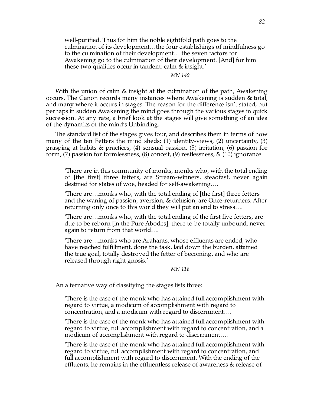well-purified. Thus for him the noble eightfold path goes to the culmination of its development…the four establishings of mindfulness go to the culmination of their development… the seven factors for Awakening go to the culmination of their development. [And] for him these two qualities occur in tandem: calm & insight.'

*MN 149*

With the union of calm & insight at the culmination of the path, Awakening occurs. The Canon records many instances where Awakening is sudden & total, and many where it occurs in stages: The reason for the difference isn't stated, but perhaps in sudden Awakening the mind goes through the various stages in quick succession. At any rate, a brief look at the stages will give something of an idea of the dynamics of the mind's Unbinding.

The standard list of the stages gives four, and describes them in terms of how many of the ten Fetters the mind sheds: (1) identity-views, (2) uncertainty, (3) grasping at habits & practices, (4) sensual passion, (5) irritation, (6) passion for form, (7) passion for formlessness, (8) conceit, (9) restlessness,  $\&(10)$  ignorance.

'There are in this community of monks, monks who, with the total ending of [the first] three fetters, are Stream-winners, steadfast, never again destined for states of woe, headed for self-awakening….

'There are…monks who, with the total ending of [the first] three fetters and the waning of passion, aversion, & delusion, are Once-returners. After returning only once to this world they will put an end to stress….

'There are…monks who, with the total ending of the first five fetters, are due to be reborn [in the Pure Abodes], there to be totally unbound, never again to return from that world….

'There are…monks who are Arahants, whose effluents are ended, who have reached fulfillment, done the task, laid down the burden, attained the true goal, totally destroyed the fetter of becoming, and who are released through right gnosis.'

*MN 118*

An alternative way of classifying the stages lists three:

'There is the case of the monk who has attained full accomplishment with regard to virtue, a modicum of accomplishment with regard to concentration, and a modicum with regard to discernment….

'There is the case of the monk who has attained full accomplishment with regard to virtue, full accomplishment with regard to concentration, and a modicum of accomplishment with regard to discernment….

'There is the case of the monk who has attained full accomplishment with regard to virtue, full accomplishment with regard to concentration, and full accomplishment with regard to discernment. With the ending of the effluents, he remains in the effluentless release of awareness & release of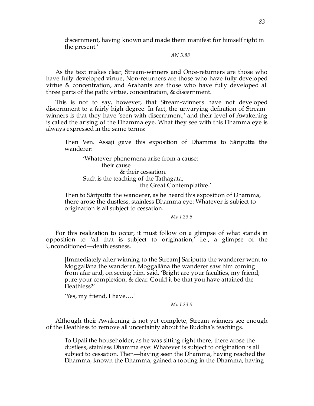discernment, having known and made them manifest for himself right in the present.'

#### *AN 3:88*

As the text makes clear, Stream-winners and Once-returners are those who have fully developed virtue, Non-returners are those who have fully developed virtue & concentration, and Arahants are those who have fully developed all three parts of the path: virtue, concentration, & discernment.

This is not to say, however, that Stream-winners have not developed discernment to a fairly high degree. In fact, the unvarying definition of Streamwinners is that they have 'seen with discernment,' and their level of Awakening is called the arising of the Dhamma eye. What they see with this Dhamma eye is always expressed in the same terms:

Then Ven. Assaji gave this exposition of Dhamma to Sāriputta the wanderer:

'Whatever phenomena arise from a cause: their cause & their cessation. Such is the teaching of the Tathāgata, the Great Contemplative.'

Then to Sariputta the wanderer, as he heard this exposition of Dhamma, there arose the dustless, stainless Dhamma eye: Whatever is subject to origination is all subject to cessation.

*Mv I.23.5*

For this realization to occur, it must follow on a glimpse of what stands in opposition to 'all that is subject to origination,' i.e., a glimpse of the Unconditioned—deathlessness.

[Immediately after winning to the Stream] Sariputta the wanderer went to Moggallāna the wanderer. Moggallāna the wanderer saw him coming from afar and, on seeing him. said, 'Bright are your faculties, my friend; pure your complexion, & clear. Could it be that you have attained the Deathless?'

'Yes, my friend, I have….'

### *Mv I.23.5*

Although their Awakening is not yet complete, Stream-winners see enough of the Deathless to remove all uncertainty about the Buddha's teachings.

To Upali the householder, as he was sitting right there, there arose the dustless, stainless Dhamma eye: Whatever is subject to origination is all subject to cessation. Then—having seen the Dhamma, having reached the Dhamma, known the Dhamma, gained a footing in the Dhamma, having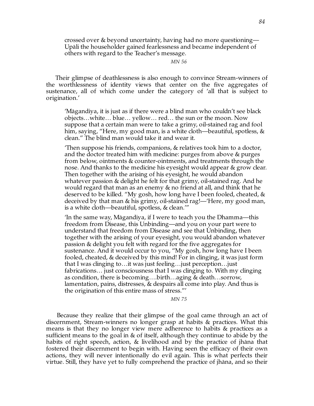crossed over & beyond uncertainty, having had no more questioning— Upali the householder gained fearlessness and became independent of others with regard to the Teacher's message.

*MN 56*

Their glimpse of deathlessness is also enough to convince Stream-winners of the worthlessness of identity views that center on the five aggregates of sustenance, all of which come under the category of 'all that is subject to origination.'

'Māgandiya, it is just as if there were a blind man who couldn't see black objects…white… blue… yellow… red… the sun or the moon. Now suppose that a certain man were to take a grimy, oil-stained rag and fool him, saying, "Here, my good man, is a white cloth—beautiful, spotless, & clean." The blind man would take it and wear it.

'Then suppose his friends, companions, & relatives took him to a doctor, and the doctor treated him with medicine: purges from above & purges from below, ointments & counter-ointments, and treatments through the nose. And thanks to the medicine his eyesight would appear & grow clear. Then together with the arising of his eyesight, he would abandon whatever passion & delight he felt for that grimy, oil-stained rag. And he would regard that man as an enemy & no friend at all, and think that he deserved to be killed. "My gosh, how long have I been fooled, cheated, & deceived by that man & his grimy, oil-stained rag!—'Here, my good man, is a white cloth—beautiful, spotless, & clean.'"

'In the same way, Māgandiya, if I were to teach you the Dhamma—this freedom from Disease, this Unbinding—and you on your part were to understand that freedom from Disease and see that Unbinding, then together with the arising of your eyesight, you would abandon whatever passion & delight you felt with regard for the five aggregates for sustenance. And it would occur to you, "My gosh, how long have I been fooled, cheated, & deceived by this mind! For in clinging, it was just form that I was clinging to…it was just feeling…just perception…just fabrications… just consciousness that I was clinging to. With my clinging as condition, there is becoming….birth…aging & death…sorrow, lamentation, pains, distresses, & despairs all come into play. And thus is the origination of this entire mass of stress."'

*MN 75*

 Because they realize that their glimpse of the goal came through an act of discernment, Stream-winners no longer grasp at habits & practices. What this means is that they no longer view mere adherence to habits & practices as a sufficient means to the goal in & of itself, although they continue to abide by the habits of right speech, action,  $\&$  livelihood and by the practice of jhāna that fostered their discernment to begin with. Having seen the efficacy of their own actions, they will never intentionally do evil again. This is what perfects their virtue. Still, they have yet to fully comprehend the practice of jhāna, and so their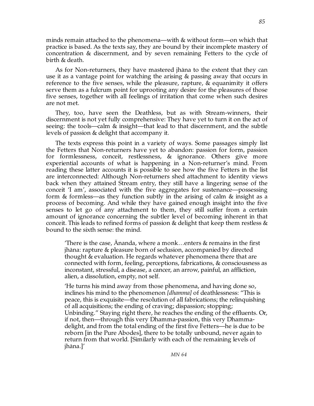minds remain attached to the phenomena—with & without form—on which that practice is based. As the texts say, they are bound by their incomplete mastery of concentration & discernment, and by seven remaining Fetters to the cycle of birth & death.

As for Non-returners, they have mastered jhāna to the extent that they can use it as a vantage point for watching the arising & passing away that occurs in reference to the five senses, while the pleasure, rapture, & equanimity it offers serve them as a fulcrum point for uprooting any desire for the pleasures of those five senses, together with all feelings of irritation that come when such desires are not met.

They, too, have seen the Deathless, but as with Stream-winners, their discernment is not yet fully comprehensive: They have yet to turn it on the act of seeing: the tools—calm & insight—that lead to that discernment, and the subtle levels of passion & delight that accompany it.

The texts express this point in a variety of ways. Some passages simply list the Fetters that Non-returners have yet to abandon: passion for form, passion for formlessness, conceit, restlessness, & ignorance. Others give more experiential accounts of what is happening in a Non-returner's mind. From reading these latter accounts it is possible to see how the five Fetters in the list are interconnected: Although Non-returners shed attachment to identity views back when they attained Stream entry, they still have a lingering sense of the conceit 'I am', associated with the five aggregates for sustenance—possessing form & formless—as they function subtly in the arising of calm & insight as a process of becoming. And while they have gained enough insight into the five senses to let go of any attachment to them, they still suffer from a certain amount of ignorance concerning the subtler level of becoming inherent in that conceit. This leads to refined forms of passion & delight that keep them restless  $\&$ bound to the sixth sense: the mind.

There is the case, Ananda, where a monk...enters  $\&$  remains in the first jhāna: rapture & pleasure born of seclusion, accompanied by directed thought & evaluation. He regards whatever phenomena there that are connected with form, feeling, perceptions, fabrications, & consciousness as inconstant, stressful, a disease, a cancer, an arrow, painful, an affliction, alien, a dissolution, empty, not self.

'He turns his mind away from those phenomena, and having done so, inclines his mind to the phenomenon *[dhamma]* of deathlessness: "This is peace, this is exquisite—the resolution of all fabrications; the relinquishing of all acquisitions; the ending of craving; dispassion; stopping; Unbinding." Staying right there, he reaches the ending of the effluents. Or, if not, then—through this very Dhamma-passion, this very Dhammadelight, and from the total ending of the first five Fetters—he is due to be reborn [in the Pure Abodes], there to be totally unbound, never again to return from that world. [Similarly with each of the remaining levels of jhāna.]'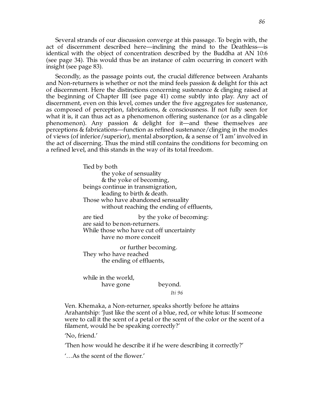Several strands of our discussion converge at this passage. To begin with, the act of discernment described here—inclining the mind to the Deathless—is identical with the object of concentration described by the Buddha at AN 10:6 (see page 34). This would thus be an instance of calm occurring in concert with insight (see page 83).

Secondly, as the passage points out, the crucial difference between Arahants and Non-returners is whether or not the mind feels passion & delight for this act of discernment. Here the distinctions concerning sustenance & clinging raised at the beginning of Chapter III (see page 41) come subtly into play. Any act of discernment, even on this level, comes under the five aggregates for sustenance, as composed of perception, fabrications, & consciousness. If not fully seen for what it is, it can thus act as a phenomenon offering sustenance (or as a clingable phenomenon). Any passion & delight for it—and these themselves are perceptions & fabrications—function as refined sustenance/clinging in the modes of views (of inferior/superior), mental absorption, & a sense of 'I am' involved in the act of discerning. Thus the mind still contains the conditions for becoming on a refined level, and this stands in the way of its total freedom.

> Tied by both the yoke of sensuality & the yoke of becoming, beings continue in transmigration, leading to birth & death. Those who have abandoned sensuality without reaching the ending of effluents,

are tied by the yoke of becoming: are said to benon-returners. While those who have cut off uncertainty have no more conceit

or further becoming. They who have reached the ending of effluents,

while in the world, have gone beyond.

*Iti 96* 

Ven. Khemaka, a Non-returner, speaks shortly before he attains Arahantship: 'Just like the scent of a blue, red, or white lotus: If someone were to call it the scent of a petal or the scent of the color or the scent of a filament, would he be speaking correctly?'

'No, friend.'

'Then how would he describe it if he were describing it correctly?'

'…As the scent of the flower.'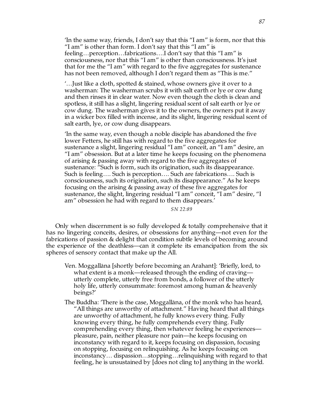'In the same way, friends, I don't say that this "I am" is form, nor that this "I am" is other than form. I don't say that this "I am" is feeling…perception…fabrications….I don't say that this "I am" is consciousness, nor that this "I am" is other than consciousness. It's just that for me the "I am" with regard to the five aggregates for sustenance has not been removed, although I don't regard them as "This is me."

'…Just like a cloth, spotted & stained, whose owners give it over to a washerman: The washerman scrubs it with salt earth or lye or cow dung and then rinses it in clear water. Now even though the cloth is clean and spotless, it still has a slight, lingering residual scent of salt earth or lye or cow dung. The washerman gives it to the owners, the owners put it away in a wicker box filled with incense, and its slight, lingering residual scent of salt earth, lye, or cow dung disappears.

'In the same way, even though a noble disciple has abandoned the five lower Fetters, he still has with regard to the five aggregates for sustenance a slight, lingering residual "I am" conceit, an "I am" desire, an "I am" obsession. But at a later time he keeps focusing on the phenomena of arising & passing away with regard to the five aggregates of sustenance: "Such is form, such its origination, such its disappearance. Such is feeling…. Such is perception…. Such are fabrications…. Such is consciousness, such its origination, such its disappearance." As he keeps focusing on the arising & passing away of these five aggregates for sustenance, the slight, lingering residual "I am" conceit, "I am" desire, "I am" obsession he had with regard to them disappears.'

*SN 22:89*

Only when discernment is so fully developed & totally comprehensive that it has no lingering conceits, desires, or obsessions for anything—not even for the fabrications of passion & delight that condition subtle levels of becoming around the experience of the deathless—can it complete its emancipation from the six spheres of sensory contact that make up the All.

Ven. Moggallāna [shortly before becoming an Arahant]: 'Briefly, lord, to what extent is a monk—released through the ending of craving utterly complete, utterly free from bonds, a follower of the utterly holy life, utterly consummate: foremost among human & heavenly beings?'

The Buddha: 'There is the case, Moggallana, of the monk who has heard, "All things are unworthy of attachment." Having heard that all things are unworthy of attachment, he fully knows every thing. Fully knowing every thing, he fully comprehends every thing. Fully comprehending every thing, then whatever feeling he experiences pleasure, pain, neither pleasure nor pain—he keeps focusing on inconstancy with regard to it, keeps focusing on dispassion, focusing on stopping, focusing on relinquishing. As he keeps focusing on inconstancy… dispassion…stopping…relinquishing with regard to that feeling, he is unsustained by [does not cling to] anything in the world.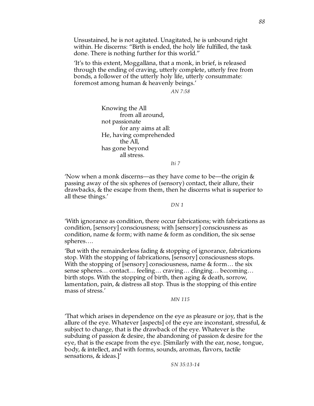Unsustained, he is not agitated. Unagitated, he is unbound right within. He discerns: "Birth is ended, the holy life fulfilled, the task done. There is nothing further for this world."

'It's to this extent, Moggallana, that a monk, in brief, is released through the ending of craving, utterly complete, utterly free from bonds, a follower of the utterly holy life, utterly consummate: foremost among human & heavenly beings.'

*AN 7:58*

Knowing the All from all around, not passionate for any aims at all: He, having comprehended the All, has gone beyond all stress.

*Iti 7*

'Now when a monk discerns—as they have come to be—the origin & passing away of the six spheres of (sensory) contact, their allure, their drawbacks, & the escape from them, then he discerns what is superior to all these things.'

*DN 1*

'With ignorance as condition, there occur fabrications; with fabrications as condition, [sensory] consciousness; with [sensory] consciousness as condition, name & form; with name & form as condition, the six sense spheres….

'But with the remainderless fading & stopping of ignorance, fabrications stop. With the stopping of fabrications, [sensory] consciousness stops. With the stopping of [sensory] consciousness, name & form… the six sense spheres… contact… feeling… craving… clinging… becoming… birth stops. With the stopping of birth, then aging & death, sorrow, lamentation, pain, & distress all stop. Thus is the stopping of this entire mass of stress.'

*MN 115*

'That which arises in dependence on the eye as pleasure or joy, that is the allure of the eye. Whatever [aspects] of the eye are inconstant, stressful, & subject to change, that is the drawback of the eye. Whatever is the subduing of passion & desire, the abandoning of passion & desire for the eye, that is the escape from the eye. [Similarly with the ear, nose, tongue, body, & intellect, and with forms, sounds, aromas, flavors, tactile sensations, & ideas.]'

*SN 35:13-14*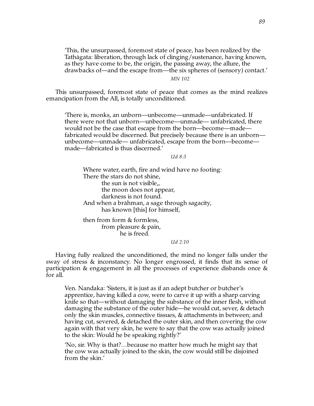'This, the unsurpassed, foremost state of peace, has been realized by the Tathāgata: liberation, through lack of clinging/sustenance, having known, as they have come to be, the origin, the passing away, the allure, the drawbacks of—and the escape from—the six spheres of (sensory) contact.'

*MN 102*

This unsurpassed, foremost state of peace that comes as the mind realizes emancipation from the All, is totally unconditioned.

'There is, monks, an unborn—unbecome—unmade—unfabricated. If there were not that unborn—unbecome—unmade— unfabricated, there would not be the case that escape from the born—become—made fabricated would be discerned. But precisely because there is an unborn unbecome—unmade— unfabricated, escape from the born—become made—fabricated is thus discerned.'

*Ud 8:3*

Where water, earth, fire and wind have no footing: There the stars do not shine, the sun is not visible,, the moon does not appear, darkness is not found. And when a brāhman, a sage through sagacity, has known [this] for himself,

then from form & formless, from pleasure & pain, he is freed.

*Ud 2:10*

Having fully realized the unconditioned, the mind no longer falls under the sway of stress & inconstancy. No longer engrossed, it finds that its sense of participation & engagement in all the processes of experience disbands once & for all.

Ven. Nandaka: 'Sisters, it is just as if an adept butcher or butcher's apprentice, having killed a cow, were to carve it up with a sharp carving knife so that—without damaging the substance of the inner flesh, without damaging the substance of the outer hide—he would cut, sever, & detach only the skin muscles, connective tissues, & attachments in between; and having cut, severed, & detached the outer skin, and then covering the cow again with that very skin, he were to say that the cow was actually joined to the skin: Would he be speaking rightly?'

'No, sir. Why is that?…because no matter how much he might say that the cow was actually joined to the skin, the cow would still be disjoined from the skin.'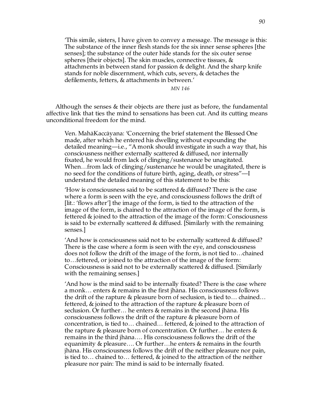'This simile, sisters, I have given to convey a message. The message is this: The substance of the inner flesh stands for the six inner sense spheres [the senses]; the substance of the outer hide stands for the six outer sense spheres [their objects]. The skin muscles, connective tissues, & attachments in between stand for passion & delight. And the sharp knife stands for noble discernment, which cuts, severs, & detaches the defilements, fetters, & attachments in between.'

*MN 146*

Although the senses & their objects are there just as before, the fundamental affective link that ties the mind to sensations has been cut. And its cutting means unconditional freedom for the mind.

Ven. MahāKaccāyana: 'Concerning the brief statement the Blessed One made, after which he entered his dwelling without expounding the detailed meaning—i.e., "A monk should investigate in such a way that, his consciousness neither externally scattered & diffused, nor internally fixated, he would from lack of clinging/sustenance be unagitated. When…from lack of clinging/sustenance he would be unagitated, there is no seed for the conditions of future birth, aging, death, or stress"—I understand the detailed meaning of this statement to be this:

'How is consciousness said to be scattered & diffused? There is the case where a form is seen with the eye, and consciousness follows the drift of [lit.: 'flows after'] the image of the form, is tied to the attraction of the image of the form, is chained to the attraction of the image of the form, is fettered & joined to the attraction of the image of the form: Consciousness is said to be externally scattered & diffused. [Similarly with the remaining senses.]

'And how is consciousness said not to be externally scattered & diffused? There is the case where a form is seen with the eye, and consciousness does not follow the drift of the image of the form, is not tied to…chained to…fettered, or joined to the attraction of the image of the form: Consciousness is said not to be externally scattered & diffused. [Similarly with the remaining senses.]

'And how is the mind said to be internally fixated? There is the case where a monk... enters & remains in the first jhāna. His consciousness follows the drift of the rapture & pleasure born of seclusion, is tied to… chained… fettered, & joined to the attraction of the rapture & pleasure born of seclusion. Or further... he enters & remains in the second jhāna. His consciousness follows the drift of the rapture & pleasure born of concentration, is tied to… chained… fettered, & joined to the attraction of the rapture & pleasure born of concentration. Or further... he enters  $\&$ remains in the third jhana.... His consciousness follows the drift of the equanimity & pleasure…. Or further…he enters & remains in the fourth jhāna. His consciousness follows the drift of the neither pleasure nor pain, is tied to… chained to… fettered,  $\&$  joined to the attraction of the neither pleasure nor pain: The mind is said to be internally fixated.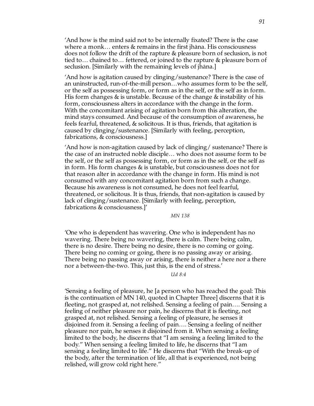'And how is the mind said not to be internally fixated? There is the case where a monk... enters & remains in the first jhana. His consciousness does not follow the drift of the rapture & pleasure born of seclusion, is not tied to… chained to… fettered, or joined to the rapture & pleasure born of seclusion. [Similarly with the remaining levels of jhāna.]

'And how is agitation caused by clinging/sustenance? There is the case of an uninstructed, run-of-the-mill person…who assumes form to be the self, or the self as possessing form, or form as in the self, or the self as in form. His form changes & is unstable. Because of the change & instability of his form, consciousness alters in accordance with the change in the form. With the concomitant arising of agitation born from this alteration, the mind stays consumed. And because of the consumption of awareness, he feels fearful, threatened, & solicitous. It is thus, friends, that agitation is caused by clinging/sustenance. [Similarly with feeling, perception, fabrications, & consciousness.]

'And how is non-agitation caused by lack of clinging/ sustenance? There is the case of an instructed noble disciple… who does not assume form to be the self, or the self as possessing form, or form as in the self, or the self as in form. His form changes & is unstable, but consciousness does not for that reason alter in accordance with the change in form. His mind is not consumed with any concomitant agitation born from such a change. Because his awareness is not consumed, he does not feel fearful, threatened, or solicitous. It is thus, friends, that non-agitation is caused by lack of clinging/sustenance. [Similarly with feeling, perception, fabrications & consciousness.]'

*MN 138*

'One who is dependent has wavering. One who is independent has no wavering. There being no wavering, there is calm. There being calm, there is no desire. There being no desire, there is no coming or going. There being no coming or going, there is no passing away or arising. There being no passing away or arising, there is neither a here nor a there nor a between-the-two. This, just this, is the end of stress.'

*Ud 8:4*

'Sensing a feeling of pleasure, he [a person who has reached the goal: This is the continuation of MN 140, quoted in Chapter Three] discerns that it is fleeting, not grasped at, not relished. Sensing a feeling of pain…. Sensing a feeling of neither pleasure nor pain, he discerns that it is fleeting, not grasped at, not relished. Sensing a feeling of pleasure, he senses it disjoined from it. Sensing a feeling of pain…. Sensing a feeling of neither pleasure nor pain, he senses it disjoined from it. When sensing a feeling limited to the body, he discerns that "I am sensing a feeling limited to the body." When sensing a feeling limited to life, he discerns that "I am sensing a feeling limited to life." He discerns that "With the break-up of the body, after the termination of life, all that is experienced, not being relished, will grow cold right here."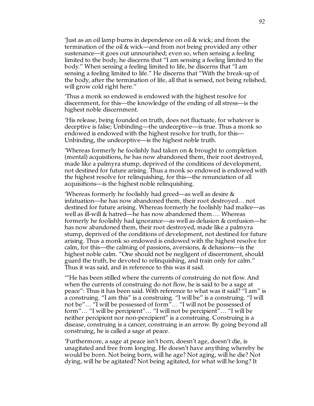'Just as an oil lamp burns in dependence on oil & wick; and from the termination of the oil & wick—and from not being provided any other sustenance—it goes out unnourished; even so, when sensing a feeling limited to the body, he discerns that "I am sensing a feeling limited to the body." When sensing a feeling limited to life, he discerns that "I am sensing a feeling limited to life." He discerns that "With the break-up of the body, after the termination of life, all that is sensed, not being relished, will grow cold right here."

'Thus a monk so endowed is endowed with the highest resolve for discernment, for this—the knowledge of the ending of all stress—is the highest noble discernment.

'His release, being founded on truth, does not fluctuate, for whatever is deceptive is false; Unbinding—the undeceptive—is true. Thus a monk so endowed is endowed with the highest resolve for truth, for this— Unbinding, the undeceptive—is the highest noble truth.

'Whereas formerly he foolishly had taken on & brought to completion (mental) acquisitions, he has now abandoned them, their root destroyed, made like a palmyra stump, deprived of the conditions of development, not destined for future arising. Thus a monk so endowed is endowed with the highest resolve for relinquishing, for this—the renunciation of all acquisitions—is the highest noble relinquishing.

'Whereas formerly he foolishly had greed—as well as desire & infatuation—he has now abandoned them, their root destroyed… not destined for future arising. Whereas formerly he foolishly had malice—as well as ill-will & hatred—he has now abandoned them…. Whereas formerly he foolishly had ignorance—as well as delusion & confusion—he has now abandoned them, their root destroyed, made like a palmyra stump, deprived of the conditions of development, not destined for future arising. Thus a monk so endowed is endowed with the highest resolve for calm, for this—the calming of passions, aversions, & delusions—is the highest noble calm. "One should not be negligent of discernment, should guard the truth, be devoted to relinquishing, and train only for calm." Thus it was said, and in reference to this was it said.

'"He has been stilled where the currents of construing do not flow. And when the currents of construing do not flow, he is said to be a sage at peace": Thus it has been said. With reference to what was it said? "I am" is a construing. "I am this" is a construing. "I will be" is a construing. "I will not be"… "I will be possessed of form"… "I will not be possessed of form"… "I will be percipient"… "I will not be percipient"… "I will be neither percipient nor non-percipient" is a construing. Construing is a disease, construing is a cancer, construing is an arrow. By going beyond all construing, he is called a sage at peace.

'Furthermore, a sage at peace isn't born, doesn't age, doesn't die, is unagitated and free from longing. He doesn't have anything whereby he would be born. Not being born, will he age? Not aging, will he die? Not dying, will he be agitated? Not being agitated, for what will he long? It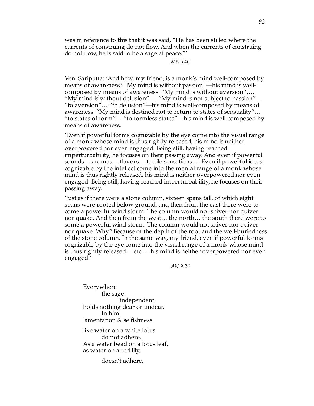was in reference to this that it was said, "He has been stilled where the currents of construing do not flow. And when the currents of construing do not flow, he is said to be a sage at peace."'

*MN 140*

Ven. Sariputta: 'And how, my friend, is a monk's mind well-composed by means of awareness? "My mind is without passion"—his mind is wellcomposed by means of awareness. "My mind is without aversion"…. "My mind is without delusion"…. "My mind is not subject to passion"… "to aversion"… "to delusion"—his mind is well-composed by means of awareness. "My mind is destined not to return to states of sensuality"… "to states of form"… "to formless states"—his mind is well-composed by means of awareness.

'Even if powerful forms cognizable by the eye come into the visual range of a monk whose mind is thus rightly released, his mind is neither overpowered nor even engaged. Being still, having reached imperturbability, he focuses on their passing away. And even if powerful sounds… aromas… flavors… tactile sensations…. Even if powerful ideas cognizable by the intellect come into the mental range of a monk whose mind is thus rightly released, his mind is neither overpowered nor even engaged. Being still, having reached imperturbability, he focuses on their passing away.

'Just as if there were a stone column, sixteen spans tall, of which eight spans were rooted below ground, and then from the east there were to come a powerful wind storm: The column would not shiver nor quiver nor quake. And then from the west… the north… the south there were to some a powerful wind storm: The column would not shiver nor quiver nor quake. Why? Because of the depth of the root and the well-buriedness of the stone column. In the same way, my friend, even if powerful forms cognizable by the eye come into the visual range of a monk whose mind is thus rightly released… etc…. his mind is neither overpowered nor even engaged.'

*AN 9:26*

Everywhere the sage independent holds nothing dear or undear. In him lamentation & selfishness

like water on a white lotus do not adhere. As a water bead on a lotus leaf, as water on a red lily,

doesn't adhere,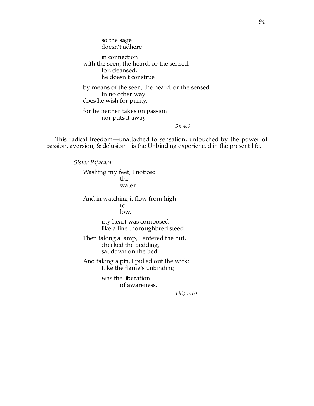so the sage doesn't adhere

in connection with the seen, the heard, or the sensed; for, cleansed, he doesn't construe

by means of the seen, the heard, or the sensed. In no other way does he wish for purity,

for he neither takes on passion nor puts it away.

*Sn 4:6*

This radical freedom—unattached to sensation, untouched by the power of passion, aversion, & delusion—is the Unbinding experienced in the present life.

> *Sister P›˛›c›r›:* Washing my feet, I noticed the water.

And in watching it flow from high to low,

> my heart was composed like a fine thoroughbred steed.

Then taking a lamp, I entered the hut, checked the bedding, sat down on the bed.

And taking a pin, I pulled out the wick: Like the flame's unbinding

> was the liberation of awareness.

> > *Thig 5:10*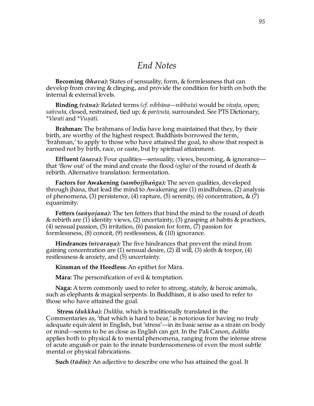# *End Notes*

**Becoming** *(bhava):* States of sensuality, form, & formlessness that can develop from craving & clinging, and provide the condition for birth on both the internal & external levels.

**Binding** (vāna): Related terms (cf. nibbāna—nibbuta) would be vivata, open; *sanvuta,* closed, restrained, tied up; & *parivuta*, surrounded. See PTS Dictionary, *\*Varati* and *\*Vu˚›ti.*

**Brāhman:** The brāhmans of India have long maintained that they, by their birth, are worthy of the highest respect. Buddhists borrowed the term, 'brāhman,' to apply to those who have attained the goal, to show that respect is earned not by birth, race, or caste, but by spiritual attainment.

**Effluent** ( $\bar{a}$ *sava*): Four qualities—sensuality, views, becoming, & ignorance that 'flow out' of the mind and create the flood *(ogha)* of the round of death & rebirth. Alternative translation: fermentation.

**Factors for Awakening** *(sambojjhanga)***:** The seven qualities, developed through jhāna, that lead the mind to Awakening are  $(1)$  mindfulness,  $(2)$  analysis of phenomena, (3) persistence, (4) rapture, (5) serenity, (6) concentration,  $\&(7)$ equanimity.

**Fetters** *(sanyojana)***:** The ten fetters that bind the mind to the round of death & rebirth are (1) identity views, (2) uncertainty, (3) grasping at habits & practices, (4) sensual passion, (5) irritation, (6) passion for form, (7) passion for formlessness, (8) conceit, (9) restlessness, & (10) ignorance.

**Hindrances** *(nivarana)*: The five hindrances that prevent the mind from gaining concentration are (1) sensual desire, (2) ill will, (3) sloth & torpor, (4) restlessness & anxiety, and (5) uncertainty.

**Kinsman of the Heedless:** An epithet for Māra.

**Mara:** The personification of evil & temptation.

**Nāga:** A term commonly used to refer to strong, stately, & heroic animals, such as elephants & magical serpents. In Buddhism, it is also used to refer to those who have attained the goal.

**Stress** *(dukkha): Dukkha,* which is traditionally translated in the Commentaries as, 'that which is hard to bear,' is notorious for having no truly adequate equivalent in English, but 'stress'—in its basic sense as a strain on body or mind—seems to be as close as English can get. In the Pali Canon, *dukkha* applies both to physical & to mental phenomena, ranging from the intense stress of acute anguish or pain to the innate burdensomeness of even the most subtle mental or physical fabrications.

**Such** *(tādin)*: An adjective to describe one who has attained the goal. It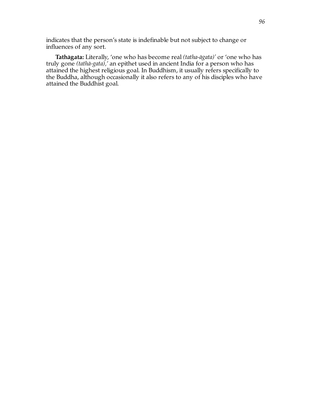indicates that the person's state is indefinable but not subject to change or influences of any sort.

Tathāgata: Literally, 'one who has become real *(tatha-āgata)'* or 'one who has truly gone *(tathā-gata)*, an epithet used in ancient India for a person who has attained the highest religious goal. In Buddhism, it usually refers specifically to the Buddha, although occasionally it also refers to any of his disciples who have attained the Buddhist goal.